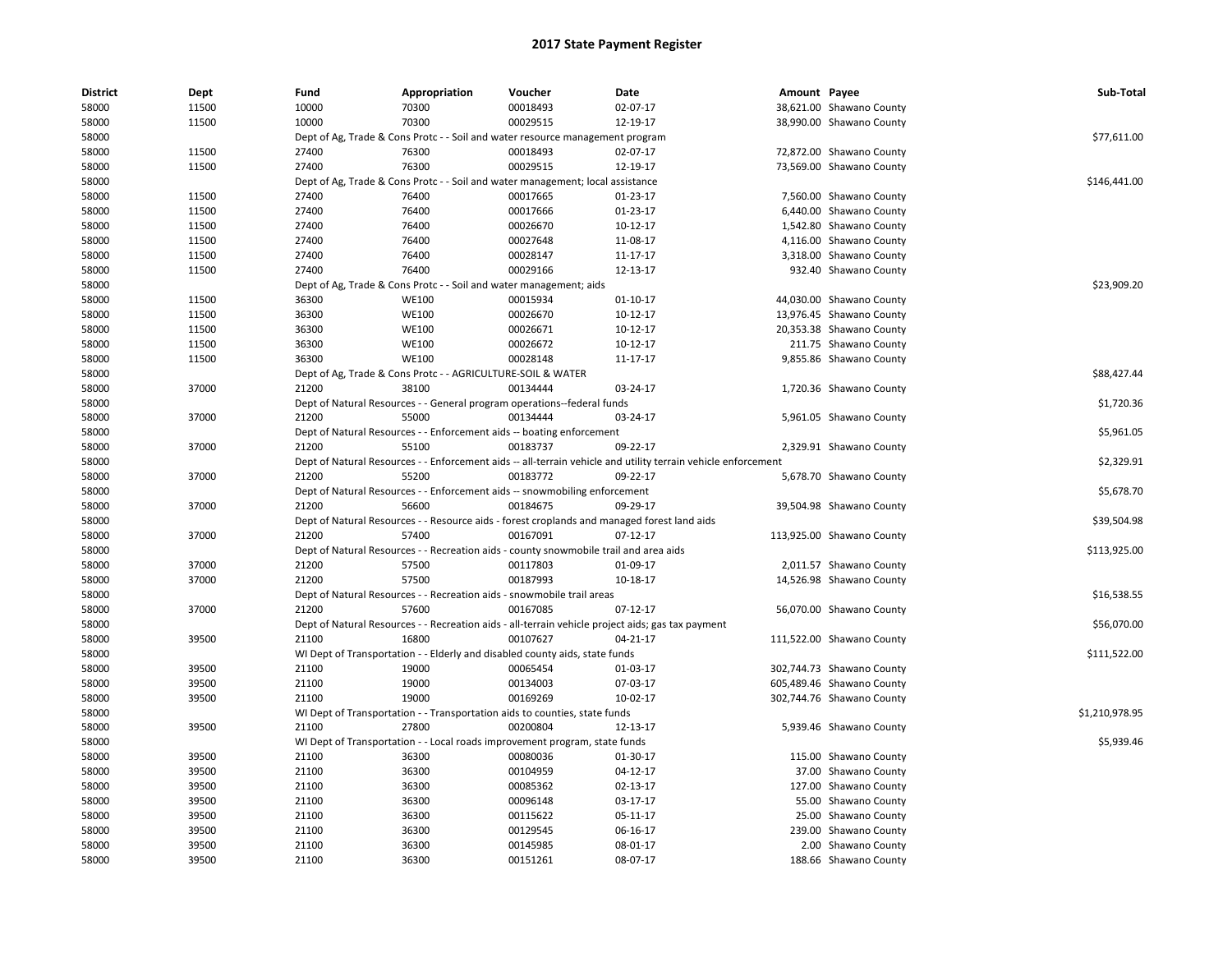| <b>District</b> | Dept           | Fund  | Appropriation                                                      | Voucher                                                                               | Date                                                                                                          | Amount Payee |                                               | Sub-Total      |
|-----------------|----------------|-------|--------------------------------------------------------------------|---------------------------------------------------------------------------------------|---------------------------------------------------------------------------------------------------------------|--------------|-----------------------------------------------|----------------|
| 58000           | 11500          | 10000 | 70300                                                              | 00018493                                                                              | 02-07-17                                                                                                      |              | 38,621.00 Shawano County                      |                |
| 58000           | 11500          | 10000 | 70300                                                              | 00029515                                                                              | 12-19-17                                                                                                      |              | 38,990.00 Shawano County                      |                |
| 58000           |                |       |                                                                    | Dept of Ag, Trade & Cons Protc - - Soil and water resource management program         |                                                                                                               |              |                                               | \$77,611.00    |
| 58000           | 11500          | 27400 | 76300                                                              | 00018493                                                                              | 02-07-17                                                                                                      |              | 72,872.00 Shawano County                      |                |
| 58000           | 11500          | 27400 | 76300                                                              | 00029515                                                                              | 12-19-17                                                                                                      |              | 73,569.00 Shawano County                      |                |
| 58000           |                |       |                                                                    | Dept of Ag, Trade & Cons Protc - - Soil and water management; local assistance        |                                                                                                               |              |                                               | \$146,441.00   |
| 58000           | 11500          | 27400 | 76400                                                              | 00017665                                                                              | 01-23-17                                                                                                      |              | 7,560.00 Shawano County                       |                |
| 58000           | 11500          | 27400 | 76400                                                              | 00017666                                                                              | 01-23-17                                                                                                      |              | 6,440.00 Shawano County                       |                |
| 58000           | 11500          | 27400 | 76400                                                              | 00026670                                                                              | $10-12-17$                                                                                                    |              | 1,542.80 Shawano County                       |                |
| 58000           | 11500          | 27400 | 76400                                                              | 00027648                                                                              | 11-08-17                                                                                                      |              | 4,116.00 Shawano County                       |                |
| 58000           | 11500          | 27400 | 76400                                                              | 00028147                                                                              | 11-17-17                                                                                                      |              | 3,318.00 Shawano County                       |                |
| 58000           | 11500          | 27400 | 76400                                                              | 00029166                                                                              | 12-13-17                                                                                                      |              | 932.40 Shawano County                         |                |
| 58000           |                |       | Dept of Ag, Trade & Cons Protc - - Soil and water management; aids |                                                                                       |                                                                                                               |              |                                               | \$23,909.20    |
| 58000           | 11500          | 36300 | <b>WE100</b>                                                       | 00015934                                                                              | $01 - 10 - 17$                                                                                                |              | 44,030.00 Shawano County                      |                |
| 58000           | 11500          | 36300 | <b>WE100</b>                                                       | 00026670                                                                              | 10-12-17                                                                                                      |              | 13,976.45 Shawano County                      |                |
| 58000           | 11500          | 36300 | <b>WE100</b>                                                       | 00026671                                                                              | $10-12-17$                                                                                                    |              | 20,353.38 Shawano County                      |                |
| 58000           | 11500          | 36300 | <b>WE100</b>                                                       | 00026672                                                                              | 10-12-17                                                                                                      |              | 211.75 Shawano County                         |                |
| 58000           | 11500          | 36300 | <b>WE100</b>                                                       | 00028148                                                                              | 11-17-17                                                                                                      |              | 9,855.86 Shawano County                       |                |
| 58000           |                |       | Dept of Ag, Trade & Cons Protc - - AGRICULTURE-SOIL & WATER        |                                                                                       |                                                                                                               |              |                                               | \$88,427.44    |
| 58000           | 37000          | 21200 | 38100                                                              | 00134444                                                                              | 03-24-17                                                                                                      |              | 1,720.36 Shawano County                       |                |
| 58000           |                |       |                                                                    | Dept of Natural Resources - - General program operations--federal funds               |                                                                                                               |              |                                               | \$1,720.36     |
| 58000           | 37000          | 21200 | 55000                                                              | 00134444                                                                              | 03-24-17                                                                                                      |              | 5,961.05 Shawano County                       |                |
| 58000           |                |       |                                                                    | Dept of Natural Resources - - Enforcement aids -- boating enforcement                 |                                                                                                               |              |                                               | \$5,961.05     |
| 58000           | 37000          | 21200 | 55100                                                              | 00183737                                                                              | 09-22-17                                                                                                      |              | 2,329.91 Shawano County                       |                |
| 58000           |                |       |                                                                    |                                                                                       | Dept of Natural Resources - - Enforcement aids -- all-terrain vehicle and utility terrain vehicle enforcement |              |                                               | \$2,329.91     |
| 58000           | 37000          | 21200 | 55200                                                              | 00183772                                                                              | 09-22-17                                                                                                      |              | 5,678.70 Shawano County                       |                |
| 58000           |                |       |                                                                    | Dept of Natural Resources - - Enforcement aids -- snowmobiling enforcement            |                                                                                                               |              |                                               | \$5,678.70     |
| 58000           | 37000          | 21200 | 56600                                                              | 00184675                                                                              | 09-29-17                                                                                                      |              | 39,504.98 Shawano County                      |                |
| 58000           |                |       |                                                                    |                                                                                       | Dept of Natural Resources - - Resource aids - forest croplands and managed forest land aids                   |              |                                               | \$39,504.98    |
| 58000           | 37000          | 21200 | 57400                                                              | 00167091                                                                              | $07-12-17$                                                                                                    |              | 113,925.00 Shawano County                     |                |
| 58000           |                |       |                                                                    | Dept of Natural Resources - - Recreation aids - county snowmobile trail and area aids |                                                                                                               |              |                                               | \$113,925.00   |
| 58000           | 37000          | 21200 | 57500                                                              | 00117803                                                                              | 01-09-17                                                                                                      |              | 2,011.57 Shawano County                       |                |
| 58000           | 37000          | 21200 | 57500                                                              | 00187993                                                                              | 10-18-17                                                                                                      |              | 14,526.98 Shawano County                      |                |
| 58000           |                |       |                                                                    | Dept of Natural Resources - - Recreation aids - snowmobile trail areas                |                                                                                                               |              |                                               | \$16,538.55    |
| 58000           | 37000          | 21200 | 57600                                                              | 00167085                                                                              | $07-12-17$                                                                                                    |              | 56,070.00 Shawano County                      |                |
| 58000           |                |       |                                                                    |                                                                                       | Dept of Natural Resources - - Recreation aids - all-terrain vehicle project aids; gas tax payment             |              |                                               | \$56,070.00    |
| 58000           | 39500          | 21100 | 16800                                                              | 00107627                                                                              | 04-21-17                                                                                                      |              | 111,522.00 Shawano County                     |                |
| 58000           |                |       |                                                                    | WI Dept of Transportation - - Elderly and disabled county aids, state funds           |                                                                                                               |              |                                               | \$111,522.00   |
| 58000           | 39500          | 21100 | 19000                                                              | 00065454                                                                              | 01-03-17                                                                                                      |              | 302,744.73 Shawano County                     |                |
| 58000           | 39500          | 21100 | 19000                                                              | 00134003                                                                              | 07-03-17                                                                                                      |              | 605,489.46 Shawano County                     |                |
| 58000           | 39500          | 21100 | 19000                                                              | 00169269                                                                              | 10-02-17                                                                                                      |              | 302,744.76 Shawano County                     |                |
| 58000           |                |       |                                                                    | WI Dept of Transportation - - Transportation aids to counties, state funds            |                                                                                                               |              |                                               | \$1,210,978.95 |
| 58000           | 39500          | 21100 | 27800                                                              | 00200804                                                                              | 12-13-17                                                                                                      |              | 5,939.46 Shawano County                       |                |
| 58000           |                |       |                                                                    | WI Dept of Transportation - - Local roads improvement program, state funds            |                                                                                                               |              |                                               | \$5,939.46     |
|                 |                | 21100 | 36300                                                              |                                                                                       |                                                                                                               |              |                                               |                |
| 58000<br>58000  | 39500<br>39500 | 21100 | 36300                                                              | 00080036<br>00104959                                                                  | 01-30-17<br>04-12-17                                                                                          |              | 115.00 Shawano County<br>37.00 Shawano County |                |
| 58000           | 39500          | 21100 | 36300                                                              | 00085362                                                                              | 02-13-17                                                                                                      |              | 127.00 Shawano County                         |                |
|                 |                |       |                                                                    |                                                                                       |                                                                                                               |              |                                               |                |
| 58000           | 39500          | 21100 | 36300                                                              | 00096148                                                                              | 03-17-17                                                                                                      |              | 55.00 Shawano County                          |                |
| 58000           | 39500          | 21100 | 36300                                                              | 00115622                                                                              | 05-11-17                                                                                                      |              | 25.00 Shawano County                          |                |
| 58000           | 39500          | 21100 | 36300                                                              | 00129545                                                                              | 06-16-17                                                                                                      |              | 239.00 Shawano County                         |                |
| 58000           | 39500          | 21100 | 36300                                                              | 00145985                                                                              | 08-01-17                                                                                                      |              | 2.00 Shawano County                           |                |
| 58000           | 39500          | 21100 | 36300                                                              | 00151261                                                                              | 08-07-17                                                                                                      |              | 188.66 Shawano County                         |                |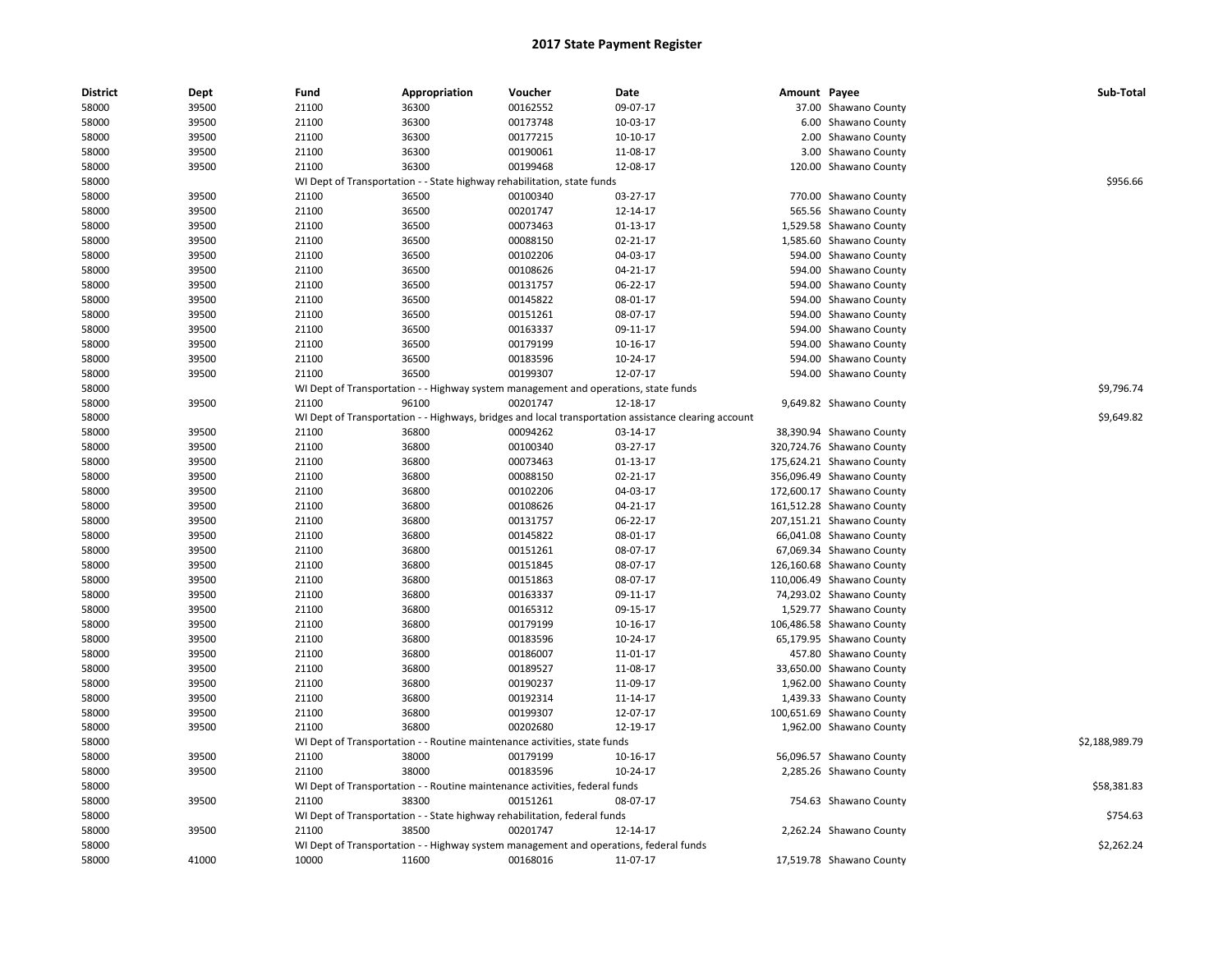| <b>District</b> | Dept  | Fund  | Appropriation | Voucher                                                                               | Date                                                                                                 | Amount Payee |                           | Sub-Total      |
|-----------------|-------|-------|---------------|---------------------------------------------------------------------------------------|------------------------------------------------------------------------------------------------------|--------------|---------------------------|----------------|
| 58000           | 39500 | 21100 | 36300         | 00162552                                                                              | 09-07-17                                                                                             |              | 37.00 Shawano County      |                |
| 58000           | 39500 | 21100 | 36300         | 00173748                                                                              | 10-03-17                                                                                             |              | 6.00 Shawano County       |                |
| 58000           | 39500 | 21100 | 36300         | 00177215                                                                              | 10-10-17                                                                                             |              | 2.00 Shawano County       |                |
| 58000           | 39500 | 21100 | 36300         | 00190061                                                                              | 11-08-17                                                                                             |              | 3.00 Shawano County       |                |
| 58000           | 39500 | 21100 | 36300         | 00199468                                                                              | 12-08-17                                                                                             |              | 120.00 Shawano County     |                |
| 58000           |       |       |               | WI Dept of Transportation - - State highway rehabilitation, state funds               |                                                                                                      |              |                           | \$956.66       |
| 58000           | 39500 | 21100 | 36500         | 00100340                                                                              | 03-27-17                                                                                             |              | 770.00 Shawano County     |                |
| 58000           | 39500 | 21100 | 36500         | 00201747                                                                              | 12-14-17                                                                                             |              | 565.56 Shawano County     |                |
| 58000           | 39500 | 21100 | 36500         | 00073463                                                                              | $01-13-17$                                                                                           |              | 1,529.58 Shawano County   |                |
| 58000           | 39500 | 21100 | 36500         | 00088150                                                                              | 02-21-17                                                                                             |              | 1,585.60 Shawano County   |                |
| 58000           | 39500 | 21100 | 36500         | 00102206                                                                              | 04-03-17                                                                                             |              | 594.00 Shawano County     |                |
| 58000           | 39500 | 21100 | 36500         | 00108626                                                                              | 04-21-17                                                                                             |              | 594.00 Shawano County     |                |
| 58000           | 39500 | 21100 | 36500         | 00131757                                                                              | 06-22-17                                                                                             |              | 594.00 Shawano County     |                |
| 58000           | 39500 | 21100 | 36500         | 00145822                                                                              | 08-01-17                                                                                             |              | 594.00 Shawano County     |                |
| 58000           | 39500 | 21100 | 36500         | 00151261                                                                              | 08-07-17                                                                                             |              | 594.00 Shawano County     |                |
| 58000           | 39500 | 21100 | 36500         | 00163337                                                                              | 09-11-17                                                                                             |              | 594.00 Shawano County     |                |
| 58000           | 39500 | 21100 | 36500         | 00179199                                                                              | 10-16-17                                                                                             |              | 594.00 Shawano County     |                |
| 58000           | 39500 | 21100 | 36500         | 00183596                                                                              | 10-24-17                                                                                             |              | 594.00 Shawano County     |                |
| 58000           | 39500 | 21100 | 36500         | 00199307                                                                              | 12-07-17                                                                                             |              | 594.00 Shawano County     |                |
| 58000           |       |       |               | WI Dept of Transportation - - Highway system management and operations, state funds   |                                                                                                      |              |                           | \$9,796.74     |
| 58000           | 39500 | 21100 | 96100         | 00201747                                                                              | 12-18-17                                                                                             |              | 9,649.82 Shawano County   |                |
| 58000           |       |       |               |                                                                                       | WI Dept of Transportation - - Highways, bridges and local transportation assistance clearing account |              |                           | \$9,649.82     |
| 58000           | 39500 | 21100 | 36800         | 00094262                                                                              | 03-14-17                                                                                             |              | 38,390.94 Shawano County  |                |
| 58000           | 39500 | 21100 | 36800         | 00100340                                                                              | 03-27-17                                                                                             |              | 320,724.76 Shawano County |                |
| 58000           | 39500 | 21100 | 36800         | 00073463                                                                              | 01-13-17                                                                                             |              | 175,624.21 Shawano County |                |
| 58000           | 39500 | 21100 | 36800         | 00088150                                                                              | 02-21-17                                                                                             |              | 356,096.49 Shawano County |                |
| 58000           | 39500 | 21100 | 36800         | 00102206                                                                              | 04-03-17                                                                                             |              | 172,600.17 Shawano County |                |
| 58000           | 39500 | 21100 | 36800         | 00108626                                                                              | $04 - 21 - 17$                                                                                       |              | 161,512.28 Shawano County |                |
| 58000           | 39500 | 21100 | 36800         | 00131757                                                                              | 06-22-17                                                                                             |              | 207,151.21 Shawano County |                |
| 58000           | 39500 | 21100 | 36800         | 00145822                                                                              | 08-01-17                                                                                             |              | 66,041.08 Shawano County  |                |
| 58000           | 39500 | 21100 | 36800         | 00151261                                                                              | 08-07-17                                                                                             |              | 67,069.34 Shawano County  |                |
| 58000           | 39500 | 21100 | 36800         | 00151845                                                                              | 08-07-17                                                                                             |              | 126,160.68 Shawano County |                |
| 58000           | 39500 | 21100 | 36800         | 00151863                                                                              | 08-07-17                                                                                             |              | 110,006.49 Shawano County |                |
| 58000           | 39500 | 21100 | 36800         | 00163337                                                                              | 09-11-17                                                                                             |              | 74,293.02 Shawano County  |                |
| 58000           | 39500 | 21100 | 36800         | 00165312                                                                              | 09-15-17                                                                                             |              | 1,529.77 Shawano County   |                |
| 58000           | 39500 | 21100 | 36800         | 00179199                                                                              | 10-16-17                                                                                             |              | 106,486.58 Shawano County |                |
| 58000           | 39500 | 21100 | 36800         | 00183596                                                                              | 10-24-17                                                                                             |              | 65,179.95 Shawano County  |                |
| 58000           | 39500 | 21100 | 36800         | 00186007                                                                              | 11-01-17                                                                                             |              | 457.80 Shawano County     |                |
| 58000           | 39500 | 21100 | 36800         | 00189527                                                                              | 11-08-17                                                                                             |              | 33,650.00 Shawano County  |                |
| 58000           | 39500 | 21100 | 36800         | 00190237                                                                              | 11-09-17                                                                                             |              | 1,962.00 Shawano County   |                |
| 58000           | 39500 | 21100 | 36800         | 00192314                                                                              | 11-14-17                                                                                             |              | 1,439.33 Shawano County   |                |
| 58000           | 39500 | 21100 | 36800         | 00199307                                                                              | 12-07-17                                                                                             |              | 100,651.69 Shawano County |                |
| 58000           | 39500 | 21100 | 36800         | 00202680                                                                              | 12-19-17                                                                                             |              | 1,962.00 Shawano County   |                |
| 58000           |       |       |               | WI Dept of Transportation - - Routine maintenance activities, state funds             |                                                                                                      |              |                           | \$2,188,989.79 |
| 58000           | 39500 | 21100 | 38000         | 00179199                                                                              | 10-16-17                                                                                             |              | 56,096.57 Shawano County  |                |
| 58000           | 39500 | 21100 | 38000         | 00183596                                                                              | 10-24-17                                                                                             |              | 2,285.26 Shawano County   |                |
| 58000           |       |       |               | WI Dept of Transportation - - Routine maintenance activities, federal funds           |                                                                                                      |              |                           | \$58,381.83    |
| 58000           | 39500 | 21100 | 38300         | 00151261                                                                              | 08-07-17                                                                                             |              | 754.63 Shawano County     |                |
| 58000           |       |       |               | WI Dept of Transportation - - State highway rehabilitation, federal funds             |                                                                                                      |              |                           | \$754.63       |
| 58000           | 39500 | 21100 | 38500         | 00201747                                                                              | 12-14-17                                                                                             |              | 2,262.24 Shawano County   |                |
| 58000           |       |       |               | WI Dept of Transportation - - Highway system management and operations, federal funds |                                                                                                      |              |                           | \$2,262.24     |
| 58000           | 41000 | 10000 | 11600         | 00168016                                                                              | 11-07-17                                                                                             |              | 17,519.78 Shawano County  |                |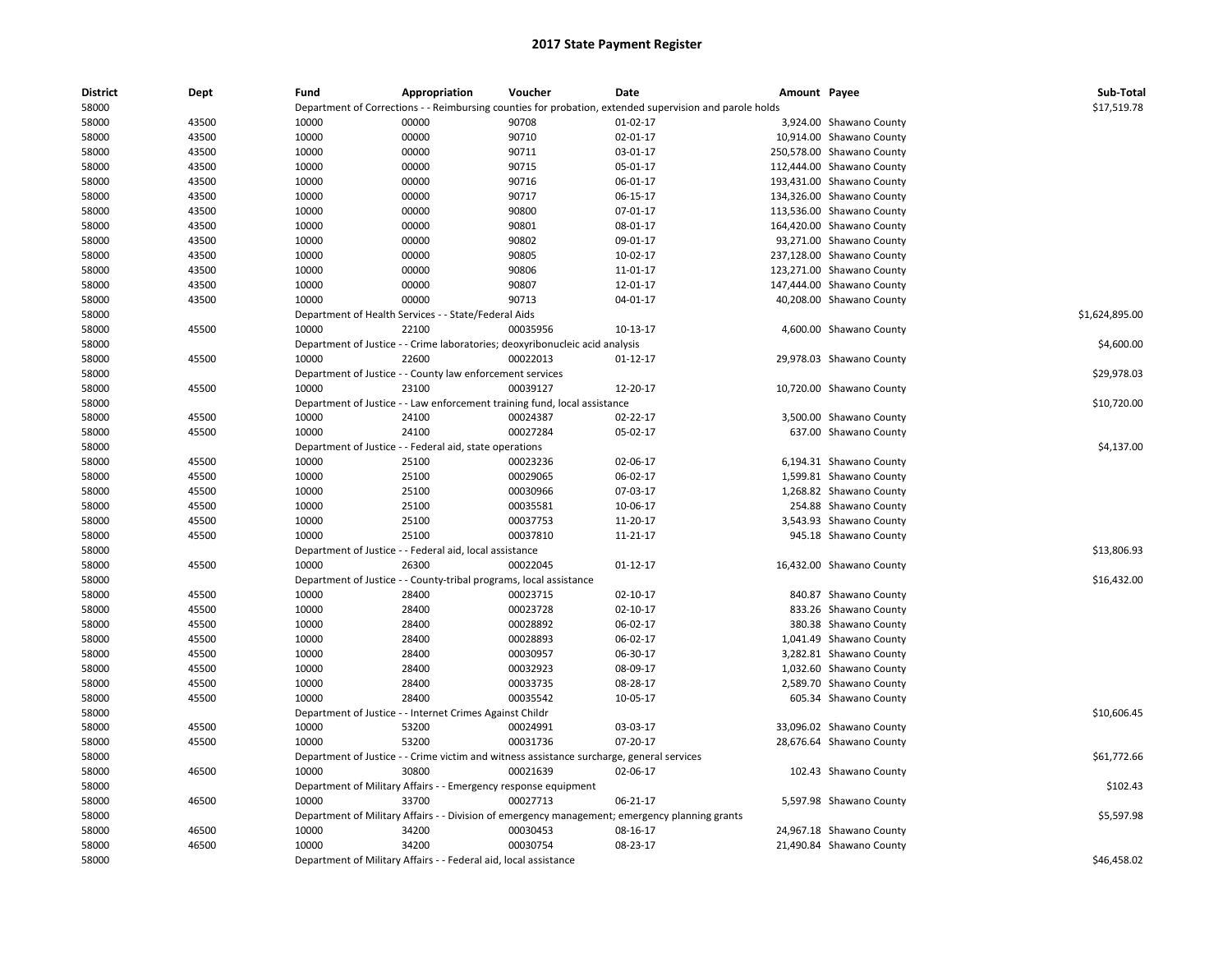| <b>District</b> | Dept  | Fund           | Appropriation                                                      | Voucher                                                                                   | Date                                                                                                    | Amount Payee |                                                | Sub-Total      |
|-----------------|-------|----------------|--------------------------------------------------------------------|-------------------------------------------------------------------------------------------|---------------------------------------------------------------------------------------------------------|--------------|------------------------------------------------|----------------|
| 58000           |       |                |                                                                    |                                                                                           | Department of Corrections - - Reimbursing counties for probation, extended supervision and parole holds |              |                                                | \$17,519.78    |
| 58000           | 43500 | 10000          | 00000                                                              | 90708                                                                                     | $01-02-17$                                                                                              |              | 3,924.00 Shawano County                        |                |
| 58000           | 43500 | 10000          | 00000                                                              | 90710                                                                                     | 02-01-17                                                                                                |              | 10,914.00 Shawano County                       |                |
| 58000           | 43500 | 10000          | 00000                                                              | 90711                                                                                     | 03-01-17                                                                                                |              | 250,578.00 Shawano County                      |                |
| 58000           | 43500 | 10000          | 00000                                                              | 90715                                                                                     | 05-01-17                                                                                                |              | 112,444.00 Shawano County                      |                |
| 58000           | 43500 | 10000          | 00000                                                              | 90716                                                                                     | 06-01-17                                                                                                |              | 193,431.00 Shawano County                      |                |
| 58000           | 43500 | 10000          | 00000                                                              | 90717                                                                                     | 06-15-17                                                                                                |              | 134,326.00 Shawano County                      |                |
| 58000           | 43500 | 10000          | 00000                                                              | 90800                                                                                     | 07-01-17                                                                                                |              | 113,536.00 Shawano County                      |                |
| 58000           | 43500 | 10000          | 00000                                                              | 90801                                                                                     | 08-01-17                                                                                                |              | 164,420.00 Shawano County                      |                |
| 58000           | 43500 | 10000          | 00000                                                              | 90802                                                                                     | 09-01-17                                                                                                |              | 93,271.00 Shawano County                       |                |
| 58000           | 43500 | 10000          | 00000                                                              | 90805                                                                                     | 10-02-17                                                                                                |              | 237,128.00 Shawano County                      |                |
| 58000           | 43500 | 10000          | 00000                                                              | 90806                                                                                     | 11-01-17                                                                                                |              | 123,271.00 Shawano County                      |                |
| 58000           | 43500 | 10000          | 00000                                                              | 90807                                                                                     | 12-01-17                                                                                                |              | 147,444.00 Shawano County                      |                |
| 58000           | 43500 | 10000          | 00000                                                              | 90713                                                                                     | 04-01-17                                                                                                |              | 40,208.00 Shawano County                       |                |
| 58000           |       |                | Department of Health Services - - State/Federal Aids               |                                                                                           |                                                                                                         |              |                                                | \$1,624,895.00 |
| 58000           | 45500 | 10000          | 22100                                                              | 00035956                                                                                  | 10-13-17                                                                                                |              | 4,600.00 Shawano County                        |                |
| 58000           |       |                |                                                                    | Department of Justice - - Crime laboratories; deoxyribonucleic acid analysis              |                                                                                                         |              |                                                | \$4,600.00     |
| 58000           | 45500 | 10000          | 22600                                                              | 00022013                                                                                  | $01 - 12 - 17$                                                                                          |              | 29,978.03 Shawano County                       |                |
| 58000           |       |                | Department of Justice - - County law enforcement services          |                                                                                           |                                                                                                         |              |                                                | \$29,978.03    |
| 58000           | 45500 | 10000          | 23100                                                              | 00039127                                                                                  | 12-20-17                                                                                                |              | 10,720.00 Shawano County                       |                |
| 58000           |       |                |                                                                    | Department of Justice - - Law enforcement training fund, local assistance                 |                                                                                                         |              |                                                | \$10,720.00    |
| 58000           | 45500 | 10000          | 24100                                                              | 00024387                                                                                  | 02-22-17                                                                                                |              | 3,500.00 Shawano County                        |                |
| 58000           | 45500 | 10000          | 24100                                                              | 00027284                                                                                  | 05-02-17                                                                                                |              | 637.00 Shawano County                          |                |
| 58000           |       |                | Department of Justice - - Federal aid, state operations            |                                                                                           |                                                                                                         |              |                                                | \$4,137.00     |
| 58000           | 45500 | 10000          | 25100                                                              | 00023236                                                                                  | 02-06-17                                                                                                |              | 6,194.31 Shawano County                        |                |
| 58000           | 45500 | 10000          | 25100                                                              | 00029065                                                                                  | 06-02-17                                                                                                |              | 1,599.81 Shawano County                        |                |
| 58000           | 45500 | 10000          | 25100                                                              | 00030966                                                                                  | 07-03-17                                                                                                |              | 1,268.82 Shawano County                        |                |
| 58000           | 45500 | 10000          | 25100                                                              | 00035581                                                                                  | 10-06-17                                                                                                |              | 254.88 Shawano County                          |                |
| 58000           | 45500 | 10000          | 25100                                                              | 00037753                                                                                  | 11-20-17                                                                                                |              | 3,543.93 Shawano County                        |                |
| 58000           | 45500 | 10000          | 25100                                                              | 00037810                                                                                  | 11-21-17                                                                                                |              | 945.18 Shawano County                          |                |
| 58000           |       |                | Department of Justice - - Federal aid, local assistance            |                                                                                           |                                                                                                         |              |                                                | \$13,806.93    |
| 58000           | 45500 | 10000          | 26300                                                              | 00022045                                                                                  | $01 - 12 - 17$                                                                                          |              | 16,432.00 Shawano County                       |                |
| 58000           |       |                | Department of Justice - - County-tribal programs, local assistance |                                                                                           |                                                                                                         |              |                                                | \$16,432.00    |
| 58000           | 45500 | 10000          | 28400                                                              | 00023715                                                                                  | 02-10-17                                                                                                |              | 840.87 Shawano County                          |                |
|                 | 45500 | 10000          | 28400                                                              | 00023728                                                                                  | 02-10-17                                                                                                |              |                                                |                |
| 58000<br>58000  | 45500 | 10000          | 28400                                                              | 00028892                                                                                  | 06-02-17                                                                                                |              | 833.26 Shawano County<br>380.38 Shawano County |                |
| 58000           | 45500 | 10000          | 28400                                                              | 00028893                                                                                  | 06-02-17                                                                                                |              | 1,041.49 Shawano County                        |                |
|                 | 45500 |                | 28400                                                              | 00030957                                                                                  | 06-30-17                                                                                                |              |                                                |                |
| 58000           |       | 10000<br>10000 | 28400                                                              | 00032923                                                                                  |                                                                                                         |              | 3,282.81 Shawano County                        |                |
| 58000           | 45500 | 10000          | 28400                                                              | 00033735                                                                                  | 08-09-17                                                                                                |              | 1,032.60 Shawano County                        |                |
| 58000           | 45500 |                |                                                                    |                                                                                           | 08-28-17                                                                                                |              | 2,589.70 Shawano County                        |                |
| 58000           | 45500 | 10000          | 28400                                                              | 00035542                                                                                  | 10-05-17                                                                                                |              | 605.34 Shawano County                          |                |
| 58000           |       |                | Department of Justice - - Internet Crimes Against Childr           |                                                                                           |                                                                                                         |              |                                                | \$10,606.45    |
| 58000           | 45500 | 10000          | 53200                                                              | 00024991                                                                                  | 03-03-17                                                                                                |              | 33,096.02 Shawano County                       |                |
| 58000           | 45500 | 10000          | 53200                                                              | 00031736                                                                                  | 07-20-17                                                                                                |              | 28,676.64 Shawano County                       |                |
| 58000           |       |                |                                                                    | Department of Justice - - Crime victim and witness assistance surcharge, general services |                                                                                                         |              |                                                | \$61,772.66    |
| 58000           | 46500 | 10000          | 30800                                                              | 00021639                                                                                  | 02-06-17                                                                                                |              | 102.43 Shawano County                          |                |
| 58000           |       |                | Department of Military Affairs - - Emergency response equipment    |                                                                                           |                                                                                                         |              |                                                | \$102.43       |
| 58000           | 46500 | 10000          | 33700                                                              | 00027713                                                                                  | 06-21-17                                                                                                |              | 5,597.98 Shawano County                        |                |
| 58000           |       |                |                                                                    |                                                                                           | Department of Military Affairs - - Division of emergency management; emergency planning grants          |              |                                                | \$5,597.98     |
| 58000           | 46500 | 10000          | 34200                                                              | 00030453                                                                                  | 08-16-17                                                                                                |              | 24,967.18 Shawano County                       |                |
| 58000           | 46500 | 10000          | 34200                                                              | 00030754                                                                                  | 08-23-17                                                                                                |              | 21,490.84 Shawano County                       |                |
| 58000           |       |                | Department of Military Affairs - - Federal aid, local assistance   |                                                                                           |                                                                                                         |              |                                                | \$46,458.02    |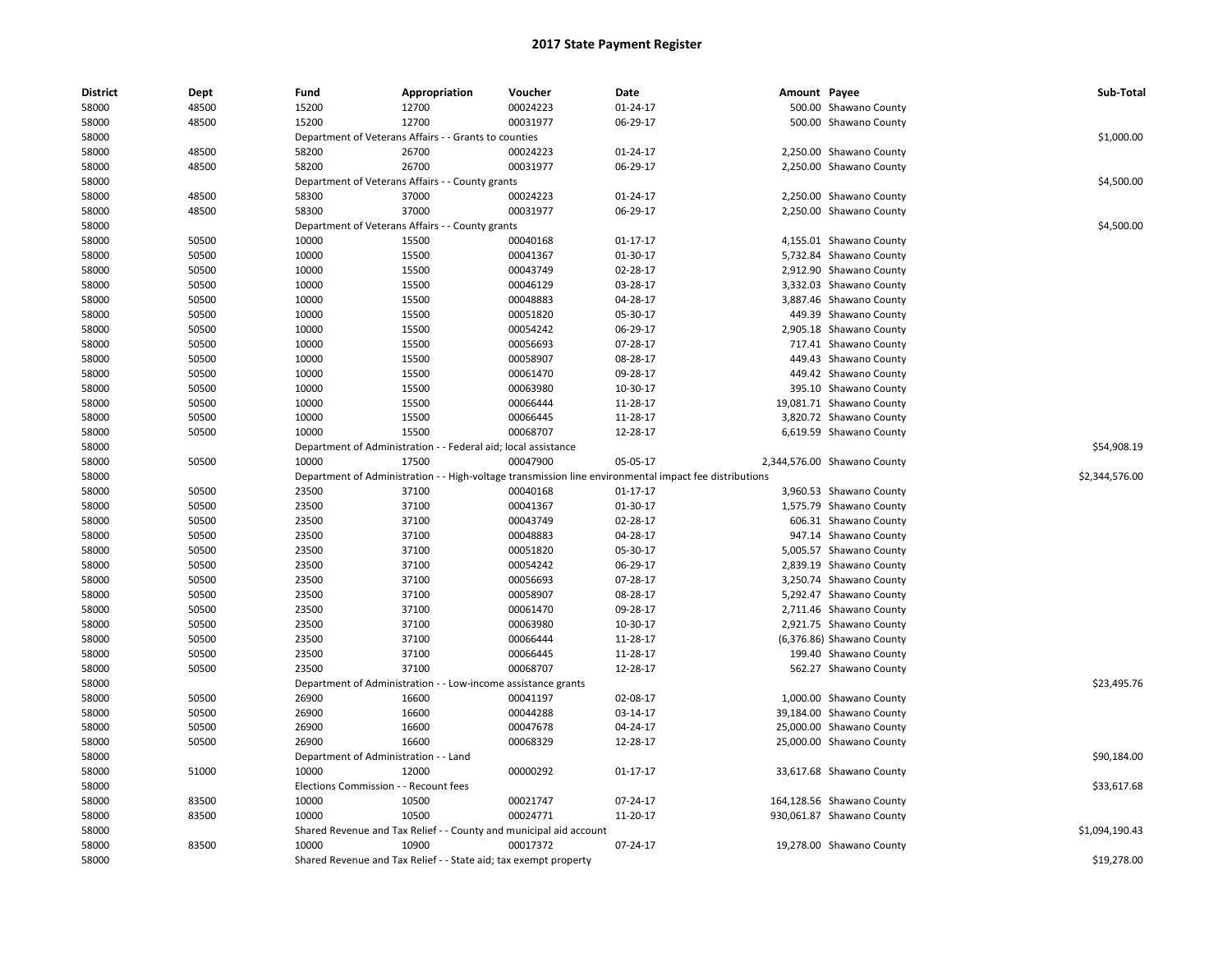| <b>District</b> | Dept  | Fund                                  | Appropriation                                                      | Voucher  | Date                                                                                                   | Amount Payee |                             | Sub-Total      |
|-----------------|-------|---------------------------------------|--------------------------------------------------------------------|----------|--------------------------------------------------------------------------------------------------------|--------------|-----------------------------|----------------|
| 58000           | 48500 | 15200                                 | 12700                                                              | 00024223 | 01-24-17                                                                                               |              | 500.00 Shawano County       |                |
| 58000           | 48500 | 15200                                 | 12700                                                              | 00031977 | 06-29-17                                                                                               |              | 500.00 Shawano County       |                |
| 58000           |       |                                       | Department of Veterans Affairs - - Grants to counties              |          |                                                                                                        |              |                             | \$1,000.00     |
| 58000           | 48500 | 58200                                 | 26700                                                              | 00024223 | $01 - 24 - 17$                                                                                         |              | 2,250.00 Shawano County     |                |
| 58000           | 48500 | 58200                                 | 26700                                                              | 00031977 | 06-29-17                                                                                               |              | 2,250.00 Shawano County     |                |
| 58000           |       |                                       | Department of Veterans Affairs - - County grants                   |          |                                                                                                        |              |                             | \$4,500.00     |
| 58000           | 48500 | 58300                                 | 37000                                                              | 00024223 | 01-24-17                                                                                               |              | 2,250.00 Shawano County     |                |
| 58000           | 48500 | 58300                                 | 37000                                                              | 00031977 | 06-29-17                                                                                               |              | 2,250.00 Shawano County     |                |
| 58000           |       |                                       | Department of Veterans Affairs - - County grants                   |          |                                                                                                        |              |                             | \$4,500.00     |
| 58000           | 50500 | 10000                                 | 15500                                                              | 00040168 | 01-17-17                                                                                               |              | 4,155.01 Shawano County     |                |
| 58000           | 50500 | 10000                                 | 15500                                                              | 00041367 | 01-30-17                                                                                               |              | 5,732.84 Shawano County     |                |
| 58000           | 50500 | 10000                                 | 15500                                                              | 00043749 | 02-28-17                                                                                               |              | 2,912.90 Shawano County     |                |
| 58000           | 50500 | 10000                                 | 15500                                                              | 00046129 | 03-28-17                                                                                               |              | 3,332.03 Shawano County     |                |
| 58000           | 50500 | 10000                                 | 15500                                                              | 00048883 | 04-28-17                                                                                               |              | 3,887.46 Shawano County     |                |
| 58000           | 50500 | 10000                                 | 15500                                                              | 00051820 | 05-30-17                                                                                               |              | 449.39 Shawano County       |                |
| 58000           | 50500 | 10000                                 | 15500                                                              | 00054242 | 06-29-17                                                                                               |              | 2,905.18 Shawano County     |                |
| 58000           | 50500 | 10000                                 | 15500                                                              | 00056693 | 07-28-17                                                                                               |              | 717.41 Shawano County       |                |
| 58000           | 50500 | 10000                                 | 15500                                                              | 00058907 | 08-28-17                                                                                               |              | 449.43 Shawano County       |                |
| 58000           | 50500 | 10000                                 | 15500                                                              | 00061470 | 09-28-17                                                                                               |              | 449.42 Shawano County       |                |
| 58000           | 50500 | 10000                                 | 15500                                                              | 00063980 | 10-30-17                                                                                               |              | 395.10 Shawano County       |                |
| 58000           | 50500 | 10000                                 | 15500                                                              | 00066444 | 11-28-17                                                                                               |              | 19,081.71 Shawano County    |                |
| 58000           | 50500 | 10000                                 | 15500                                                              | 00066445 | 11-28-17                                                                                               |              | 3,820.72 Shawano County     |                |
| 58000           | 50500 | 10000                                 | 15500                                                              | 00068707 | 12-28-17                                                                                               |              | 6,619.59 Shawano County     |                |
| 58000           |       |                                       | Department of Administration - - Federal aid; local assistance     |          |                                                                                                        |              |                             | \$54,908.19    |
| 58000           | 50500 | 10000                                 | 17500                                                              | 00047900 | 05-05-17                                                                                               |              | 2,344,576.00 Shawano County |                |
| 58000           |       |                                       |                                                                    |          | Department of Administration - - High-voltage transmission line environmental impact fee distributions |              |                             | \$2,344,576.00 |
| 58000           | 50500 | 23500                                 | 37100                                                              | 00040168 | $01-17-17$                                                                                             |              | 3,960.53 Shawano County     |                |
| 58000           | 50500 | 23500                                 | 37100                                                              | 00041367 | 01-30-17                                                                                               |              | 1,575.79 Shawano County     |                |
| 58000           | 50500 | 23500                                 | 37100                                                              | 00043749 | 02-28-17                                                                                               |              | 606.31 Shawano County       |                |
| 58000           | 50500 | 23500                                 | 37100                                                              | 00048883 | 04-28-17                                                                                               |              | 947.14 Shawano County       |                |
| 58000           | 50500 | 23500                                 | 37100                                                              | 00051820 | 05-30-17                                                                                               |              | 5,005.57 Shawano County     |                |
| 58000           | 50500 | 23500                                 | 37100                                                              | 00054242 | 06-29-17                                                                                               |              | 2,839.19 Shawano County     |                |
| 58000           | 50500 | 23500                                 | 37100                                                              | 00056693 | 07-28-17                                                                                               |              | 3,250.74 Shawano County     |                |
| 58000           | 50500 | 23500                                 | 37100                                                              | 00058907 | 08-28-17                                                                                               |              | 5,292.47 Shawano County     |                |
| 58000           | 50500 | 23500                                 | 37100                                                              | 00061470 | 09-28-17                                                                                               |              | 2,711.46 Shawano County     |                |
| 58000           | 50500 | 23500                                 | 37100                                                              | 00063980 | 10-30-17                                                                                               |              | 2,921.75 Shawano County     |                |
| 58000           | 50500 | 23500                                 | 37100                                                              | 00066444 | 11-28-17                                                                                               |              | (6,376.86) Shawano County   |                |
| 58000           | 50500 | 23500                                 | 37100                                                              | 00066445 | 11-28-17                                                                                               |              | 199.40 Shawano County       |                |
| 58000           | 50500 | 23500                                 | 37100                                                              | 00068707 | 12-28-17                                                                                               |              | 562.27 Shawano County       |                |
| 58000           |       |                                       | Department of Administration - - Low-income assistance grants      |          |                                                                                                        |              |                             | \$23,495.76    |
| 58000           | 50500 | 26900                                 | 16600                                                              | 00041197 | 02-08-17                                                                                               |              | 1,000.00 Shawano County     |                |
| 58000           | 50500 | 26900                                 | 16600                                                              | 00044288 | 03-14-17                                                                                               |              | 39,184.00 Shawano County    |                |
| 58000           | 50500 | 26900                                 | 16600                                                              | 00047678 | 04-24-17                                                                                               |              | 25,000.00 Shawano County    |                |
| 58000           | 50500 | 26900                                 | 16600                                                              | 00068329 | 12-28-17                                                                                               |              | 25,000.00 Shawano County    |                |
| 58000           |       | Department of Administration - - Land |                                                                    |          |                                                                                                        |              |                             | \$90,184.00    |
| 58000           | 51000 | 10000                                 | 12000                                                              | 00000292 | $01 - 17 - 17$                                                                                         |              | 33,617.68 Shawano County    |                |
| 58000           |       | Elections Commission - - Recount fees |                                                                    |          |                                                                                                        |              |                             | \$33,617.68    |
| 58000           | 83500 | 10000                                 | 10500                                                              | 00021747 | 07-24-17                                                                                               |              | 164,128.56 Shawano County   |                |
| 58000           | 83500 | 10000                                 | 10500                                                              | 00024771 | 11-20-17                                                                                               |              | 930,061.87 Shawano County   |                |
| 58000           |       |                                       | Shared Revenue and Tax Relief - - County and municipal aid account |          |                                                                                                        |              |                             | \$1,094,190.43 |
| 58000           | 83500 | 10000                                 | 10900                                                              | 00017372 | 07-24-17                                                                                               |              | 19,278.00 Shawano County    |                |
| 58000           |       |                                       | Shared Revenue and Tax Relief - - State aid; tax exempt property   |          |                                                                                                        |              |                             | \$19,278.00    |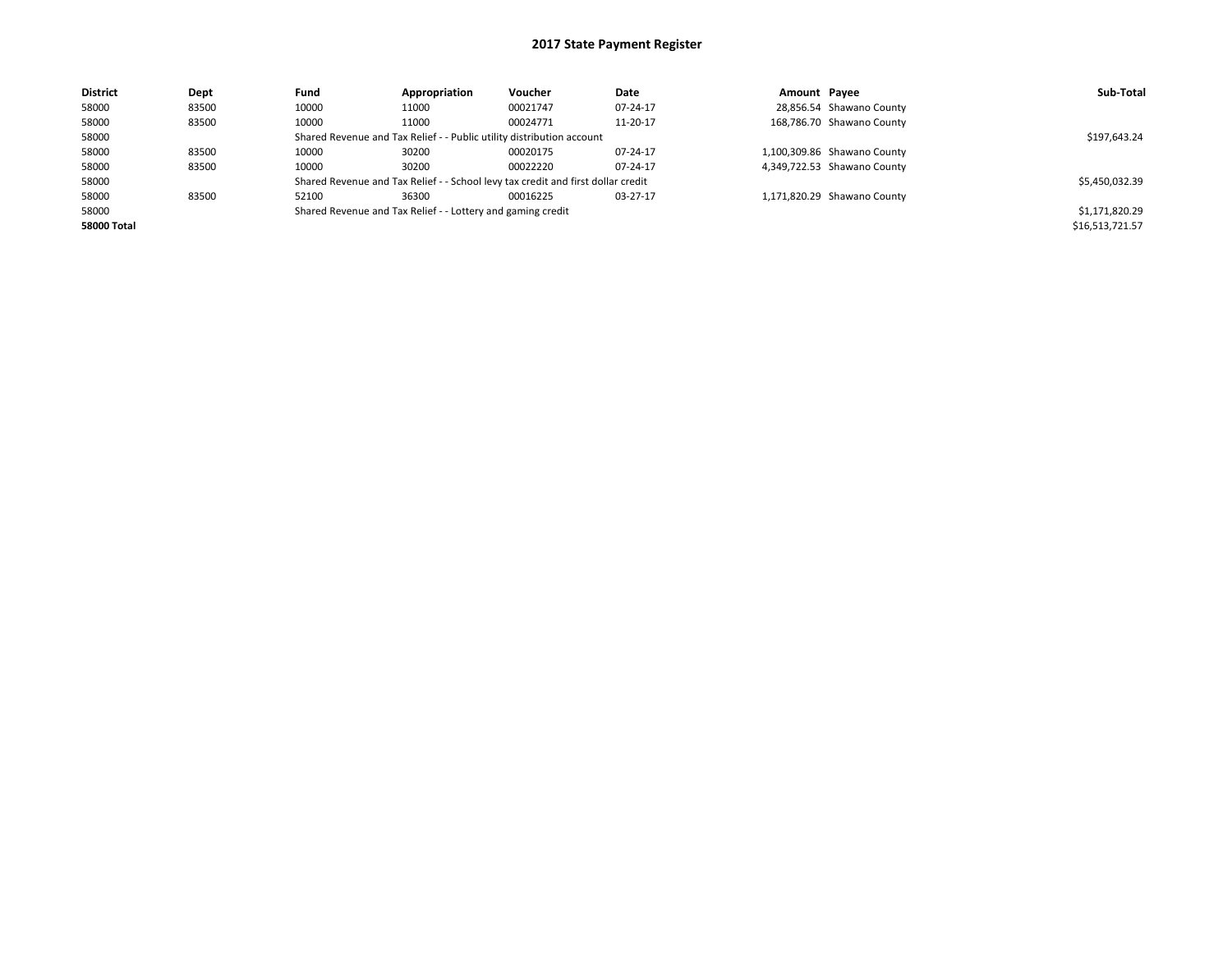| <b>District</b> | Dept  | Fund  | Appropriation                                                         | Voucher                                                                          | Date     | Amount Payee |                             | Sub-Total       |
|-----------------|-------|-------|-----------------------------------------------------------------------|----------------------------------------------------------------------------------|----------|--------------|-----------------------------|-----------------|
| 58000           | 83500 | 10000 | 11000                                                                 | 00021747                                                                         | 07-24-17 |              | 28,856.54 Shawano County    |                 |
| 58000           | 83500 | 10000 | 11000                                                                 | 00024771                                                                         | 11-20-17 |              | 168,786.70 Shawano County   |                 |
| 58000           |       |       | Shared Revenue and Tax Relief - - Public utility distribution account |                                                                                  |          |              |                             | \$197,643.24    |
| 58000           | 83500 | 10000 | 30200                                                                 | 00020175                                                                         | 07-24-17 |              | 1,100,309.86 Shawano County |                 |
| 58000           | 83500 | 10000 | 30200                                                                 | 00022220                                                                         | 07-24-17 |              | 4,349,722.53 Shawano County |                 |
| 58000           |       |       |                                                                       | Shared Revenue and Tax Relief - - School levy tax credit and first dollar credit |          |              |                             | \$5,450,032.39  |
| 58000           | 83500 | 52100 | 36300                                                                 | 00016225                                                                         | 03-27-17 |              | 1,171,820.29 Shawano County |                 |
| 58000           |       |       | Shared Revenue and Tax Relief - - Lottery and gaming credit           |                                                                                  |          |              |                             | \$1,171,820.29  |
| 58000 Total     |       |       |                                                                       |                                                                                  |          |              |                             | \$16,513,721.57 |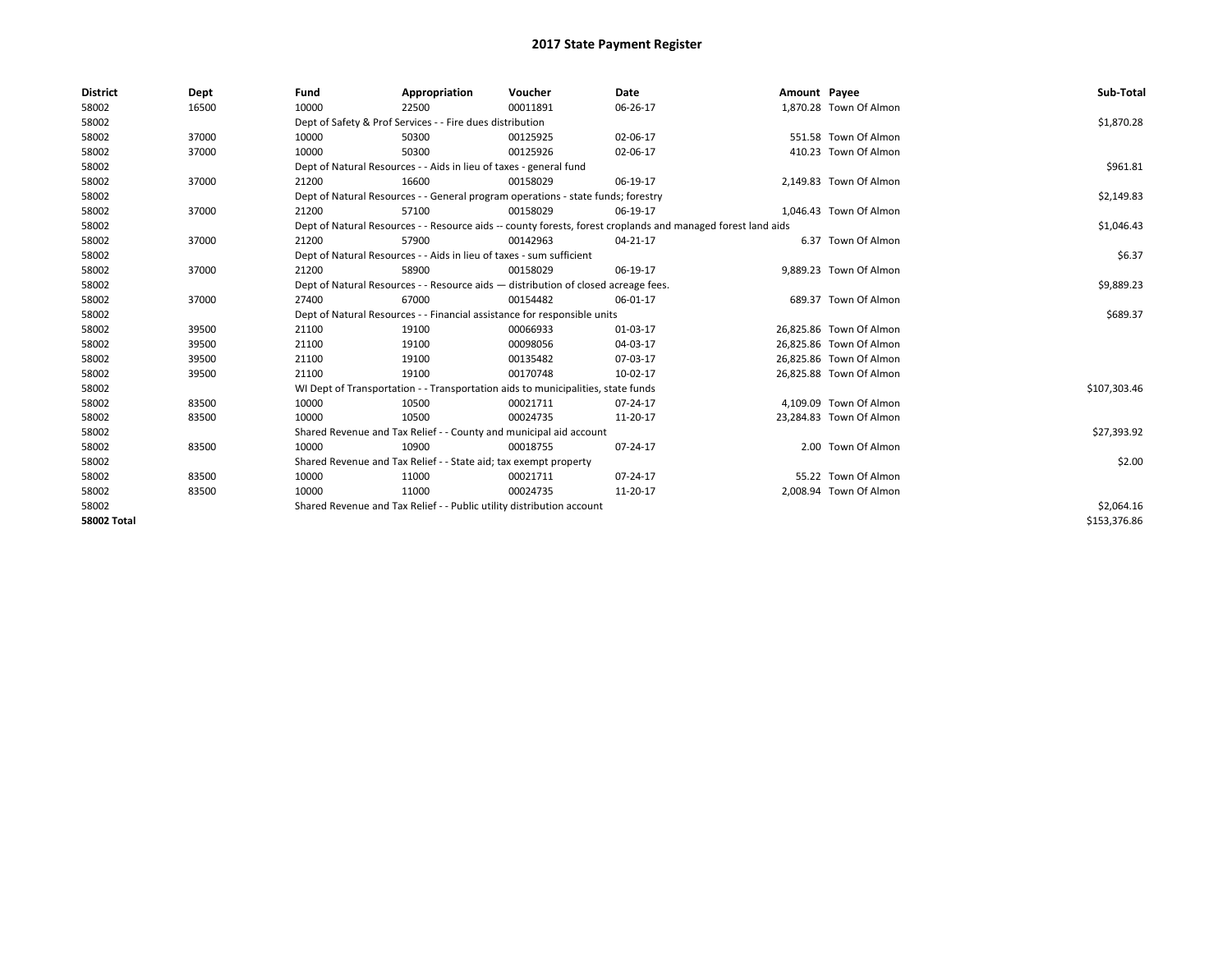| <b>District</b>    | Dept  | Fund  | Appropriation                                                                                                | Voucher  | Date           | Amount Payee |                         | Sub-Total    |  |  |  |
|--------------------|-------|-------|--------------------------------------------------------------------------------------------------------------|----------|----------------|--------------|-------------------------|--------------|--|--|--|
| 58002              | 16500 | 10000 | 22500                                                                                                        | 00011891 | 06-26-17       |              | 1,870.28 Town Of Almon  |              |  |  |  |
| 58002              |       |       | Dept of Safety & Prof Services - - Fire dues distribution                                                    |          |                |              |                         | \$1,870.28   |  |  |  |
| 58002              | 37000 | 10000 | 50300                                                                                                        | 00125925 | 02-06-17       |              | 551.58 Town Of Almon    |              |  |  |  |
| 58002              | 37000 | 10000 | 50300                                                                                                        | 00125926 | 02-06-17       |              | 410.23 Town Of Almon    |              |  |  |  |
| 58002              |       |       | Dept of Natural Resources - - Aids in lieu of taxes - general fund                                           |          | \$961.81       |              |                         |              |  |  |  |
| 58002              | 37000 | 21200 | 16600                                                                                                        | 00158029 | 06-19-17       |              | 2,149.83 Town Of Almon  |              |  |  |  |
| 58002              |       |       | Dept of Natural Resources - - General program operations - state funds; forestry                             |          |                |              |                         | \$2,149.83   |  |  |  |
| 58002              | 37000 | 21200 | 57100                                                                                                        | 00158029 | 06-19-17       |              | 1,046.43 Town Of Almon  |              |  |  |  |
| 58002              |       |       | Dept of Natural Resources - - Resource aids -- county forests, forest croplands and managed forest land aids |          | \$1,046.43     |              |                         |              |  |  |  |
| 58002              | 37000 | 21200 | 57900                                                                                                        | 00142963 | $04 - 21 - 17$ |              | 6.37 Town Of Almon      |              |  |  |  |
| 58002              |       |       | Dept of Natural Resources - - Aids in lieu of taxes - sum sufficient                                         |          |                |              |                         | \$6.37       |  |  |  |
| 58002              | 37000 | 21200 | 58900                                                                                                        | 00158029 | 06-19-17       |              | 9,889.23 Town Of Almon  |              |  |  |  |
| 58002              |       |       | Dept of Natural Resources - - Resource aids - distribution of closed acreage fees.                           |          |                |              |                         |              |  |  |  |
| 58002              | 37000 | 27400 | 67000                                                                                                        | 00154482 | 06-01-17       |              | 689.37 Town Of Almon    |              |  |  |  |
| 58002              |       |       | Dept of Natural Resources - - Financial assistance for responsible units                                     |          |                |              |                         | \$689.37     |  |  |  |
| 58002              | 39500 | 21100 | 19100                                                                                                        | 00066933 | 01-03-17       |              | 26,825.86 Town Of Almon |              |  |  |  |
| 58002              | 39500 | 21100 | 19100                                                                                                        | 00098056 | 04-03-17       |              | 26,825.86 Town Of Almon |              |  |  |  |
| 58002              | 39500 | 21100 | 19100                                                                                                        | 00135482 | 07-03-17       |              | 26,825.86 Town Of Almon |              |  |  |  |
| 58002              | 39500 | 21100 | 19100                                                                                                        | 00170748 | 10-02-17       |              | 26,825.88 Town Of Almon |              |  |  |  |
| 58002              |       |       | WI Dept of Transportation - - Transportation aids to municipalities, state funds                             |          |                |              |                         | \$107,303.46 |  |  |  |
| 58002              | 83500 | 10000 | 10500                                                                                                        | 00021711 | 07-24-17       |              | 4,109.09 Town Of Almon  |              |  |  |  |
| 58002              | 83500 | 10000 | 10500                                                                                                        | 00024735 | 11-20-17       |              | 23,284.83 Town Of Almon |              |  |  |  |
| 58002              |       |       | Shared Revenue and Tax Relief - - County and municipal aid account                                           |          |                |              |                         | \$27,393.92  |  |  |  |
| 58002              | 83500 | 10000 | 10900                                                                                                        | 00018755 | 07-24-17       |              | 2.00 Town Of Almon      |              |  |  |  |
| 58002              |       |       | Shared Revenue and Tax Relief - - State aid; tax exempt property                                             |          |                |              |                         | \$2.00       |  |  |  |
| 58002              | 83500 | 10000 | 11000                                                                                                        | 00021711 | 07-24-17       |              | 55.22 Town Of Almon     |              |  |  |  |
| 58002              | 83500 | 10000 | 11000                                                                                                        | 00024735 | 11-20-17       |              | 2,008.94 Town Of Almon  |              |  |  |  |
| 58002              |       |       | Shared Revenue and Tax Relief - - Public utility distribution account                                        |          |                |              |                         | \$2,064.16   |  |  |  |
| <b>58002 Total</b> |       |       |                                                                                                              |          |                |              |                         | \$153,376.86 |  |  |  |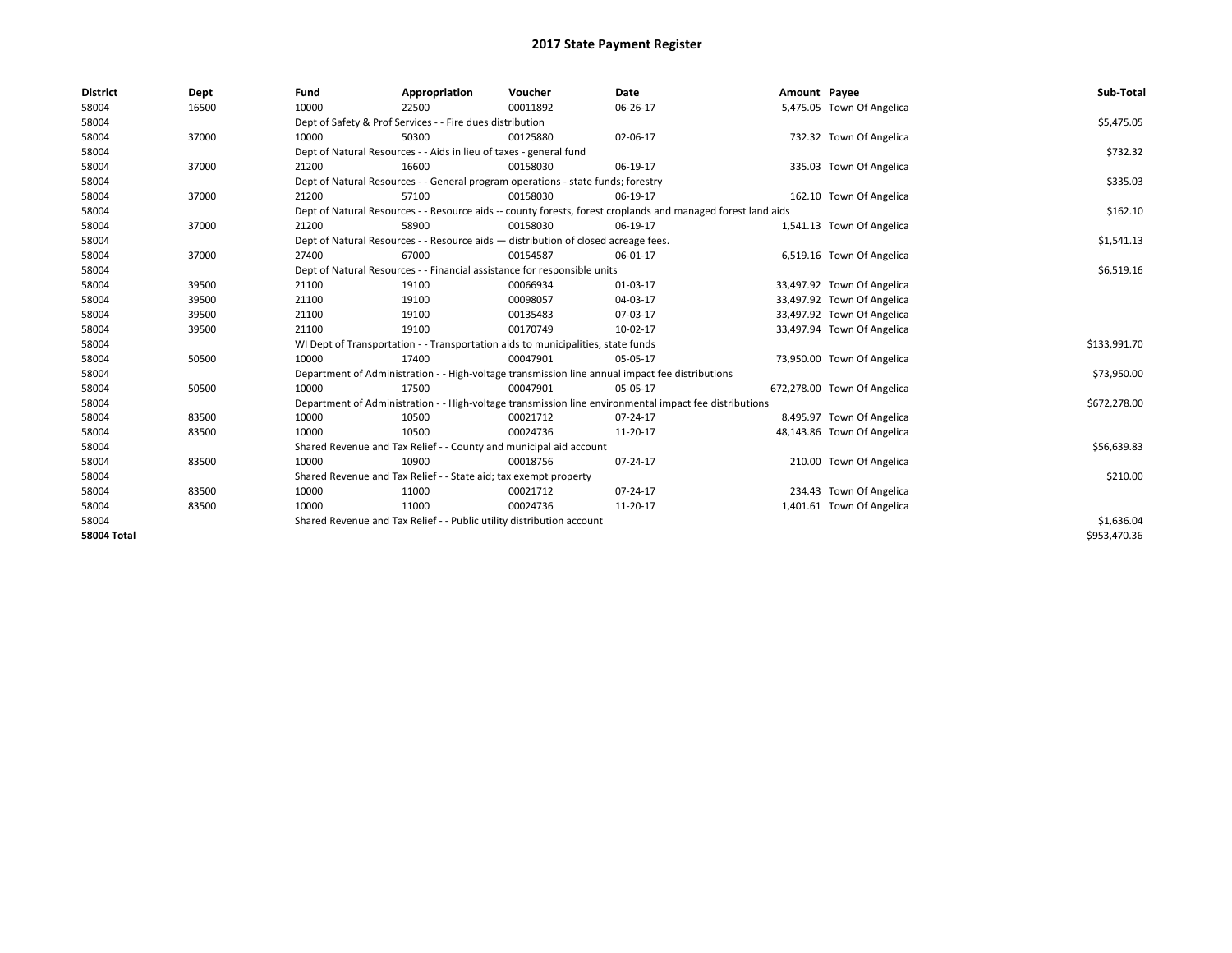| <b>District</b>    | Dept  | Fund  | Appropriation                                                                                                | Voucher  | Date       | Amount Payee |                             | Sub-Total    |
|--------------------|-------|-------|--------------------------------------------------------------------------------------------------------------|----------|------------|--------------|-----------------------------|--------------|
| 58004              | 16500 | 10000 | 22500                                                                                                        | 00011892 | 06-26-17   |              | 5,475.05 Town Of Angelica   |              |
| 58004              |       |       | Dept of Safety & Prof Services - - Fire dues distribution                                                    |          |            |              |                             | \$5,475.05   |
| 58004              | 37000 | 10000 | 50300                                                                                                        | 00125880 | 02-06-17   |              | 732.32 Town Of Angelica     |              |
| 58004              |       |       | Dept of Natural Resources - - Aids in lieu of taxes - general fund                                           |          |            |              |                             | \$732.32     |
| 58004              | 37000 | 21200 | 16600                                                                                                        | 00158030 | 06-19-17   |              | 335.03 Town Of Angelica     |              |
| 58004              |       |       | Dept of Natural Resources - - General program operations - state funds; forestry                             |          | \$335.03   |              |                             |              |
| 58004              | 37000 | 21200 | 57100                                                                                                        | 00158030 | 06-19-17   |              | 162.10 Town Of Angelica     |              |
| 58004              |       |       | Dept of Natural Resources - - Resource aids -- county forests, forest croplands and managed forest land aids |          | \$162.10   |              |                             |              |
| 58004              | 37000 | 21200 | 58900                                                                                                        | 00158030 | 06-19-17   |              | 1,541.13 Town Of Angelica   |              |
| 58004              |       |       | Dept of Natural Resources - - Resource aids - distribution of closed acreage fees.                           |          |            |              |                             | \$1,541.13   |
| 58004              | 37000 | 27400 | 67000                                                                                                        | 00154587 | 06-01-17   |              | 6,519.16 Town Of Angelica   |              |
| 58004              |       |       | Dept of Natural Resources - - Financial assistance for responsible units                                     |          | \$6,519.16 |              |                             |              |
| 58004              | 39500 | 21100 | 19100                                                                                                        | 00066934 | 01-03-17   |              | 33,497.92 Town Of Angelica  |              |
| 58004              | 39500 | 21100 | 19100                                                                                                        | 00098057 | 04-03-17   |              | 33,497.92 Town Of Angelica  |              |
| 58004              | 39500 | 21100 | 19100                                                                                                        | 00135483 | 07-03-17   |              | 33,497.92 Town Of Angelica  |              |
| 58004              | 39500 | 21100 | 19100                                                                                                        | 00170749 | 10-02-17   |              | 33,497.94 Town Of Angelica  |              |
| 58004              |       |       | WI Dept of Transportation - - Transportation aids to municipalities, state funds                             |          |            |              |                             | \$133,991.70 |
| 58004              | 50500 | 10000 | 17400                                                                                                        | 00047901 | 05-05-17   |              | 73,950.00 Town Of Angelica  |              |
| 58004              |       |       | Department of Administration - - High-voltage transmission line annual impact fee distributions              |          |            |              |                             | \$73,950.00  |
| 58004              | 50500 | 10000 | 17500                                                                                                        | 00047901 | 05-05-17   |              | 672,278.00 Town Of Angelica |              |
| 58004              |       |       | Department of Administration - - High-voltage transmission line environmental impact fee distributions       |          |            |              |                             | \$672,278.00 |
| 58004              | 83500 | 10000 | 10500                                                                                                        | 00021712 | 07-24-17   |              | 8,495.97 Town Of Angelica   |              |
| 58004              | 83500 | 10000 | 10500                                                                                                        | 00024736 | 11-20-17   |              | 48,143.86 Town Of Angelica  |              |
| 58004              |       |       | Shared Revenue and Tax Relief - - County and municipal aid account                                           |          |            |              |                             | \$56,639.83  |
| 58004              | 83500 | 10000 | 10900                                                                                                        | 00018756 | 07-24-17   |              | 210.00 Town Of Angelica     |              |
| 58004              |       |       | Shared Revenue and Tax Relief - - State aid; tax exempt property                                             |          |            |              |                             | \$210.00     |
| 58004              | 83500 | 10000 | 11000                                                                                                        | 00021712 | 07-24-17   |              | 234.43 Town Of Angelica     |              |
| 58004              | 83500 | 10000 | 11000                                                                                                        | 00024736 | 11-20-17   |              | 1,401.61 Town Of Angelica   |              |
| 58004              |       |       | Shared Revenue and Tax Relief - - Public utility distribution account                                        |          |            |              |                             | \$1,636.04   |
| <b>58004 Total</b> |       |       |                                                                                                              |          |            |              |                             | \$953,470.36 |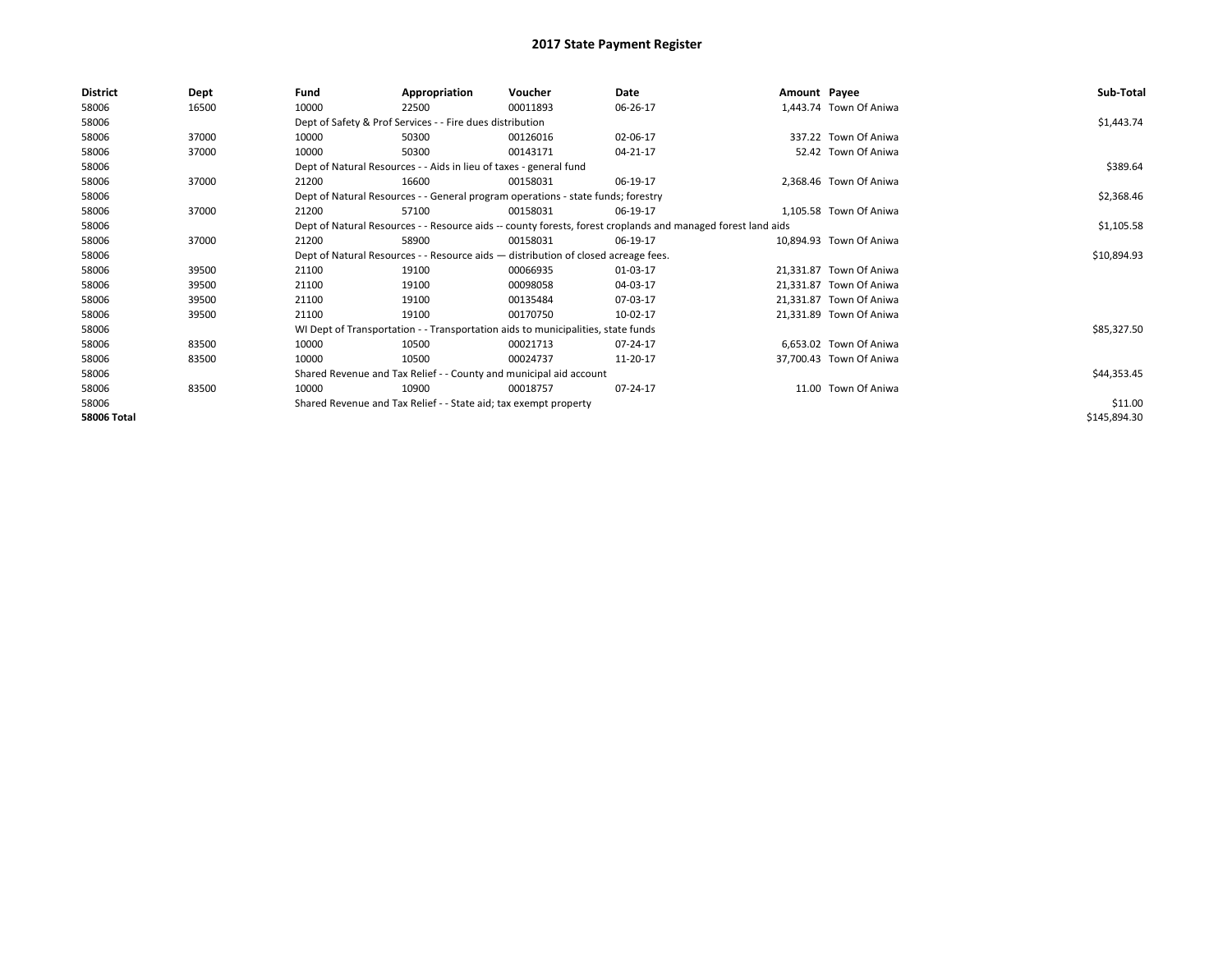| <b>District</b>    | Dept  | Fund  | Appropriation                                                                                                | Voucher  | Date     | Amount Payee |                         | Sub-Total    |  |  |  |
|--------------------|-------|-------|--------------------------------------------------------------------------------------------------------------|----------|----------|--------------|-------------------------|--------------|--|--|--|
| 58006              | 16500 | 10000 | 22500                                                                                                        | 00011893 | 06-26-17 |              | 1,443.74 Town Of Aniwa  |              |  |  |  |
| 58006              |       |       | Dept of Safety & Prof Services - - Fire dues distribution                                                    |          |          |              |                         | \$1,443.74   |  |  |  |
| 58006              | 37000 | 10000 | 50300                                                                                                        | 00126016 | 02-06-17 |              | 337.22 Town Of Aniwa    |              |  |  |  |
| 58006              | 37000 | 10000 | 50300                                                                                                        | 00143171 | 04-21-17 |              | 52.42 Town Of Aniwa     |              |  |  |  |
| 58006              |       |       | Dept of Natural Resources - - Aids in lieu of taxes - general fund                                           |          |          |              |                         | \$389.64     |  |  |  |
| 58006              | 37000 | 21200 | 16600                                                                                                        | 00158031 | 06-19-17 |              | 2,368.46 Town Of Aniwa  |              |  |  |  |
| 58006              |       |       | Dept of Natural Resources - - General program operations - state funds; forestry                             |          |          |              |                         | \$2,368.46   |  |  |  |
| 58006              | 37000 | 21200 | 57100                                                                                                        | 00158031 | 06-19-17 |              | 1,105.58 Town Of Aniwa  |              |  |  |  |
| 58006              |       |       | Dept of Natural Resources - - Resource aids -- county forests, forest croplands and managed forest land aids |          |          |              |                         |              |  |  |  |
| 58006              | 37000 | 21200 | 58900                                                                                                        | 00158031 | 06-19-17 |              | 10,894.93 Town Of Aniwa |              |  |  |  |
| 58006              |       |       | Dept of Natural Resources - - Resource aids - distribution of closed acreage fees.                           |          |          |              |                         |              |  |  |  |
| 58006              | 39500 | 21100 | 19100                                                                                                        | 00066935 | 01-03-17 |              | 21,331.87 Town Of Aniwa |              |  |  |  |
| 58006              | 39500 | 21100 | 19100                                                                                                        | 00098058 | 04-03-17 |              | 21,331.87 Town Of Aniwa |              |  |  |  |
| 58006              | 39500 | 21100 | 19100                                                                                                        | 00135484 | 07-03-17 |              | 21,331.87 Town Of Aniwa |              |  |  |  |
| 58006              | 39500 | 21100 | 19100                                                                                                        | 00170750 | 10-02-17 |              | 21,331.89 Town Of Aniwa |              |  |  |  |
| 58006              |       |       | WI Dept of Transportation - - Transportation aids to municipalities, state funds                             |          |          |              |                         | \$85,327.50  |  |  |  |
| 58006              | 83500 | 10000 | 10500                                                                                                        | 00021713 | 07-24-17 |              | 6,653.02 Town Of Aniwa  |              |  |  |  |
| 58006              | 83500 | 10000 | 10500                                                                                                        | 00024737 | 11-20-17 |              | 37,700.43 Town Of Aniwa |              |  |  |  |
| 58006              |       |       | Shared Revenue and Tax Relief - - County and municipal aid account                                           |          |          |              |                         | \$44,353.45  |  |  |  |
| 58006              | 83500 | 10000 | 10900                                                                                                        | 00018757 | 07-24-17 |              | 11.00 Town Of Aniwa     |              |  |  |  |
| 58006              |       |       | Shared Revenue and Tax Relief - - State aid; tax exempt property                                             |          |          |              |                         | \$11.00      |  |  |  |
| <b>58006 Total</b> |       |       |                                                                                                              |          |          |              |                         | \$145,894.30 |  |  |  |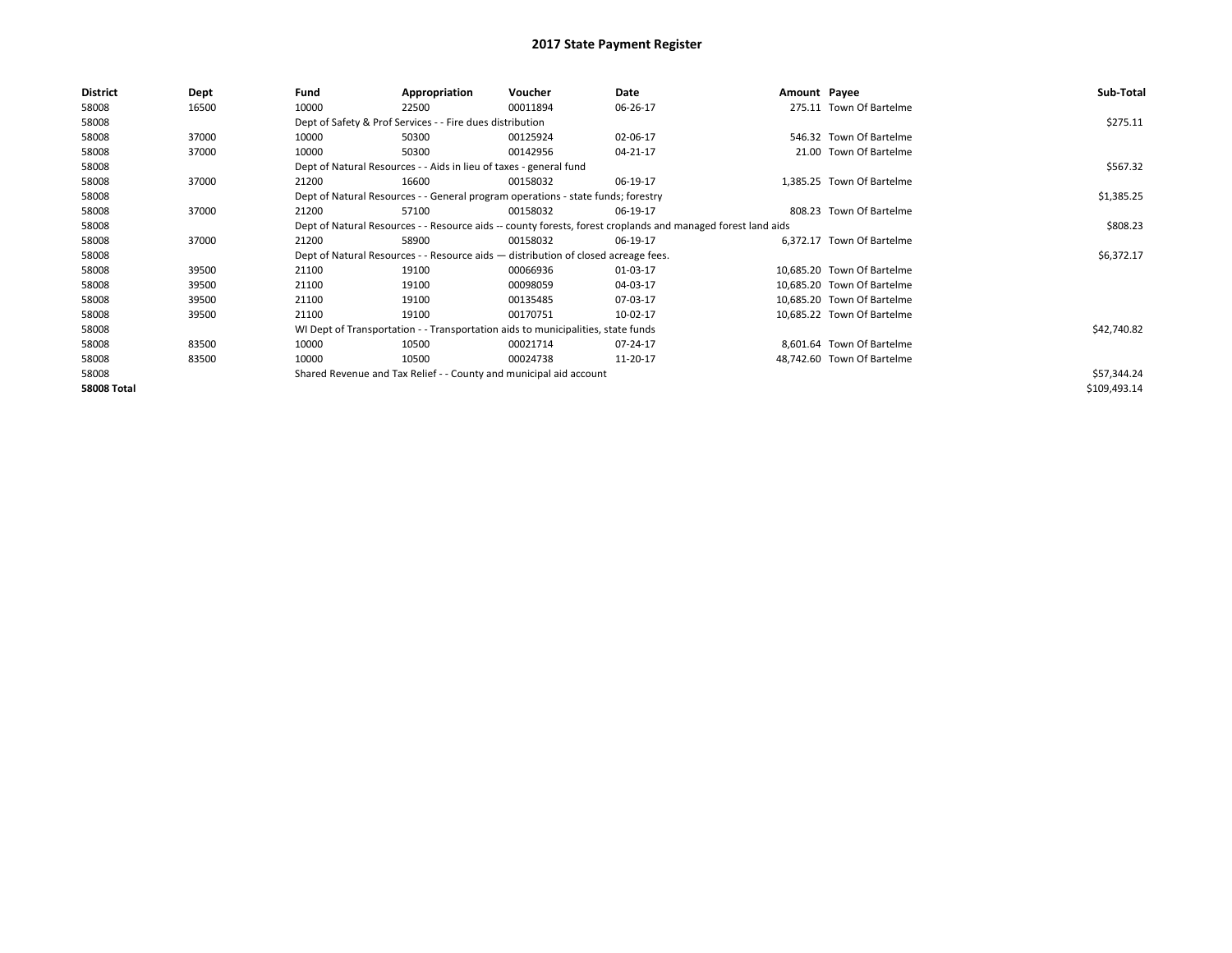| <b>District</b>    | Dept  | Fund  | Appropriation                                                                                                | Voucher  | Date       | Amount Payee |                            | Sub-Total    |
|--------------------|-------|-------|--------------------------------------------------------------------------------------------------------------|----------|------------|--------------|----------------------------|--------------|
| 58008              | 16500 | 10000 | 22500                                                                                                        | 00011894 | 06-26-17   |              | 275.11 Town Of Bartelme    |              |
| 58008              |       |       | Dept of Safety & Prof Services - - Fire dues distribution                                                    |          |            |              |                            | \$275.11     |
| 58008              | 37000 | 10000 | 50300                                                                                                        | 00125924 | 02-06-17   |              | 546.32 Town Of Bartelme    |              |
| 58008              | 37000 | 10000 | 50300                                                                                                        | 00142956 | 04-21-17   |              | 21.00 Town Of Bartelme     |              |
| 58008              |       |       | Dept of Natural Resources - - Aids in lieu of taxes - general fund                                           |          |            |              |                            | \$567.32     |
| 58008              | 37000 | 21200 | 16600                                                                                                        | 00158032 | 06-19-17   |              | 1,385.25 Town Of Bartelme  |              |
| 58008              |       |       | Dept of Natural Resources - - General program operations - state funds; forestry                             |          | \$1,385.25 |              |                            |              |
| 58008              | 37000 | 21200 | 57100                                                                                                        | 00158032 | 06-19-17   |              | 808.23 Town Of Bartelme    |              |
| 58008              |       |       | Dept of Natural Resources - - Resource aids -- county forests, forest croplands and managed forest land aids |          | \$808.23   |              |                            |              |
| 58008              | 37000 | 21200 | 58900                                                                                                        | 00158032 | 06-19-17   |              | 6.372.17 Town Of Bartelme  |              |
| 58008              |       |       | Dept of Natural Resources - - Resource aids - distribution of closed acreage fees.                           |          |            |              |                            | \$6,372.17   |
| 58008              | 39500 | 21100 | 19100                                                                                                        | 00066936 | 01-03-17   |              | 10,685.20 Town Of Bartelme |              |
| 58008              | 39500 | 21100 | 19100                                                                                                        | 00098059 | 04-03-17   |              | 10,685.20 Town Of Bartelme |              |
| 58008              | 39500 | 21100 | 19100                                                                                                        | 00135485 | 07-03-17   |              | 10,685.20 Town Of Bartelme |              |
| 58008              | 39500 | 21100 | 19100                                                                                                        | 00170751 | 10-02-17   |              | 10,685.22 Town Of Bartelme |              |
| 58008              |       |       | WI Dept of Transportation - - Transportation aids to municipalities, state funds                             |          |            |              |                            | \$42,740.82  |
| 58008              | 83500 | 10000 | 10500                                                                                                        | 00021714 | 07-24-17   |              | 8.601.64 Town Of Bartelme  |              |
| 58008              | 83500 | 10000 | 10500                                                                                                        | 00024738 | 11-20-17   |              | 48,742.60 Town Of Bartelme |              |
| 58008              |       |       | Shared Revenue and Tax Relief - - County and municipal aid account                                           |          |            |              |                            | \$57,344.24  |
| <b>58008 Total</b> |       |       |                                                                                                              |          |            |              |                            | \$109,493.14 |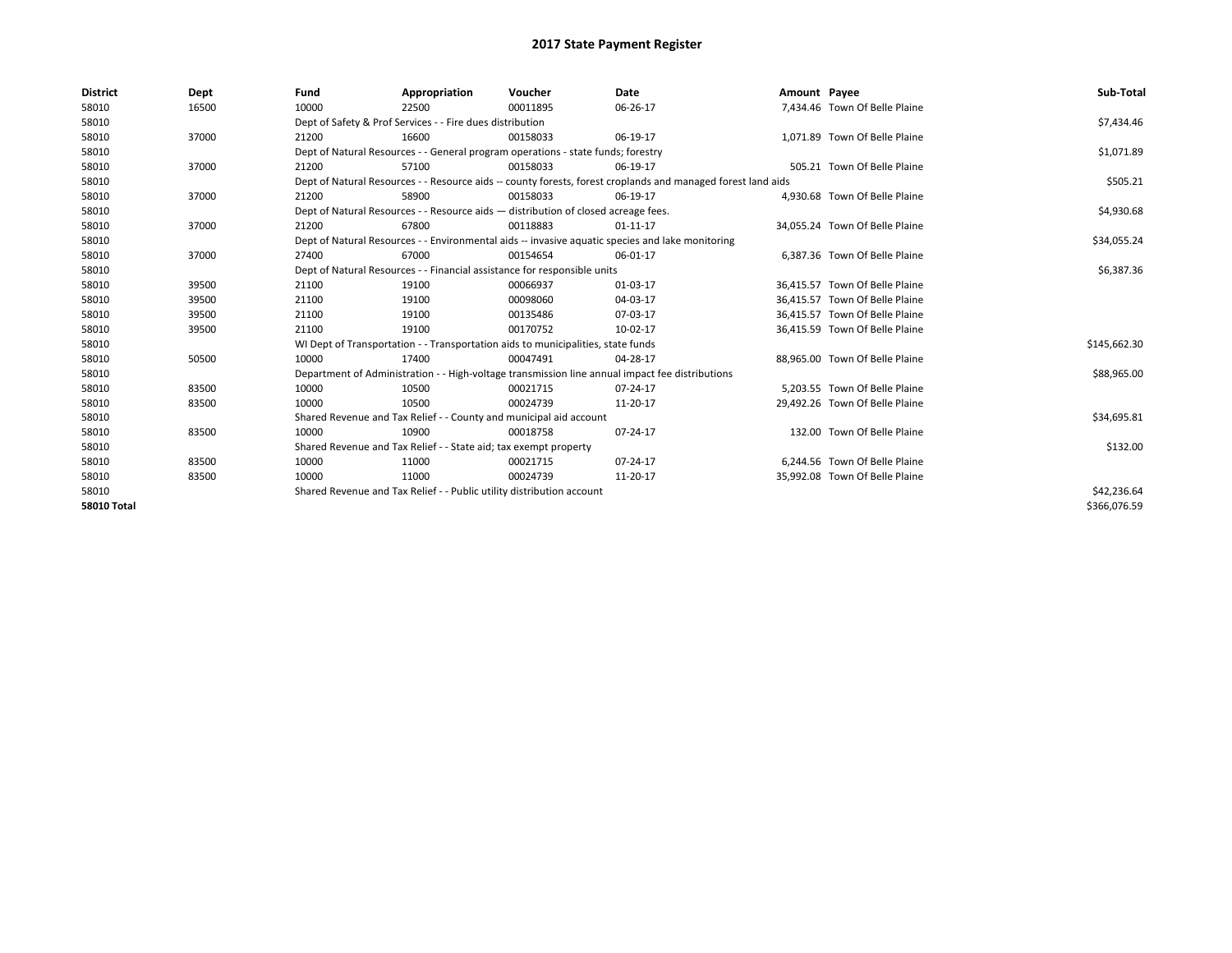| <b>District</b>    | Dept  | Fund  | Appropriation                                                                                                | Voucher  | Date           | Amount Payee |                                | Sub-Total    |
|--------------------|-------|-------|--------------------------------------------------------------------------------------------------------------|----------|----------------|--------------|--------------------------------|--------------|
| 58010              | 16500 | 10000 | 22500                                                                                                        | 00011895 | 06-26-17       |              | 7,434.46 Town Of Belle Plaine  |              |
| 58010              |       |       | Dept of Safety & Prof Services - - Fire dues distribution                                                    |          |                |              |                                | \$7,434.46   |
| 58010              | 37000 | 21200 | 16600                                                                                                        | 00158033 | 06-19-17       |              | 1,071.89 Town Of Belle Plaine  |              |
| 58010              |       |       | Dept of Natural Resources - - General program operations - state funds; forestry                             |          |                |              |                                | \$1,071.89   |
| 58010              | 37000 | 21200 | 57100                                                                                                        | 00158033 | 06-19-17       |              | 505.21 Town Of Belle Plaine    |              |
| 58010              |       |       | Dept of Natural Resources - - Resource aids -- county forests, forest croplands and managed forest land aids |          |                |              |                                | \$505.21     |
| 58010              | 37000 | 21200 | 58900                                                                                                        | 00158033 | 06-19-17       |              | 4,930.68 Town Of Belle Plaine  |              |
| 58010              |       |       | Dept of Natural Resources - - Resource aids - distribution of closed acreage fees.                           |          |                |              |                                | \$4,930.68   |
| 58010              | 37000 | 21200 | 67800                                                                                                        | 00118883 | $01 - 11 - 17$ |              | 34,055.24 Town Of Belle Plaine |              |
| 58010              |       |       | Dept of Natural Resources - - Environmental aids -- invasive aquatic species and lake monitoring             |          | \$34,055.24    |              |                                |              |
| 58010              | 37000 | 27400 | 67000                                                                                                        | 00154654 | 06-01-17       |              | 6.387.36 Town Of Belle Plaine  |              |
| 58010              |       |       | Dept of Natural Resources - - Financial assistance for responsible units                                     |          |                |              |                                | \$6,387.36   |
| 58010              | 39500 | 21100 | 19100                                                                                                        | 00066937 | 01-03-17       |              | 36.415.57 Town Of Belle Plaine |              |
| 58010              | 39500 | 21100 | 19100                                                                                                        | 00098060 | 04-03-17       |              | 36.415.57 Town Of Belle Plaine |              |
| 58010              | 39500 | 21100 | 19100                                                                                                        | 00135486 | 07-03-17       |              | 36.415.57 Town Of Belle Plaine |              |
| 58010              | 39500 | 21100 | 19100                                                                                                        | 00170752 | 10-02-17       |              | 36,415.59 Town Of Belle Plaine |              |
| 58010              |       |       | WI Dept of Transportation - - Transportation aids to municipalities, state funds                             |          |                |              |                                | \$145,662.30 |
| 58010              | 50500 | 10000 | 17400                                                                                                        | 00047491 | 04-28-17       |              | 88.965.00 Town Of Belle Plaine |              |
| 58010              |       |       | Department of Administration - - High-voltage transmission line annual impact fee distributions              |          |                |              |                                | \$88,965.00  |
| 58010              | 83500 | 10000 | 10500                                                                                                        | 00021715 | 07-24-17       |              | 5,203.55 Town Of Belle Plaine  |              |
| 58010              | 83500 | 10000 | 10500                                                                                                        | 00024739 | 11-20-17       |              | 29,492.26 Town Of Belle Plaine |              |
| 58010              |       |       | Shared Revenue and Tax Relief - - County and municipal aid account                                           |          |                |              |                                | \$34,695.81  |
| 58010              | 83500 | 10000 | 10900                                                                                                        | 00018758 | 07-24-17       |              | 132.00 Town Of Belle Plaine    |              |
| 58010              |       |       | Shared Revenue and Tax Relief - - State aid; tax exempt property                                             |          |                |              |                                | \$132.00     |
| 58010              | 83500 | 10000 | 11000                                                                                                        | 00021715 | 07-24-17       |              | 6,244.56 Town Of Belle Plaine  |              |
| 58010              | 83500 | 10000 | 11000                                                                                                        | 00024739 | 11-20-17       |              | 35,992.08 Town Of Belle Plaine |              |
| 58010              |       |       | Shared Revenue and Tax Relief - - Public utility distribution account                                        |          |                |              |                                | \$42,236.64  |
| <b>58010 Total</b> |       |       |                                                                                                              |          |                |              |                                | \$366.076.59 |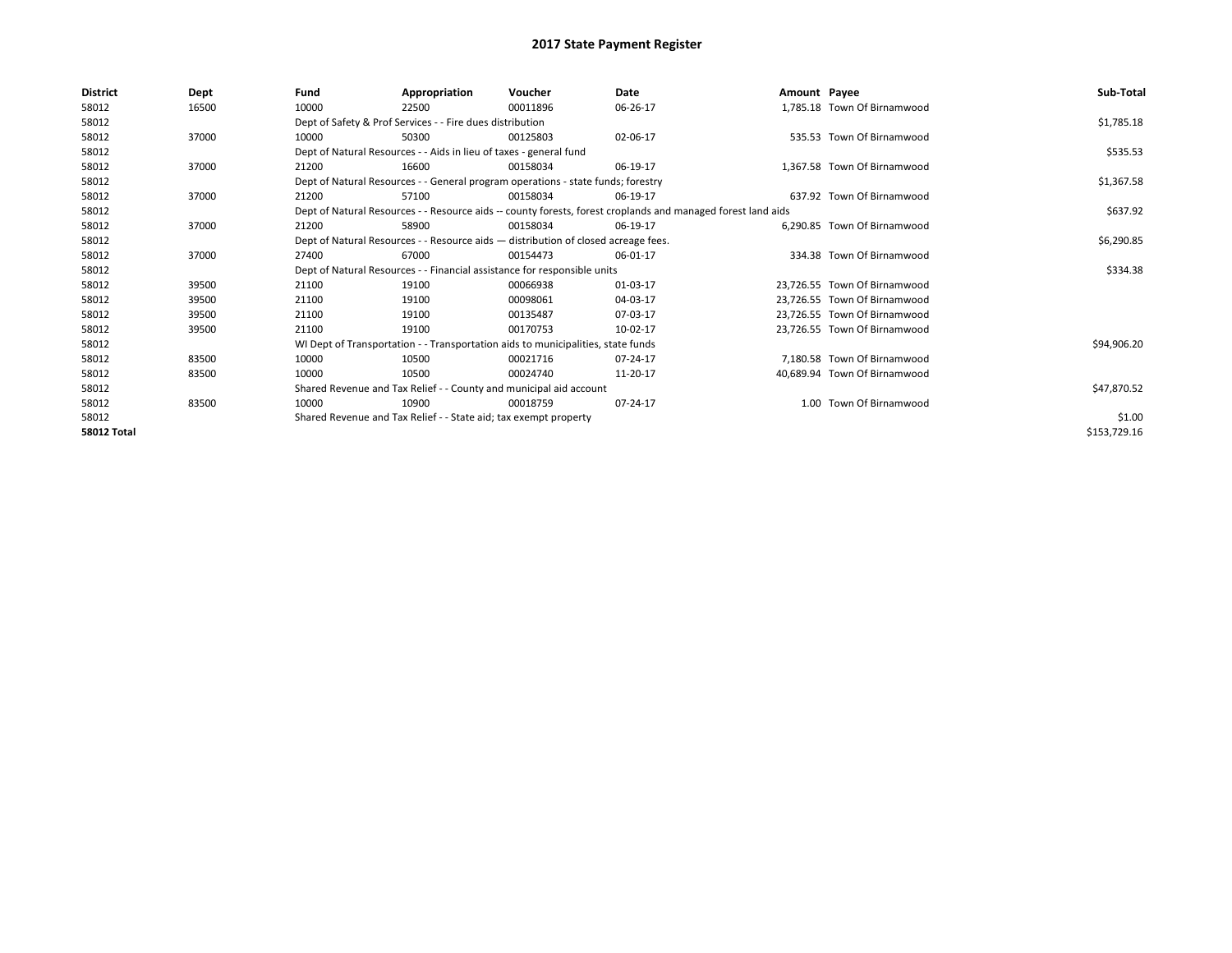| District           | Dept  | Fund  | Appropriation                                                                      | Voucher  | Date                                                                                                         | Amount Payee |                              | Sub-Total    |
|--------------------|-------|-------|------------------------------------------------------------------------------------|----------|--------------------------------------------------------------------------------------------------------------|--------------|------------------------------|--------------|
| 58012              | 16500 | 10000 | 22500                                                                              | 00011896 | 06-26-17                                                                                                     |              | 1,785.18 Town Of Birnamwood  |              |
| 58012              |       |       | Dept of Safety & Prof Services - - Fire dues distribution                          |          |                                                                                                              |              |                              | \$1,785.18   |
| 58012              | 37000 | 10000 | 50300                                                                              | 00125803 | 02-06-17                                                                                                     |              | 535.53 Town Of Birnamwood    |              |
| 58012              |       |       | Dept of Natural Resources - - Aids in lieu of taxes - general fund                 |          |                                                                                                              |              |                              | \$535.53     |
| 58012              | 37000 | 21200 | 16600                                                                              | 00158034 | 06-19-17                                                                                                     |              | 1,367.58 Town Of Birnamwood  |              |
| 58012              |       |       | Dept of Natural Resources - - General program operations - state funds; forestry   |          |                                                                                                              |              |                              | \$1,367.58   |
| 58012              | 37000 | 21200 | 57100                                                                              | 00158034 | 06-19-17                                                                                                     |              | 637.92 Town Of Birnamwood    |              |
| 58012              |       |       |                                                                                    |          | Dept of Natural Resources - - Resource aids -- county forests, forest croplands and managed forest land aids |              |                              | \$637.92     |
| 58012              | 37000 | 21200 | 58900                                                                              | 00158034 | 06-19-17                                                                                                     |              | 6,290.85 Town Of Birnamwood  |              |
| 58012              |       |       | Dept of Natural Resources - - Resource aids - distribution of closed acreage fees. |          |                                                                                                              |              |                              | \$6,290.85   |
| 58012              | 37000 | 27400 | 67000                                                                              | 00154473 | 06-01-17                                                                                                     |              | 334.38 Town Of Birnamwood    |              |
| 58012              |       |       | Dept of Natural Resources - - Financial assistance for responsible units           |          |                                                                                                              |              |                              | \$334.38     |
| 58012              | 39500 | 21100 | 19100                                                                              | 00066938 | 01-03-17                                                                                                     |              | 23.726.55 Town Of Birnamwood |              |
| 58012              | 39500 | 21100 | 19100                                                                              | 00098061 | 04-03-17                                                                                                     |              | 23.726.55 Town Of Birnamwood |              |
| 58012              | 39500 | 21100 | 19100                                                                              | 00135487 | 07-03-17                                                                                                     |              | 23,726.55 Town Of Birnamwood |              |
| 58012              | 39500 | 21100 | 19100                                                                              | 00170753 | 10-02-17                                                                                                     |              | 23.726.55 Town Of Birnamwood |              |
| 58012              |       |       | WI Dept of Transportation - - Transportation aids to municipalities, state funds   |          |                                                                                                              |              |                              | \$94,906.20  |
| 58012              | 83500 | 10000 | 10500                                                                              | 00021716 | 07-24-17                                                                                                     |              | 7,180.58 Town Of Birnamwood  |              |
| 58012              | 83500 | 10000 | 10500                                                                              | 00024740 | 11-20-17                                                                                                     |              | 40.689.94 Town Of Birnamwood |              |
| 58012              |       |       | Shared Revenue and Tax Relief - - County and municipal aid account                 |          |                                                                                                              |              |                              | \$47,870.52  |
| 58012              | 83500 | 10000 | 10900                                                                              | 00018759 | 07-24-17                                                                                                     |              | 1.00 Town Of Birnamwood      |              |
| 58012              |       |       | Shared Revenue and Tax Relief - - State aid; tax exempt property                   |          |                                                                                                              |              |                              | \$1.00       |
| <b>58012 Total</b> |       |       |                                                                                    |          |                                                                                                              |              |                              | \$153,729.16 |
|                    |       |       |                                                                                    |          |                                                                                                              |              |                              |              |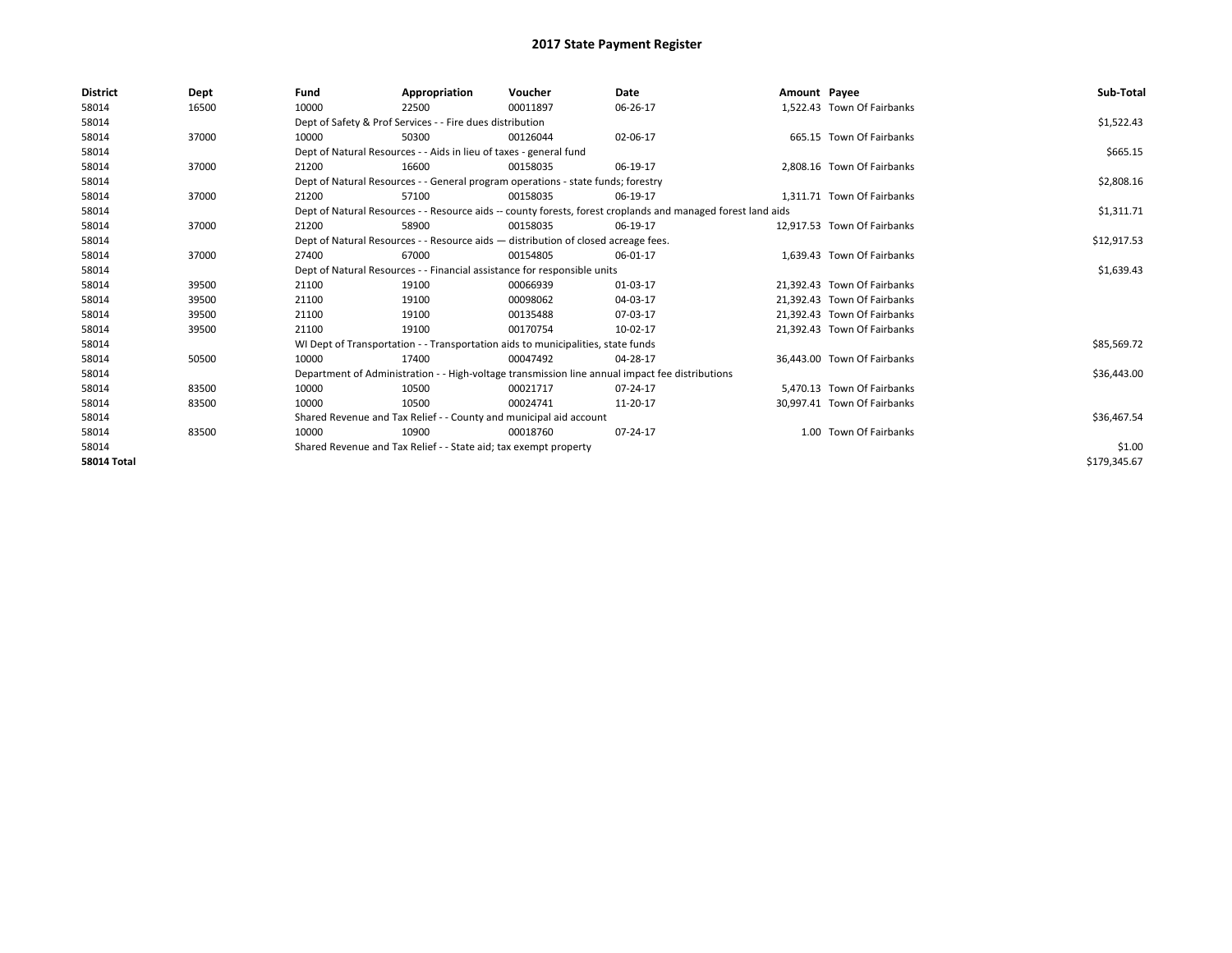| <b>District</b>    | Dept  | Fund                                                               | Appropriation                                                                                                | Voucher     | Date                                                                                            | Amount Payee |                             | Sub-Total    |
|--------------------|-------|--------------------------------------------------------------------|--------------------------------------------------------------------------------------------------------------|-------------|-------------------------------------------------------------------------------------------------|--------------|-----------------------------|--------------|
| 58014              | 16500 | 10000                                                              | 22500                                                                                                        | 00011897    | 06-26-17                                                                                        |              | 1.522.43 Town Of Fairbanks  |              |
| 58014              |       |                                                                    | Dept of Safety & Prof Services - - Fire dues distribution                                                    |             |                                                                                                 |              |                             | \$1,522.43   |
| 58014              | 37000 | 10000                                                              | 50300                                                                                                        | 00126044    | 02-06-17                                                                                        |              | 665.15 Town Of Fairbanks    |              |
| 58014              |       |                                                                    | Dept of Natural Resources - - Aids in lieu of taxes - general fund                                           |             |                                                                                                 |              |                             | \$665.15     |
| 58014              | 37000 | 21200                                                              | 16600                                                                                                        | 00158035    | 06-19-17                                                                                        |              | 2.808.16 Town Of Fairbanks  |              |
| 58014              |       |                                                                    | Dept of Natural Resources - - General program operations - state funds; forestry                             |             |                                                                                                 |              |                             | \$2,808.16   |
| 58014              | 37000 | 21200                                                              | 57100                                                                                                        | 00158035    | 06-19-17                                                                                        |              | 1.311.71 Town Of Fairbanks  |              |
| 58014              |       |                                                                    | Dept of Natural Resources - - Resource aids -- county forests, forest croplands and managed forest land aids |             | \$1,311.71                                                                                      |              |                             |              |
| 58014              | 37000 | 21200                                                              | 58900                                                                                                        | 00158035    | 06-19-17                                                                                        |              | 12,917.53 Town Of Fairbanks |              |
| 58014              |       |                                                                    | Dept of Natural Resources - - Resource aids - distribution of closed acreage fees.                           |             |                                                                                                 |              |                             | \$12,917.53  |
| 58014              | 37000 | 27400                                                              | 67000                                                                                                        | 00154805    | 06-01-17                                                                                        |              | 1,639.43 Town Of Fairbanks  |              |
| 58014              |       |                                                                    | Dept of Natural Resources - - Financial assistance for responsible units                                     |             | \$1,639.43                                                                                      |              |                             |              |
| 58014              | 39500 | 21100                                                              | 19100                                                                                                        | 00066939    | 01-03-17                                                                                        |              | 21.392.43 Town Of Fairbanks |              |
| 58014              | 39500 | 21100                                                              | 19100                                                                                                        | 00098062    | 04-03-17                                                                                        |              | 21.392.43 Town Of Fairbanks |              |
| 58014              | 39500 | 21100                                                              | 19100                                                                                                        | 00135488    | 07-03-17                                                                                        |              | 21,392.43 Town Of Fairbanks |              |
| 58014              | 39500 | 21100                                                              | 19100                                                                                                        | 00170754    | 10-02-17                                                                                        |              | 21,392.43 Town Of Fairbanks |              |
| 58014              |       |                                                                    | WI Dept of Transportation - - Transportation aids to municipalities, state funds                             |             |                                                                                                 |              |                             | \$85,569.72  |
| 58014              | 50500 | 10000                                                              | 17400                                                                                                        | 00047492    | 04-28-17                                                                                        |              | 36,443.00 Town Of Fairbanks |              |
| 58014              |       |                                                                    |                                                                                                              |             | Department of Administration - - High-voltage transmission line annual impact fee distributions |              |                             | \$36,443.00  |
| 58014              | 83500 | 10000                                                              | 10500                                                                                                        | 00021717    | 07-24-17                                                                                        |              | 5,470.13 Town Of Fairbanks  |              |
| 58014              | 83500 | 10000                                                              | 10500                                                                                                        | 00024741    | 11-20-17                                                                                        |              | 30,997.41 Town Of Fairbanks |              |
| 58014              |       | Shared Revenue and Tax Relief - - County and municipal aid account |                                                                                                              | \$36,467.54 |                                                                                                 |              |                             |              |
| 58014              | 83500 | 10000                                                              | 10900                                                                                                        | 00018760    | 07-24-17                                                                                        |              | 1.00 Town Of Fairbanks      |              |
| 58014              |       |                                                                    | Shared Revenue and Tax Relief - - State aid; tax exempt property                                             |             |                                                                                                 |              |                             | \$1.00       |
| <b>58014 Total</b> |       |                                                                    |                                                                                                              |             |                                                                                                 |              |                             | \$179,345.67 |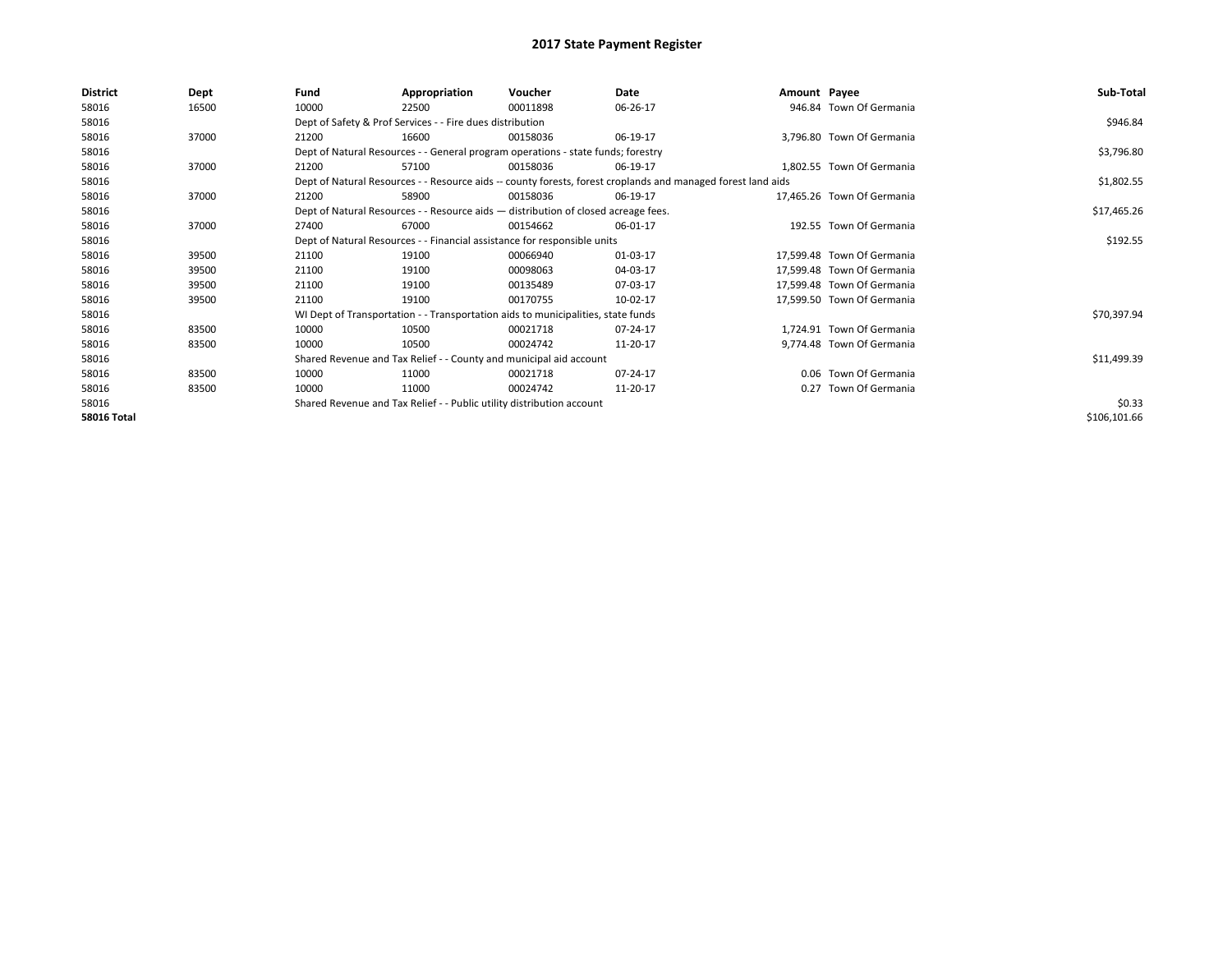| <b>District</b>    | Dept  | Fund                                                                                                         | Appropriation                                                                      | Voucher    | Date     | Amount Payee |                            | Sub-Total    |
|--------------------|-------|--------------------------------------------------------------------------------------------------------------|------------------------------------------------------------------------------------|------------|----------|--------------|----------------------------|--------------|
| 58016              | 16500 | 10000                                                                                                        | 22500                                                                              | 00011898   | 06-26-17 |              | 946.84 Town Of Germania    |              |
| 58016              |       |                                                                                                              | Dept of Safety & Prof Services - - Fire dues distribution                          |            |          |              |                            | \$946.84     |
| 58016              | 37000 | 21200                                                                                                        | 16600                                                                              | 00158036   | 06-19-17 |              | 3,796.80 Town Of Germania  |              |
| 58016              |       |                                                                                                              | Dept of Natural Resources - - General program operations - state funds; forestry   |            |          |              |                            | \$3,796.80   |
| 58016              | 37000 | 21200                                                                                                        | 57100                                                                              | 00158036   | 06-19-17 |              | 1,802.55 Town Of Germania  |              |
| 58016              |       | Dept of Natural Resources - - Resource aids -- county forests, forest croplands and managed forest land aids |                                                                                    | \$1,802.55 |          |              |                            |              |
| 58016              | 37000 | 21200                                                                                                        | 58900                                                                              | 00158036   | 06-19-17 |              | 17,465.26 Town Of Germania |              |
| 58016              |       |                                                                                                              | Dept of Natural Resources - - Resource aids - distribution of closed acreage fees. |            |          |              |                            | \$17,465.26  |
| 58016              | 37000 | 27400                                                                                                        | 67000                                                                              | 00154662   | 06-01-17 |              | 192.55 Town Of Germania    |              |
| 58016              |       |                                                                                                              | Dept of Natural Resources - - Financial assistance for responsible units           |            |          |              |                            | \$192.55     |
| 58016              | 39500 | 21100                                                                                                        | 19100                                                                              | 00066940   | 01-03-17 |              | 17,599.48 Town Of Germania |              |
| 58016              | 39500 | 21100                                                                                                        | 19100                                                                              | 00098063   | 04-03-17 |              | 17,599.48 Town Of Germania |              |
| 58016              | 39500 | 21100                                                                                                        | 19100                                                                              | 00135489   | 07-03-17 |              | 17.599.48 Town Of Germania |              |
| 58016              | 39500 | 21100                                                                                                        | 19100                                                                              | 00170755   | 10-02-17 |              | 17,599.50 Town Of Germania |              |
| 58016              |       |                                                                                                              | WI Dept of Transportation - - Transportation aids to municipalities, state funds   |            |          |              |                            | \$70,397.94  |
| 58016              | 83500 | 10000                                                                                                        | 10500                                                                              | 00021718   | 07-24-17 |              | 1,724.91 Town Of Germania  |              |
| 58016              | 83500 | 10000                                                                                                        | 10500                                                                              | 00024742   | 11-20-17 |              | 9,774.48 Town Of Germania  |              |
| 58016              |       |                                                                                                              | Shared Revenue and Tax Relief - - County and municipal aid account                 |            |          |              |                            | \$11,499.39  |
| 58016              | 83500 | 10000                                                                                                        | 11000                                                                              | 00021718   | 07-24-17 |              | 0.06 Town Of Germania      |              |
| 58016              | 83500 | 10000                                                                                                        | 11000                                                                              | 00024742   | 11-20-17 |              | 0.27 Town Of Germania      |              |
| 58016              |       |                                                                                                              | Shared Revenue and Tax Relief - - Public utility distribution account              |            |          |              |                            | \$0.33       |
| <b>58016 Total</b> |       |                                                                                                              |                                                                                    |            |          |              |                            | \$106,101.66 |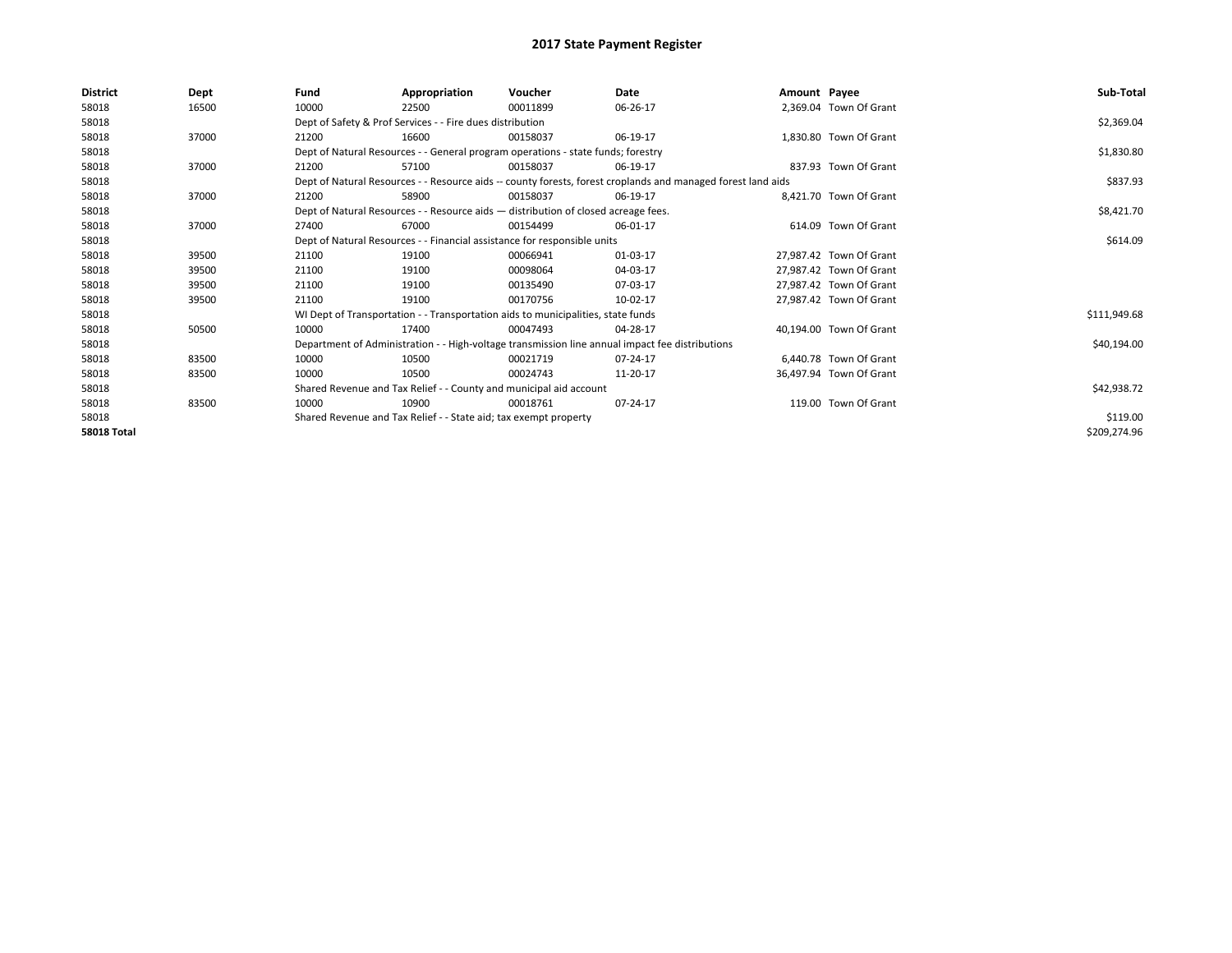| <b>District</b>    | Dept  | Fund  | Appropriation                                                                      | Voucher  | Date                                                                                                         | Amount Payee |                         | Sub-Total    |
|--------------------|-------|-------|------------------------------------------------------------------------------------|----------|--------------------------------------------------------------------------------------------------------------|--------------|-------------------------|--------------|
| 58018              | 16500 | 10000 | 22500                                                                              | 00011899 | 06-26-17                                                                                                     |              | 2,369.04 Town Of Grant  |              |
| 58018              |       |       | Dept of Safety & Prof Services - - Fire dues distribution                          |          |                                                                                                              |              |                         | \$2,369.04   |
| 58018              | 37000 | 21200 | 16600                                                                              | 00158037 | 06-19-17                                                                                                     |              | 1,830.80 Town Of Grant  |              |
| 58018              |       |       | Dept of Natural Resources - - General program operations - state funds; forestry   |          |                                                                                                              |              |                         | \$1,830.80   |
| 58018              | 37000 | 21200 | 57100                                                                              | 00158037 | 06-19-17                                                                                                     |              | 837.93 Town Of Grant    |              |
| 58018              |       |       |                                                                                    |          | Dept of Natural Resources - - Resource aids -- county forests, forest croplands and managed forest land aids |              |                         | \$837.93     |
| 58018              | 37000 | 21200 | 58900                                                                              | 00158037 | 06-19-17                                                                                                     |              | 8.421.70 Town Of Grant  |              |
| 58018              |       |       | Dept of Natural Resources - - Resource aids - distribution of closed acreage fees. |          |                                                                                                              |              |                         | \$8,421.70   |
| 58018              | 37000 | 27400 | 67000                                                                              | 00154499 | 06-01-17                                                                                                     |              | 614.09 Town Of Grant    |              |
| 58018              |       |       | Dept of Natural Resources - - Financial assistance for responsible units           |          |                                                                                                              |              |                         | \$614.09     |
| 58018              | 39500 | 21100 | 19100                                                                              | 00066941 | 01-03-17                                                                                                     |              | 27.987.42 Town Of Grant |              |
| 58018              | 39500 | 21100 | 19100                                                                              | 00098064 | 04-03-17                                                                                                     |              | 27,987.42 Town Of Grant |              |
| 58018              | 39500 | 21100 | 19100                                                                              | 00135490 | 07-03-17                                                                                                     |              | 27.987.42 Town Of Grant |              |
| 58018              | 39500 | 21100 | 19100                                                                              | 00170756 | 10-02-17                                                                                                     |              | 27,987.42 Town Of Grant |              |
| 58018              |       |       | WI Dept of Transportation - - Transportation aids to municipalities, state funds   |          |                                                                                                              |              |                         | \$111,949.68 |
| 58018              | 50500 | 10000 | 17400                                                                              | 00047493 | 04-28-17                                                                                                     |              | 40.194.00 Town Of Grant |              |
| 58018              |       |       |                                                                                    |          | Department of Administration - - High-voltage transmission line annual impact fee distributions              |              |                         | \$40,194.00  |
| 58018              | 83500 | 10000 | 10500                                                                              | 00021719 | 07-24-17                                                                                                     |              | 6.440.78 Town Of Grant  |              |
| 58018              | 83500 | 10000 | 10500                                                                              | 00024743 | 11-20-17                                                                                                     |              | 36,497.94 Town Of Grant |              |
| 58018              |       |       | Shared Revenue and Tax Relief - - County and municipal aid account                 |          |                                                                                                              |              |                         | \$42,938.72  |
| 58018              | 83500 | 10000 | 10900                                                                              | 00018761 | 07-24-17                                                                                                     |              | 119.00 Town Of Grant    |              |
| 58018              |       |       | Shared Revenue and Tax Relief - - State aid; tax exempt property                   |          |                                                                                                              |              |                         | \$119.00     |
| <b>58018 Total</b> |       |       |                                                                                    |          |                                                                                                              |              |                         | \$209,274.96 |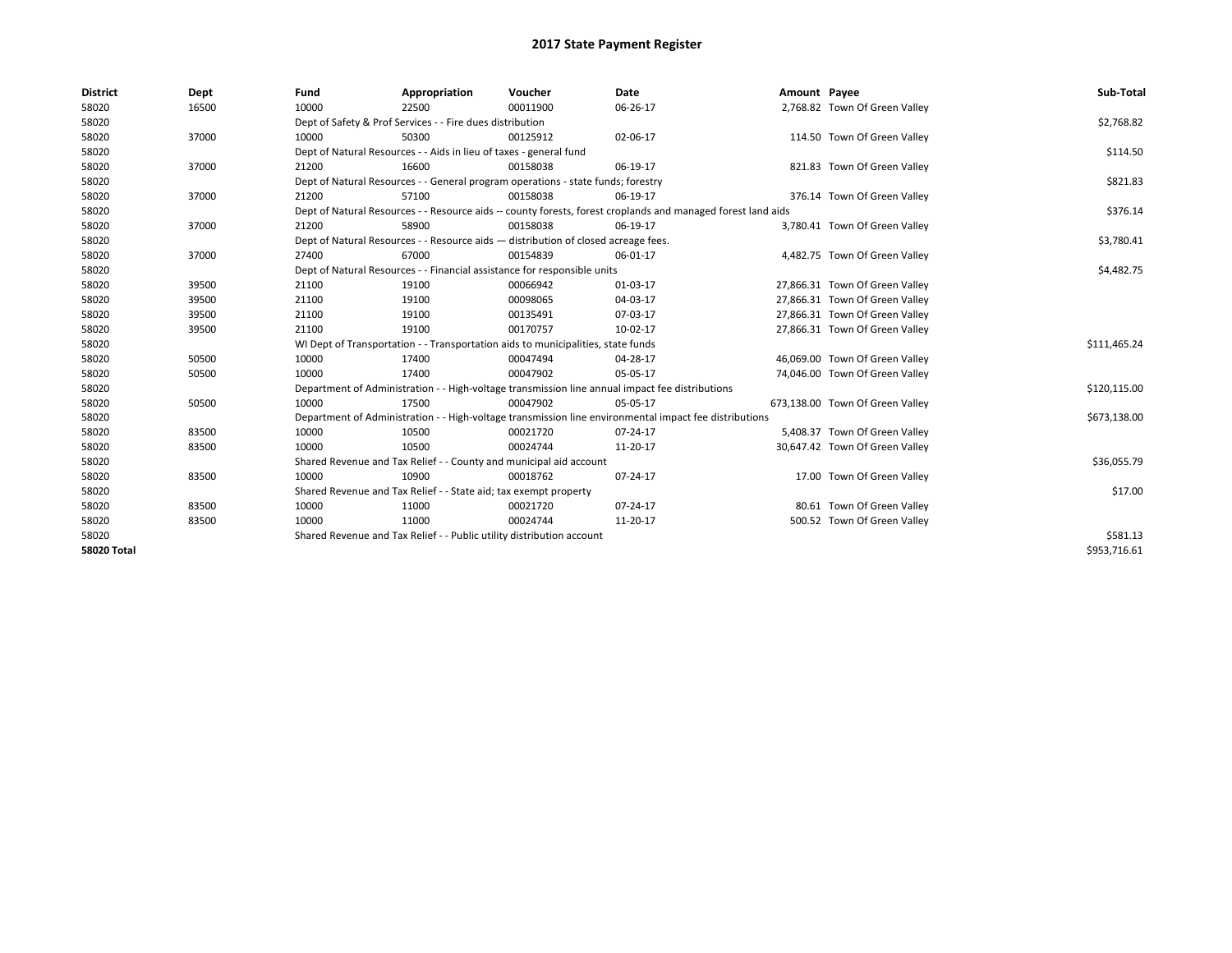| <b>District</b>    | Dept  | Fund  | Appropriation                                                                      | Voucher  | Date                                                                                                         | Amount Payee |                                 | Sub-Total    |
|--------------------|-------|-------|------------------------------------------------------------------------------------|----------|--------------------------------------------------------------------------------------------------------------|--------------|---------------------------------|--------------|
| 58020              | 16500 | 10000 | 22500                                                                              | 00011900 | 06-26-17                                                                                                     |              | 2,768.82 Town Of Green Valley   |              |
| 58020              |       |       | Dept of Safety & Prof Services - - Fire dues distribution                          |          |                                                                                                              |              |                                 | \$2,768.82   |
| 58020              | 37000 | 10000 | 50300                                                                              | 00125912 | 02-06-17                                                                                                     |              | 114.50 Town Of Green Valley     |              |
| 58020              |       |       | Dept of Natural Resources - - Aids in lieu of taxes - general fund                 |          |                                                                                                              |              |                                 | \$114.50     |
| 58020              | 37000 | 21200 | 16600                                                                              | 00158038 | 06-19-17                                                                                                     |              | 821.83 Town Of Green Valley     |              |
| 58020              |       |       | Dept of Natural Resources - - General program operations - state funds; forestry   |          |                                                                                                              |              |                                 | \$821.83     |
| 58020              | 37000 | 21200 | 57100                                                                              | 00158038 | 06-19-17                                                                                                     |              | 376.14 Town Of Green Valley     |              |
| 58020              |       |       |                                                                                    |          | Dept of Natural Resources - - Resource aids -- county forests, forest croplands and managed forest land aids |              |                                 | \$376.14     |
| 58020              | 37000 | 21200 | 58900                                                                              | 00158038 | 06-19-17                                                                                                     |              | 3,780.41 Town Of Green Valley   |              |
| 58020              |       |       | Dept of Natural Resources - - Resource aids - distribution of closed acreage fees. |          |                                                                                                              |              |                                 | \$3,780.41   |
| 58020              | 37000 | 27400 | 67000                                                                              | 00154839 | 06-01-17                                                                                                     |              | 4,482.75 Town Of Green Valley   |              |
| 58020              |       |       | Dept of Natural Resources - - Financial assistance for responsible units           |          |                                                                                                              |              |                                 | \$4,482.75   |
| 58020              | 39500 | 21100 | 19100                                                                              | 00066942 | 01-03-17                                                                                                     |              | 27,866.31 Town Of Green Valley  |              |
| 58020              | 39500 | 21100 | 19100                                                                              | 00098065 | 04-03-17                                                                                                     |              | 27,866.31 Town Of Green Valley  |              |
| 58020              | 39500 | 21100 | 19100                                                                              | 00135491 | 07-03-17                                                                                                     |              | 27,866.31 Town Of Green Valley  |              |
| 58020              | 39500 | 21100 | 19100                                                                              | 00170757 | 10-02-17                                                                                                     |              | 27,866.31 Town Of Green Valley  |              |
| 58020              |       |       | WI Dept of Transportation - - Transportation aids to municipalities, state funds   |          |                                                                                                              |              |                                 | \$111,465.24 |
| 58020              | 50500 | 10000 | 17400                                                                              | 00047494 | 04-28-17                                                                                                     |              | 46,069.00 Town Of Green Valley  |              |
| 58020              | 50500 | 10000 | 17400                                                                              | 00047902 | 05-05-17                                                                                                     |              | 74,046.00 Town Of Green Valley  |              |
| 58020              |       |       |                                                                                    |          | Department of Administration - - High-voltage transmission line annual impact fee distributions              |              |                                 | \$120,115.00 |
| 58020              | 50500 | 10000 | 17500                                                                              | 00047902 | 05-05-17                                                                                                     |              | 673,138.00 Town Of Green Valley |              |
| 58020              |       |       |                                                                                    |          | Department of Administration - - High-voltage transmission line environmental impact fee distributions       |              |                                 | \$673,138.00 |
| 58020              | 83500 | 10000 | 10500                                                                              | 00021720 | 07-24-17                                                                                                     |              | 5,408.37 Town Of Green Valley   |              |
| 58020              | 83500 | 10000 | 10500                                                                              | 00024744 | 11-20-17                                                                                                     |              | 30,647.42 Town Of Green Valley  |              |
| 58020              |       |       | Shared Revenue and Tax Relief - - County and municipal aid account                 |          |                                                                                                              |              |                                 | \$36,055.79  |
| 58020              | 83500 | 10000 | 10900                                                                              | 00018762 | 07-24-17                                                                                                     |              | 17.00 Town Of Green Valley      |              |
| 58020              |       |       | Shared Revenue and Tax Relief - - State aid; tax exempt property                   |          |                                                                                                              |              |                                 | \$17.00      |
| 58020              | 83500 | 10000 | 11000                                                                              | 00021720 | 07-24-17                                                                                                     |              | 80.61 Town Of Green Valley      |              |
| 58020              | 83500 | 10000 | 11000                                                                              | 00024744 | 11-20-17                                                                                                     |              | 500.52 Town Of Green Valley     |              |
| 58020              |       |       | Shared Revenue and Tax Relief - - Public utility distribution account              |          |                                                                                                              |              |                                 | \$581.13     |
| <b>58020 Total</b> |       |       |                                                                                    |          |                                                                                                              |              |                                 | \$953,716.61 |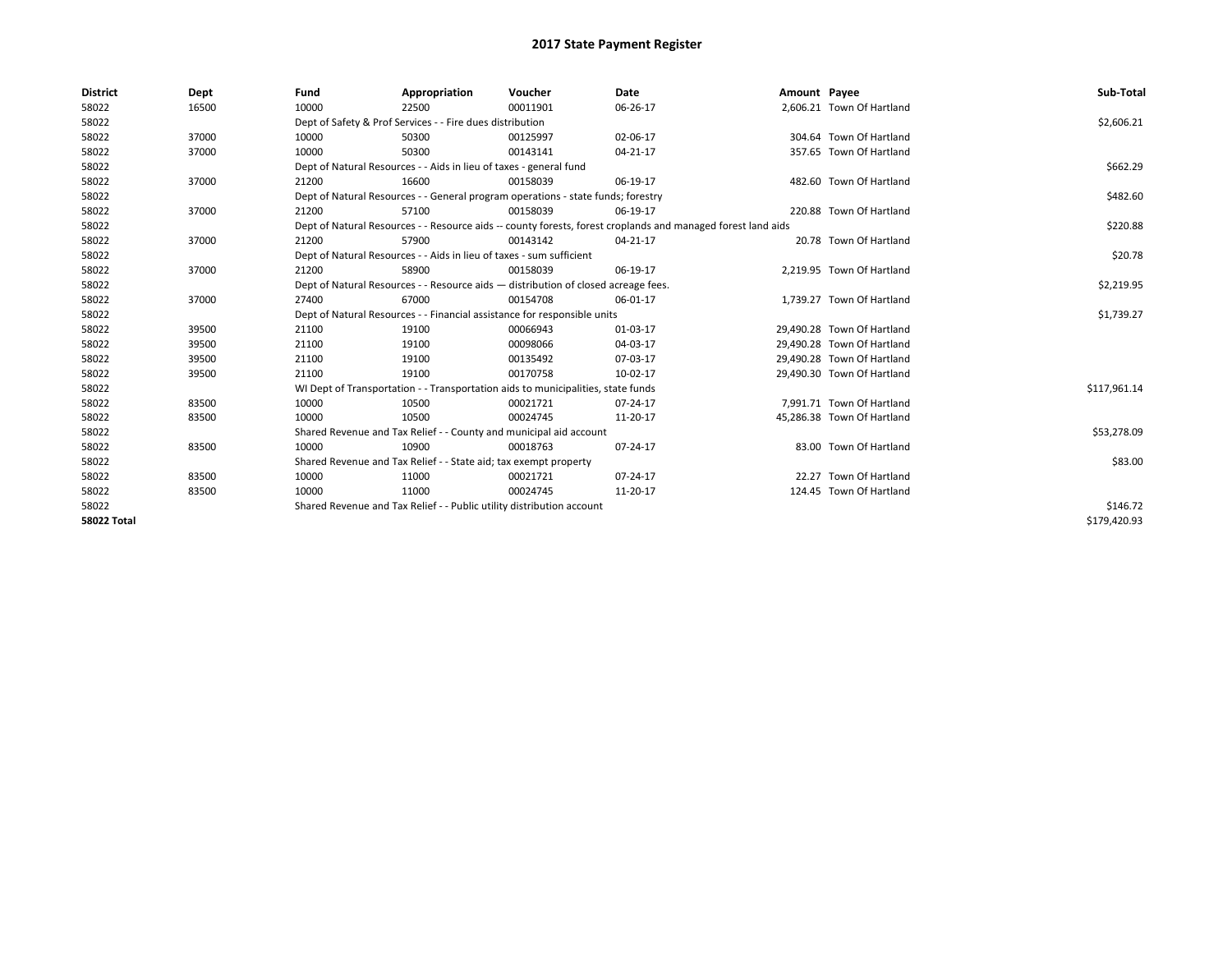| <b>District</b>    | Dept  | Fund                                                                               | Appropriation                                                                    | Voucher  | <b>Date</b>                                                                                                  | Amount Payee |                            | Sub-Total    |
|--------------------|-------|------------------------------------------------------------------------------------|----------------------------------------------------------------------------------|----------|--------------------------------------------------------------------------------------------------------------|--------------|----------------------------|--------------|
| 58022              | 16500 | 10000                                                                              | 22500                                                                            | 00011901 | 06-26-17                                                                                                     |              | 2,606.21 Town Of Hartland  |              |
| 58022              |       |                                                                                    | Dept of Safety & Prof Services - - Fire dues distribution                        |          |                                                                                                              |              |                            | \$2,606.21   |
| 58022              | 37000 | 10000                                                                              | 50300                                                                            | 00125997 | 02-06-17                                                                                                     |              | 304.64 Town Of Hartland    |              |
| 58022              | 37000 | 10000                                                                              | 50300                                                                            | 00143141 | 04-21-17                                                                                                     |              | 357.65 Town Of Hartland    |              |
| 58022              |       | Dept of Natural Resources - - Aids in lieu of taxes - general fund                 | \$662.29                                                                         |          |                                                                                                              |              |                            |              |
| 58022              | 37000 | 21200                                                                              | 16600                                                                            | 00158039 | 06-19-17                                                                                                     |              | 482.60 Town Of Hartland    |              |
| 58022              |       |                                                                                    | Dept of Natural Resources - - General program operations - state funds; forestry |          |                                                                                                              |              |                            | \$482.60     |
| 58022              | 37000 | 21200                                                                              | 57100                                                                            | 00158039 | 06-19-17                                                                                                     |              | 220.88 Town Of Hartland    |              |
| 58022              |       |                                                                                    |                                                                                  |          | Dept of Natural Resources - - Resource aids -- county forests, forest croplands and managed forest land aids |              |                            | \$220.88     |
| 58022              | 37000 | 21200                                                                              | 57900                                                                            | 00143142 | 04-21-17                                                                                                     |              | 20.78 Town Of Hartland     |              |
| 58022              |       |                                                                                    | Dept of Natural Resources - - Aids in lieu of taxes - sum sufficient             |          |                                                                                                              |              |                            | \$20.78      |
| 58022              | 37000 | 21200                                                                              | 58900                                                                            | 00158039 | 06-19-17                                                                                                     |              | 2,219.95 Town Of Hartland  |              |
| 58022              |       | Dept of Natural Resources - - Resource aids - distribution of closed acreage fees. | \$2,219.95                                                                       |          |                                                                                                              |              |                            |              |
| 58022              | 37000 | 27400                                                                              | 67000                                                                            | 00154708 | 06-01-17                                                                                                     |              | 1,739.27 Town Of Hartland  |              |
| 58022              |       |                                                                                    | Dept of Natural Resources - - Financial assistance for responsible units         |          |                                                                                                              |              |                            | \$1,739.27   |
| 58022              | 39500 | 21100                                                                              | 19100                                                                            | 00066943 | 01-03-17                                                                                                     |              | 29,490.28 Town Of Hartland |              |
| 58022              | 39500 | 21100                                                                              | 19100                                                                            | 00098066 | 04-03-17                                                                                                     |              | 29,490.28 Town Of Hartland |              |
| 58022              | 39500 | 21100                                                                              | 19100                                                                            | 00135492 | 07-03-17                                                                                                     |              | 29.490.28 Town Of Hartland |              |
| 58022              | 39500 | 21100                                                                              | 19100                                                                            | 00170758 | 10-02-17                                                                                                     |              | 29,490.30 Town Of Hartland |              |
| 58022              |       |                                                                                    | WI Dept of Transportation - - Transportation aids to municipalities, state funds |          |                                                                                                              |              |                            | \$117,961.14 |
| 58022              | 83500 | 10000                                                                              | 10500                                                                            | 00021721 | 07-24-17                                                                                                     |              | 7,991.71 Town Of Hartland  |              |
| 58022              | 83500 | 10000                                                                              | 10500                                                                            | 00024745 | 11-20-17                                                                                                     |              | 45.286.38 Town Of Hartland |              |
| 58022              |       |                                                                                    | Shared Revenue and Tax Relief - - County and municipal aid account               |          |                                                                                                              |              |                            | \$53,278.09  |
| 58022              | 83500 | 10000                                                                              | 10900                                                                            | 00018763 | 07-24-17                                                                                                     |              | 83.00 Town Of Hartland     |              |
| 58022              |       |                                                                                    | Shared Revenue and Tax Relief - - State aid; tax exempt property                 |          |                                                                                                              |              |                            | \$83.00      |
| 58022              | 83500 | 10000                                                                              | 11000                                                                            | 00021721 | 07-24-17                                                                                                     |              | 22.27 Town Of Hartland     |              |
| 58022              | 83500 | 10000                                                                              | 11000                                                                            | 00024745 | 11-20-17                                                                                                     |              | 124.45 Town Of Hartland    |              |
| 58022              |       | Shared Revenue and Tax Relief - - Public utility distribution account              | \$146.72                                                                         |          |                                                                                                              |              |                            |              |
| <b>58022 Total</b> |       |                                                                                    |                                                                                  |          |                                                                                                              |              |                            | \$179,420.93 |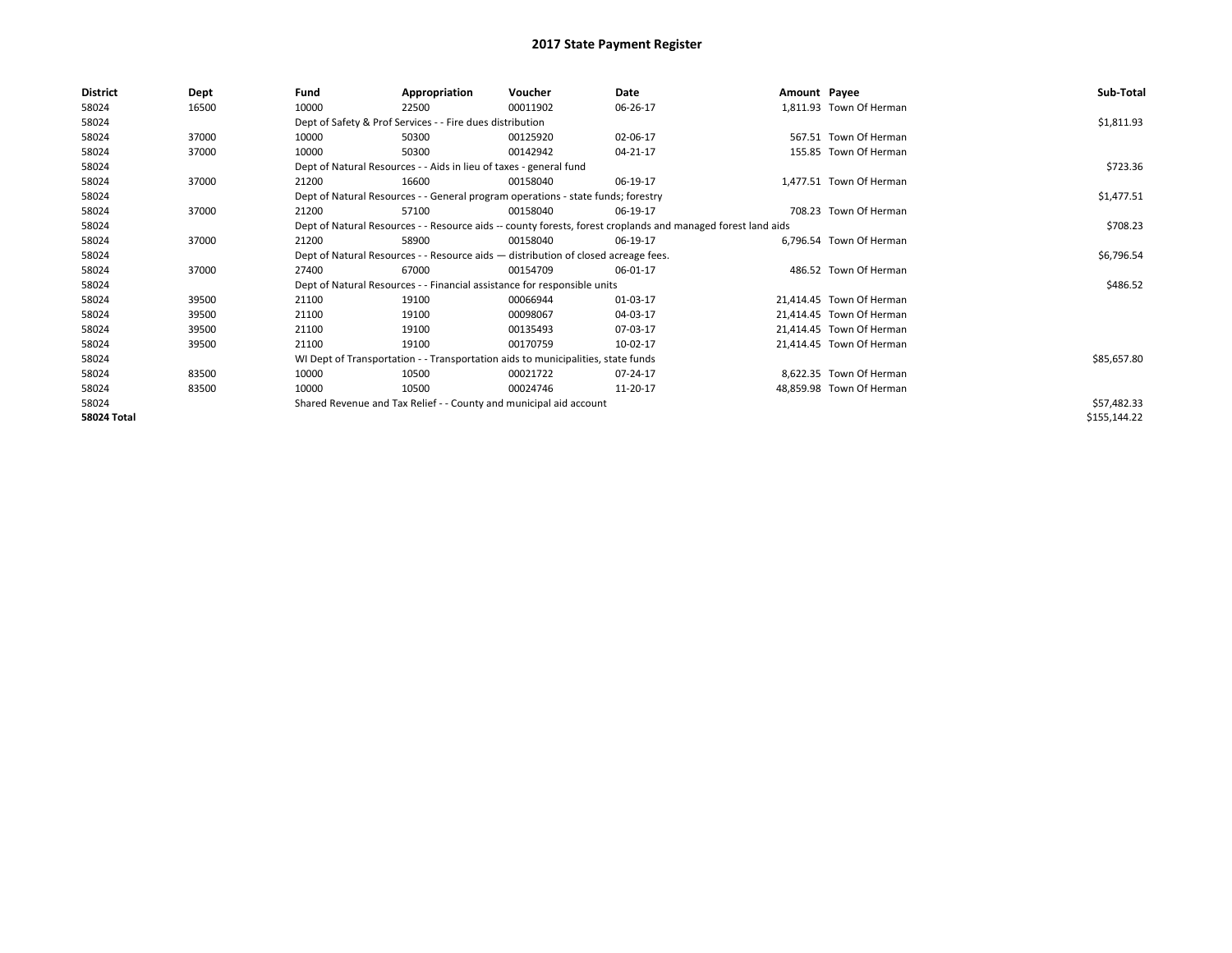| <b>District</b>    | Dept  | Fund                                                                               | Appropriation                                                                    | Voucher    | Date                                                                                                         | Amount Payee |                          | Sub-Total    |
|--------------------|-------|------------------------------------------------------------------------------------|----------------------------------------------------------------------------------|------------|--------------------------------------------------------------------------------------------------------------|--------------|--------------------------|--------------|
| 58024              | 16500 | 10000                                                                              | 22500                                                                            | 00011902   | 06-26-17                                                                                                     |              | 1,811.93 Town Of Herman  |              |
| 58024              |       |                                                                                    | Dept of Safety & Prof Services - - Fire dues distribution                        |            |                                                                                                              |              |                          | \$1,811.93   |
| 58024              | 37000 | 10000                                                                              | 50300                                                                            | 00125920   | 02-06-17                                                                                                     |              | 567.51 Town Of Herman    |              |
| 58024              | 37000 | 10000                                                                              | 50300                                                                            | 00142942   | 04-21-17                                                                                                     |              | 155.85 Town Of Herman    |              |
| 58024              |       |                                                                                    | Dept of Natural Resources - - Aids in lieu of taxes - general fund               |            |                                                                                                              |              |                          | \$723.36     |
| 58024              | 37000 | 21200                                                                              | 16600                                                                            | 00158040   | 06-19-17                                                                                                     |              | 1,477.51 Town Of Herman  |              |
| 58024              |       |                                                                                    | Dept of Natural Resources - - General program operations - state funds; forestry |            |                                                                                                              |              |                          | \$1,477.51   |
| 58024              | 37000 | 21200                                                                              | 57100                                                                            | 00158040   | 06-19-17                                                                                                     |              | 708.23 Town Of Herman    |              |
| 58024              |       |                                                                                    |                                                                                  |            | Dept of Natural Resources - - Resource aids -- county forests, forest croplands and managed forest land aids |              |                          | \$708.23     |
| 58024              | 37000 | 21200                                                                              | 58900                                                                            | 00158040   | 06-19-17                                                                                                     |              | 6,796.54 Town Of Herman  |              |
| 58024              |       | Dept of Natural Resources - - Resource aids - distribution of closed acreage fees. |                                                                                  | \$6,796.54 |                                                                                                              |              |                          |              |
| 58024              | 37000 | 27400                                                                              | 67000                                                                            | 00154709   | 06-01-17                                                                                                     |              | 486.52 Town Of Herman    |              |
| 58024              |       |                                                                                    | Dept of Natural Resources - - Financial assistance for responsible units         |            |                                                                                                              |              |                          | \$486.52     |
| 58024              | 39500 | 21100                                                                              | 19100                                                                            | 00066944   | 01-03-17                                                                                                     |              | 21,414.45 Town Of Herman |              |
| 58024              | 39500 | 21100                                                                              | 19100                                                                            | 00098067   | 04-03-17                                                                                                     |              | 21,414.45 Town Of Herman |              |
| 58024              | 39500 | 21100                                                                              | 19100                                                                            | 00135493   | 07-03-17                                                                                                     |              | 21,414.45 Town Of Herman |              |
| 58024              | 39500 | 21100                                                                              | 19100                                                                            | 00170759   | 10-02-17                                                                                                     |              | 21,414.45 Town Of Herman |              |
| 58024              |       |                                                                                    | WI Dept of Transportation - - Transportation aids to municipalities, state funds |            |                                                                                                              |              |                          | \$85,657.80  |
| 58024              | 83500 | 10000                                                                              | 10500                                                                            | 00021722   | 07-24-17                                                                                                     |              | 8,622.35 Town Of Herman  |              |
| 58024              | 83500 | 10000                                                                              | 10500                                                                            | 00024746   | 11-20-17                                                                                                     |              | 48,859.98 Town Of Herman |              |
| 58024              |       |                                                                                    | Shared Revenue and Tax Relief - - County and municipal aid account               |            |                                                                                                              |              |                          | \$57,482.33  |
| <b>58024 Total</b> |       |                                                                                    |                                                                                  |            |                                                                                                              |              |                          | \$155,144.22 |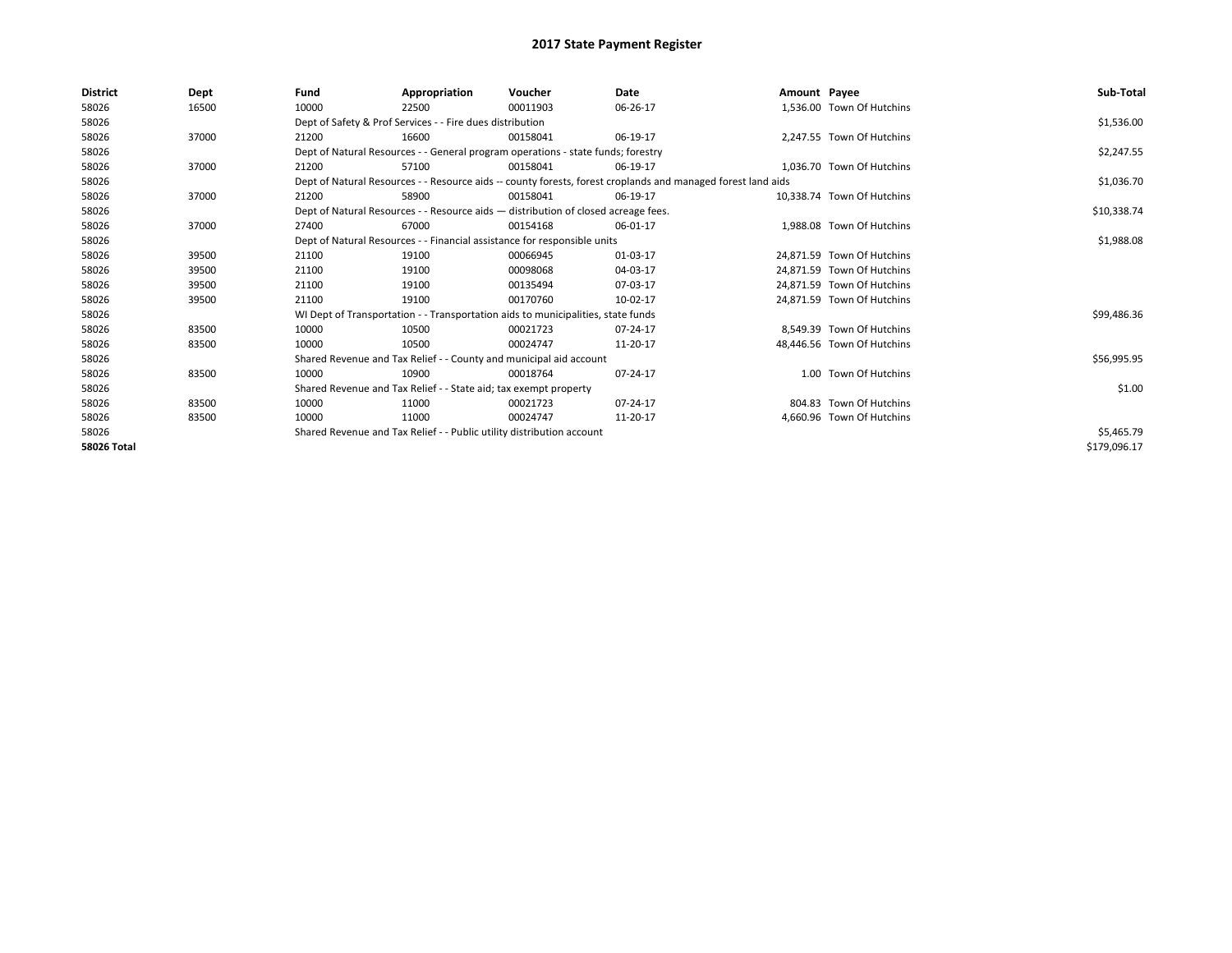| <b>District</b>    | Dept  | Fund                                                             | Appropriation                                                                      | Voucher  | Date                                                                                                         | Amount Payee |                            | Sub-Total    |
|--------------------|-------|------------------------------------------------------------------|------------------------------------------------------------------------------------|----------|--------------------------------------------------------------------------------------------------------------|--------------|----------------------------|--------------|
| 58026              | 16500 | 10000                                                            | 22500                                                                              | 00011903 | 06-26-17                                                                                                     |              | 1,536.00 Town Of Hutchins  |              |
| 58026              |       |                                                                  | Dept of Safety & Prof Services - - Fire dues distribution                          |          |                                                                                                              |              |                            | \$1,536.00   |
| 58026              | 37000 | 21200                                                            | 16600                                                                              | 00158041 | 06-19-17                                                                                                     |              | 2.247.55 Town Of Hutchins  |              |
| 58026              |       |                                                                  | Dept of Natural Resources - - General program operations - state funds; forestry   |          |                                                                                                              |              |                            | \$2,247.55   |
| 58026              | 37000 | 21200                                                            | 57100                                                                              | 00158041 | 06-19-17                                                                                                     |              | 1.036.70 Town Of Hutchins  |              |
| 58026              |       |                                                                  |                                                                                    |          | Dept of Natural Resources - - Resource aids -- county forests, forest croplands and managed forest land aids |              |                            | \$1,036.70   |
| 58026              | 37000 | 21200                                                            | 58900                                                                              | 00158041 | 06-19-17                                                                                                     |              | 10.338.74 Town Of Hutchins |              |
| 58026              |       |                                                                  | Dept of Natural Resources - - Resource aids - distribution of closed acreage fees. |          |                                                                                                              |              |                            | \$10,338.74  |
| 58026              | 37000 | 27400                                                            | 67000                                                                              | 00154168 | 06-01-17                                                                                                     |              | 1.988.08 Town Of Hutchins  |              |
| 58026              |       |                                                                  | Dept of Natural Resources - - Financial assistance for responsible units           |          |                                                                                                              |              |                            | \$1,988.08   |
| 58026              | 39500 | 21100                                                            | 19100                                                                              | 00066945 | 01-03-17                                                                                                     |              | 24.871.59 Town Of Hutchins |              |
| 58026              | 39500 | 21100                                                            | 19100                                                                              | 00098068 | 04-03-17                                                                                                     |              | 24,871.59 Town Of Hutchins |              |
| 58026              | 39500 | 21100                                                            | 19100                                                                              | 00135494 | 07-03-17                                                                                                     |              | 24.871.59 Town Of Hutchins |              |
| 58026              | 39500 | 21100                                                            | 19100                                                                              | 00170760 | 10-02-17                                                                                                     |              | 24,871.59 Town Of Hutchins |              |
| 58026              |       |                                                                  | WI Dept of Transportation - - Transportation aids to municipalities, state funds   |          |                                                                                                              |              |                            | \$99,486.36  |
| 58026              | 83500 | 10000                                                            | 10500                                                                              | 00021723 | 07-24-17                                                                                                     |              | 8.549.39 Town Of Hutchins  |              |
| 58026              | 83500 | 10000                                                            | 10500                                                                              | 00024747 | 11-20-17                                                                                                     |              | 48.446.56 Town Of Hutchins |              |
| 58026              |       |                                                                  | Shared Revenue and Tax Relief - - County and municipal aid account                 |          |                                                                                                              |              |                            | \$56,995.95  |
| 58026              | 83500 | 10000                                                            | 10900                                                                              | 00018764 | 07-24-17                                                                                                     |              | 1.00 Town Of Hutchins      |              |
| 58026              |       | Shared Revenue and Tax Relief - - State aid; tax exempt property |                                                                                    | \$1.00   |                                                                                                              |              |                            |              |
| 58026              | 83500 | 10000                                                            | 11000                                                                              | 00021723 | 07-24-17                                                                                                     |              | 804.83 Town Of Hutchins    |              |
| 58026              | 83500 | 10000                                                            | 11000                                                                              | 00024747 | 11-20-17                                                                                                     |              | 4.660.96 Town Of Hutchins  |              |
| 58026              |       |                                                                  | Shared Revenue and Tax Relief - - Public utility distribution account              |          |                                                                                                              |              |                            | \$5,465.79   |
| <b>58026 Total</b> |       |                                                                  |                                                                                    |          |                                                                                                              |              |                            | \$179,096.17 |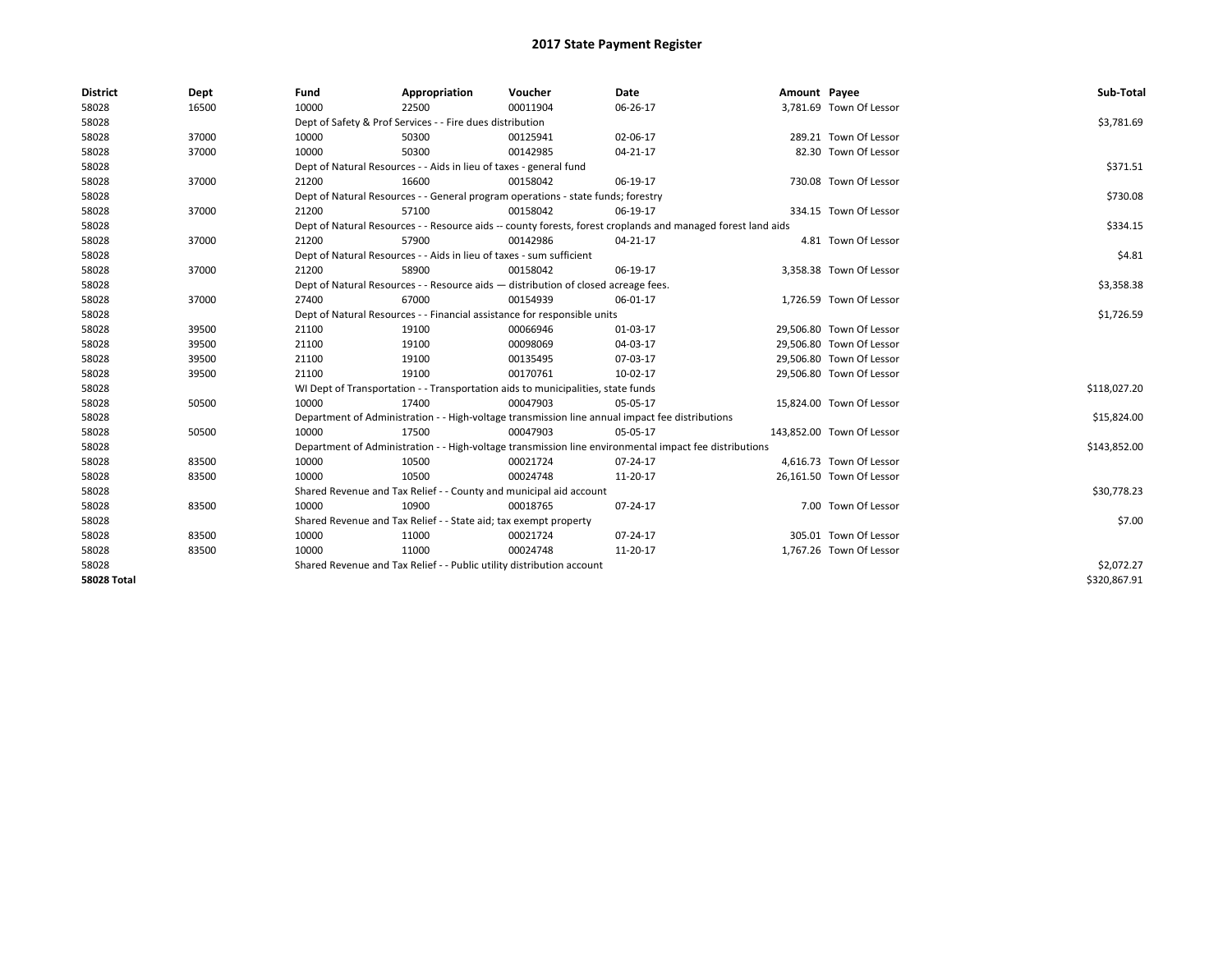| <b>District</b>    | Dept  | Fund  | Appropriation                                                                      | Voucher  | Date                                                                                                         | Amount Payee |                           | Sub-Total    |
|--------------------|-------|-------|------------------------------------------------------------------------------------|----------|--------------------------------------------------------------------------------------------------------------|--------------|---------------------------|--------------|
| 58028              | 16500 | 10000 | 22500                                                                              | 00011904 | 06-26-17                                                                                                     |              | 3,781.69 Town Of Lessor   |              |
| 58028              |       |       | Dept of Safety & Prof Services - - Fire dues distribution                          |          |                                                                                                              |              |                           | \$3,781.69   |
| 58028              | 37000 | 10000 | 50300                                                                              | 00125941 | 02-06-17                                                                                                     |              | 289.21 Town Of Lessor     |              |
| 58028              | 37000 | 10000 | 50300                                                                              | 00142985 | 04-21-17                                                                                                     |              | 82.30 Town Of Lessor      |              |
| 58028              |       |       | Dept of Natural Resources - - Aids in lieu of taxes - general fund                 |          |                                                                                                              |              |                           | \$371.51     |
| 58028              | 37000 | 21200 | 16600                                                                              | 00158042 | 06-19-17                                                                                                     |              | 730.08 Town Of Lessor     |              |
| 58028              |       |       | Dept of Natural Resources - - General program operations - state funds; forestry   |          |                                                                                                              |              |                           | \$730.08     |
| 58028              | 37000 | 21200 | 57100                                                                              | 00158042 | 06-19-17                                                                                                     |              | 334.15 Town Of Lessor     |              |
| 58028              |       |       |                                                                                    |          | Dept of Natural Resources - - Resource aids -- county forests, forest croplands and managed forest land aids |              |                           | \$334.15     |
| 58028              | 37000 | 21200 | 57900                                                                              | 00142986 | 04-21-17                                                                                                     |              | 4.81 Town Of Lessor       |              |
| 58028              |       |       | Dept of Natural Resources - - Aids in lieu of taxes - sum sufficient               |          |                                                                                                              |              |                           | \$4.81       |
| 58028              | 37000 | 21200 | 58900                                                                              | 00158042 | 06-19-17                                                                                                     |              | 3,358.38 Town Of Lessor   |              |
| 58028              |       |       | Dept of Natural Resources - - Resource aids - distribution of closed acreage fees. |          |                                                                                                              |              |                           | \$3,358.38   |
| 58028              | 37000 | 27400 | 67000                                                                              | 00154939 | 06-01-17                                                                                                     |              | 1,726.59 Town Of Lessor   |              |
| 58028              |       |       | Dept of Natural Resources - - Financial assistance for responsible units           |          |                                                                                                              |              |                           | \$1,726.59   |
| 58028              | 39500 | 21100 | 19100                                                                              | 00066946 | 01-03-17                                                                                                     |              | 29,506.80 Town Of Lessor  |              |
| 58028              | 39500 | 21100 | 19100                                                                              | 00098069 | 04-03-17                                                                                                     |              | 29.506.80 Town Of Lessor  |              |
| 58028              | 39500 | 21100 | 19100                                                                              | 00135495 | 07-03-17                                                                                                     |              | 29.506.80 Town Of Lessor  |              |
| 58028              | 39500 | 21100 | 19100                                                                              | 00170761 | 10-02-17                                                                                                     |              | 29,506.80 Town Of Lessor  |              |
| 58028              |       |       | WI Dept of Transportation - - Transportation aids to municipalities, state funds   |          |                                                                                                              |              |                           | \$118,027.20 |
| 58028              | 50500 | 10000 | 17400                                                                              | 00047903 | 05-05-17                                                                                                     |              | 15,824.00 Town Of Lessor  |              |
| 58028              |       |       |                                                                                    |          | Department of Administration - - High-voltage transmission line annual impact fee distributions              |              |                           | \$15,824.00  |
| 58028              | 50500 | 10000 | 17500                                                                              | 00047903 | 05-05-17                                                                                                     |              | 143,852.00 Town Of Lessor |              |
| 58028              |       |       |                                                                                    |          | Department of Administration - - High-voltage transmission line environmental impact fee distributions       |              |                           | \$143,852.00 |
| 58028              | 83500 | 10000 | 10500                                                                              | 00021724 | 07-24-17                                                                                                     |              | 4,616.73 Town Of Lessor   |              |
| 58028              | 83500 | 10000 | 10500                                                                              | 00024748 | 11-20-17                                                                                                     |              | 26,161.50 Town Of Lessor  |              |
| 58028              |       |       | Shared Revenue and Tax Relief - - County and municipal aid account                 |          |                                                                                                              |              |                           | \$30,778.23  |
| 58028              | 83500 | 10000 | 10900                                                                              | 00018765 | 07-24-17                                                                                                     |              | 7.00 Town Of Lessor       |              |
| 58028              |       |       | Shared Revenue and Tax Relief - - State aid; tax exempt property                   |          |                                                                                                              |              |                           | \$7.00       |
| 58028              | 83500 | 10000 | 11000                                                                              | 00021724 | 07-24-17                                                                                                     |              | 305.01 Town Of Lessor     |              |
| 58028              | 83500 | 10000 | 11000                                                                              | 00024748 | 11-20-17                                                                                                     |              | 1,767.26 Town Of Lessor   |              |
| 58028              |       |       | Shared Revenue and Tax Relief - - Public utility distribution account              |          |                                                                                                              |              |                           | \$2,072.27   |
| <b>58028 Total</b> |       |       |                                                                                    |          |                                                                                                              |              |                           | \$320,867.91 |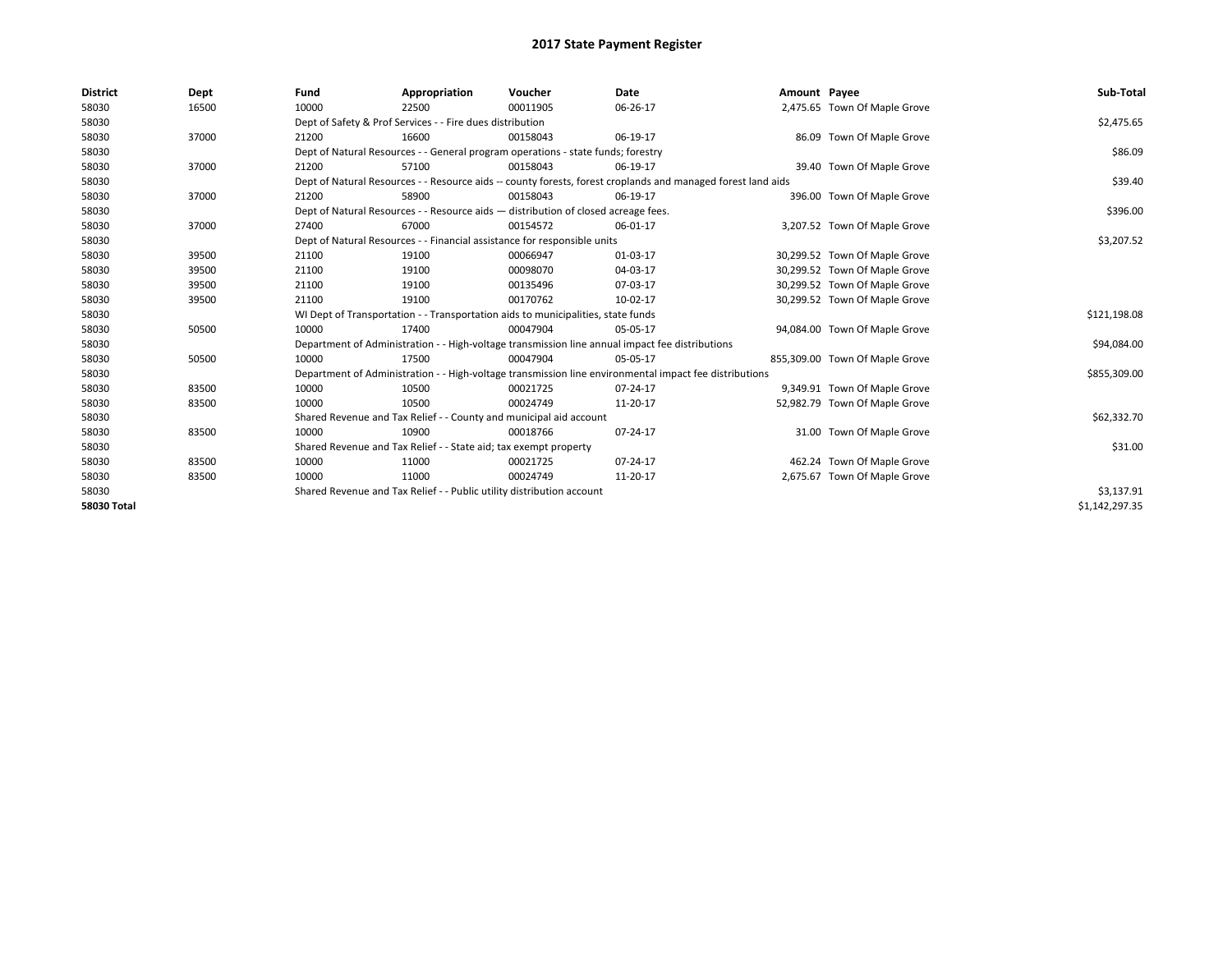| <b>District</b> | Dept  | Fund  | Appropriation                                                                                                | Voucher  | Date     | Amount Payee |                                | Sub-Total      |  |  |
|-----------------|-------|-------|--------------------------------------------------------------------------------------------------------------|----------|----------|--------------|--------------------------------|----------------|--|--|
| 58030           | 16500 | 10000 | 22500                                                                                                        | 00011905 | 06-26-17 |              | 2,475.65 Town Of Maple Grove   |                |  |  |
| 58030           |       |       | Dept of Safety & Prof Services - - Fire dues distribution                                                    |          |          |              |                                | \$2,475.65     |  |  |
| 58030           | 37000 | 21200 | 16600                                                                                                        | 00158043 | 06-19-17 |              | 86.09 Town Of Maple Grove      |                |  |  |
| 58030           |       |       | Dept of Natural Resources - - General program operations - state funds; forestry                             |          |          |              |                                | \$86.09        |  |  |
| 58030           | 37000 | 21200 | 57100                                                                                                        | 00158043 | 06-19-17 |              | 39.40 Town Of Maple Grove      |                |  |  |
| 58030           |       |       | Dept of Natural Resources - - Resource aids -- county forests, forest croplands and managed forest land aids |          |          |              |                                | \$39.40        |  |  |
| 58030           | 37000 | 21200 | 58900                                                                                                        | 00158043 | 06-19-17 |              | 396.00 Town Of Maple Grove     |                |  |  |
| 58030           |       |       | Dept of Natural Resources - - Resource aids - distribution of closed acreage fees.                           |          |          |              |                                | \$396.00       |  |  |
| 58030           | 37000 | 27400 | 67000                                                                                                        | 00154572 | 06-01-17 |              | 3,207.52 Town Of Maple Grove   |                |  |  |
| 58030           |       |       | Dept of Natural Resources - - Financial assistance for responsible units                                     |          |          |              |                                | \$3,207.52     |  |  |
| 58030           | 39500 | 21100 | 19100                                                                                                        | 00066947 | 01-03-17 |              | 30,299.52 Town Of Maple Grove  |                |  |  |
| 58030           | 39500 | 21100 | 19100                                                                                                        | 00098070 | 04-03-17 |              | 30,299.52 Town Of Maple Grove  |                |  |  |
| 58030           | 39500 | 21100 | 19100                                                                                                        | 00135496 | 07-03-17 |              | 30,299.52 Town Of Maple Grove  |                |  |  |
| 58030           | 39500 | 21100 | 19100                                                                                                        | 00170762 | 10-02-17 |              | 30,299.52 Town Of Maple Grove  |                |  |  |
| 58030           |       |       | WI Dept of Transportation - - Transportation aids to municipalities, state funds                             |          |          |              |                                | \$121,198.08   |  |  |
| 58030           | 50500 | 10000 | 17400                                                                                                        | 00047904 | 05-05-17 |              | 94,084.00 Town Of Maple Grove  |                |  |  |
| 58030           |       |       | Department of Administration - - High-voltage transmission line annual impact fee distributions              |          |          |              |                                | \$94,084.00    |  |  |
| 58030           | 50500 | 10000 | 17500                                                                                                        | 00047904 | 05-05-17 |              | 855,309.00 Town Of Maple Grove |                |  |  |
| 58030           |       |       | Department of Administration - - High-voltage transmission line environmental impact fee distributions       |          |          |              |                                | \$855,309.00   |  |  |
| 58030           | 83500 | 10000 | 10500                                                                                                        | 00021725 | 07-24-17 |              | 9,349.91 Town Of Maple Grove   |                |  |  |
| 58030           | 83500 | 10000 | 10500                                                                                                        | 00024749 | 11-20-17 |              | 52,982.79 Town Of Maple Grove  |                |  |  |
| 58030           |       |       | Shared Revenue and Tax Relief - - County and municipal aid account                                           |          |          |              |                                | \$62,332.70    |  |  |
| 58030           | 83500 | 10000 | 10900                                                                                                        | 00018766 | 07-24-17 |              | 31.00 Town Of Maple Grove      |                |  |  |
| 58030           |       |       | Shared Revenue and Tax Relief - - State aid; tax exempt property                                             |          |          |              |                                | \$31.00        |  |  |
| 58030           | 83500 | 10000 | 11000                                                                                                        | 00021725 | 07-24-17 |              | 462.24 Town Of Maple Grove     |                |  |  |
| 58030           | 83500 | 10000 | 11000                                                                                                        | 00024749 | 11-20-17 |              | 2,675.67 Town Of Maple Grove   |                |  |  |
| 58030           |       |       | Shared Revenue and Tax Relief - - Public utility distribution account                                        |          |          |              |                                |                |  |  |
| 58030 Total     |       |       |                                                                                                              |          |          |              |                                | \$1.142.297.35 |  |  |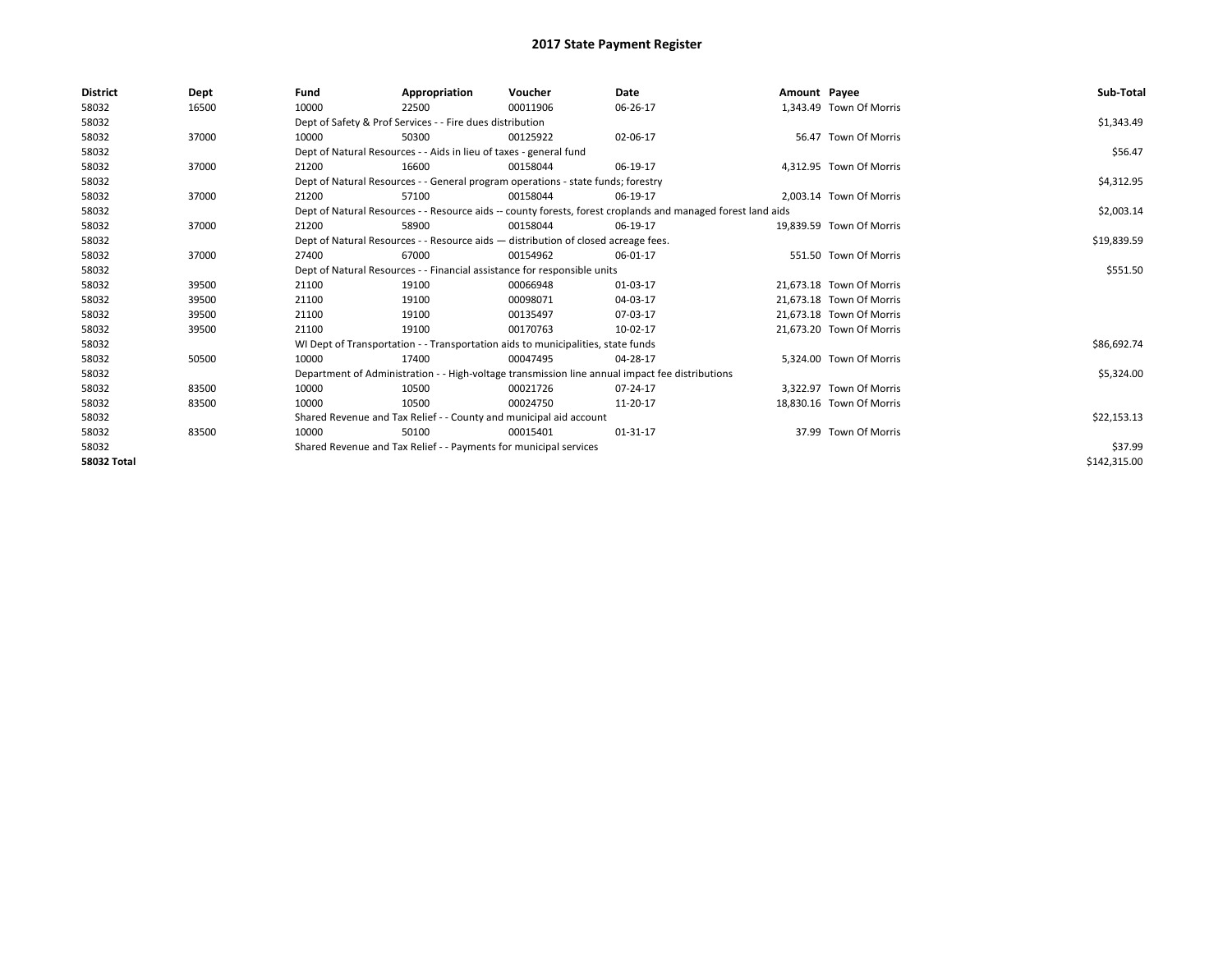| <b>District</b>    | Dept  | Fund  | Appropriation                                                                                                | Voucher  | Date           | Amount Payee |                          | Sub-Total    |
|--------------------|-------|-------|--------------------------------------------------------------------------------------------------------------|----------|----------------|--------------|--------------------------|--------------|
| 58032              | 16500 | 10000 | 22500                                                                                                        | 00011906 | 06-26-17       |              | 1,343.49 Town Of Morris  |              |
| 58032              |       |       | Dept of Safety & Prof Services - - Fire dues distribution                                                    |          |                |              |                          | \$1,343.49   |
| 58032              | 37000 | 10000 | 50300                                                                                                        | 00125922 | 02-06-17       |              | 56.47 Town Of Morris     |              |
| 58032              |       |       | Dept of Natural Resources - - Aids in lieu of taxes - general fund                                           |          |                |              |                          | \$56.47      |
| 58032              | 37000 | 21200 | 16600                                                                                                        | 00158044 | 06-19-17       |              | 4,312.95 Town Of Morris  |              |
| 58032              |       |       | Dept of Natural Resources - - General program operations - state funds; forestry                             |          |                |              |                          | \$4,312.95   |
| 58032              | 37000 | 21200 | 57100                                                                                                        | 00158044 | 06-19-17       |              | 2.003.14 Town Of Morris  |              |
| 58032              |       |       | Dept of Natural Resources - - Resource aids -- county forests, forest croplands and managed forest land aids |          |                |              |                          | \$2,003.14   |
| 58032              | 37000 | 21200 | 58900                                                                                                        | 00158044 | 06-19-17       |              | 19,839.59 Town Of Morris |              |
| 58032              |       |       | Dept of Natural Resources - - Resource aids - distribution of closed acreage fees.                           |          |                |              |                          | \$19,839.59  |
| 58032              | 37000 | 27400 | 67000                                                                                                        | 00154962 | 06-01-17       |              | 551.50 Town Of Morris    |              |
| 58032              |       |       | Dept of Natural Resources - - Financial assistance for responsible units                                     |          | \$551.50       |              |                          |              |
| 58032              | 39500 | 21100 | 19100                                                                                                        | 00066948 | 01-03-17       |              | 21,673.18 Town Of Morris |              |
| 58032              | 39500 | 21100 | 19100                                                                                                        | 00098071 | 04-03-17       |              | 21,673.18 Town Of Morris |              |
| 58032              | 39500 | 21100 | 19100                                                                                                        | 00135497 | 07-03-17       |              | 21,673.18 Town Of Morris |              |
| 58032              | 39500 | 21100 | 19100                                                                                                        | 00170763 | 10-02-17       |              | 21,673.20 Town Of Morris |              |
| 58032              |       |       | WI Dept of Transportation - - Transportation aids to municipalities, state funds                             |          |                |              |                          | \$86,692.74  |
| 58032              | 50500 | 10000 | 17400                                                                                                        | 00047495 | 04-28-17       |              | 5,324.00 Town Of Morris  |              |
| 58032              |       |       | Department of Administration - - High-voltage transmission line annual impact fee distributions              |          |                |              |                          | \$5,324.00   |
| 58032              | 83500 | 10000 | 10500                                                                                                        | 00021726 | 07-24-17       |              | 3,322.97 Town Of Morris  |              |
| 58032              | 83500 | 10000 | 10500                                                                                                        | 00024750 | 11-20-17       |              | 18,830.16 Town Of Morris |              |
| 58032              |       |       | Shared Revenue and Tax Relief - - County and municipal aid account                                           |          |                |              |                          | \$22,153.13  |
| 58032              | 83500 | 10000 | 50100                                                                                                        | 00015401 | $01 - 31 - 17$ |              | 37.99 Town Of Morris     |              |
| 58032              |       |       | Shared Revenue and Tax Relief - - Payments for municipal services                                            |          |                |              |                          | \$37.99      |
| <b>58032 Total</b> |       |       |                                                                                                              |          |                |              |                          | \$142,315.00 |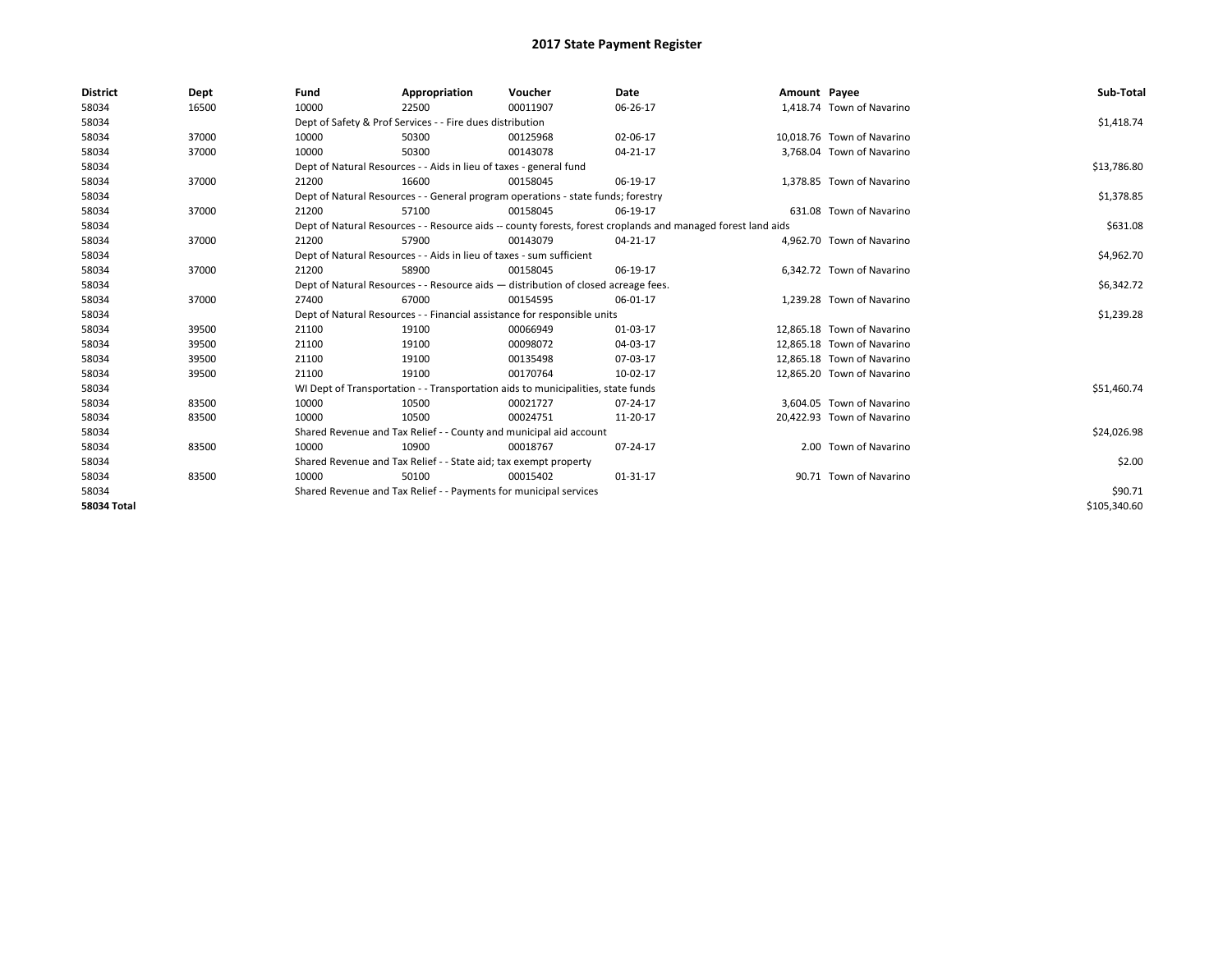| <b>District</b>    | Dept  | Fund  | Appropriation                                                                                                | Voucher  | Date     | Amount Payee |                            | Sub-Total    |
|--------------------|-------|-------|--------------------------------------------------------------------------------------------------------------|----------|----------|--------------|----------------------------|--------------|
| 58034              | 16500 | 10000 | 22500                                                                                                        | 00011907 | 06-26-17 |              | 1,418.74 Town of Navarino  |              |
| 58034              |       |       | Dept of Safety & Prof Services - - Fire dues distribution                                                    |          |          |              |                            | \$1,418.74   |
| 58034              | 37000 | 10000 | 50300                                                                                                        | 00125968 | 02-06-17 |              | 10.018.76 Town of Navarino |              |
| 58034              | 37000 | 10000 | 50300                                                                                                        | 00143078 | 04-21-17 |              | 3,768.04 Town of Navarino  |              |
| 58034              |       |       | Dept of Natural Resources - - Aids in lieu of taxes - general fund                                           |          |          |              |                            | \$13,786.80  |
| 58034              | 37000 | 21200 | 16600                                                                                                        | 00158045 | 06-19-17 |              | 1,378.85 Town of Navarino  |              |
| 58034              |       |       | Dept of Natural Resources - - General program operations - state funds; forestry                             |          |          |              |                            | \$1,378.85   |
| 58034              | 37000 | 21200 | 57100                                                                                                        | 00158045 | 06-19-17 |              | 631.08 Town of Navarino    |              |
| 58034              |       |       | Dept of Natural Resources - - Resource aids -- county forests, forest croplands and managed forest land aids |          | \$631.08 |              |                            |              |
| 58034              | 37000 | 21200 | 57900                                                                                                        | 00143079 | 04-21-17 |              | 4,962.70 Town of Navarino  |              |
| 58034              |       |       | Dept of Natural Resources - - Aids in lieu of taxes - sum sufficient                                         |          |          |              |                            | \$4,962.70   |
| 58034              | 37000 | 21200 | 58900                                                                                                        | 00158045 | 06-19-17 |              | 6,342.72 Town of Navarino  |              |
| 58034              |       |       | Dept of Natural Resources - - Resource aids - distribution of closed acreage fees.                           |          |          |              |                            | \$6,342.72   |
| 58034              | 37000 | 27400 | 67000                                                                                                        | 00154595 | 06-01-17 |              | 1.239.28 Town of Navarino  |              |
| 58034              |       |       | Dept of Natural Resources - - Financial assistance for responsible units                                     |          |          |              |                            | \$1,239.28   |
| 58034              | 39500 | 21100 | 19100                                                                                                        | 00066949 | 01-03-17 |              | 12,865.18 Town of Navarino |              |
| 58034              | 39500 | 21100 | 19100                                                                                                        | 00098072 | 04-03-17 |              | 12.865.18 Town of Navarino |              |
| 58034              | 39500 | 21100 | 19100                                                                                                        | 00135498 | 07-03-17 |              | 12,865.18 Town of Navarino |              |
| 58034              | 39500 | 21100 | 19100                                                                                                        | 00170764 | 10-02-17 |              | 12,865.20 Town of Navarino |              |
| 58034              |       |       | WI Dept of Transportation - - Transportation aids to municipalities, state funds                             |          |          |              |                            | \$51,460.74  |
| 58034              | 83500 | 10000 | 10500                                                                                                        | 00021727 | 07-24-17 |              | 3,604.05 Town of Navarino  |              |
| 58034              | 83500 | 10000 | 10500                                                                                                        | 00024751 | 11-20-17 |              | 20,422.93 Town of Navarino |              |
| 58034              |       |       | Shared Revenue and Tax Relief - - County and municipal aid account                                           |          |          |              |                            | \$24,026.98  |
| 58034              | 83500 | 10000 | 10900                                                                                                        | 00018767 | 07-24-17 |              | 2.00 Town of Navarino      |              |
| 58034              |       |       | Shared Revenue and Tax Relief - - State aid; tax exempt property                                             |          |          |              |                            | \$2.00       |
| 58034              | 83500 | 10000 | 50100                                                                                                        | 00015402 | 01-31-17 |              | 90.71 Town of Navarino     |              |
| 58034              |       |       | Shared Revenue and Tax Relief - - Payments for municipal services                                            |          |          |              |                            | \$90.71      |
| <b>58034 Total</b> |       |       |                                                                                                              |          |          |              |                            | \$105.340.60 |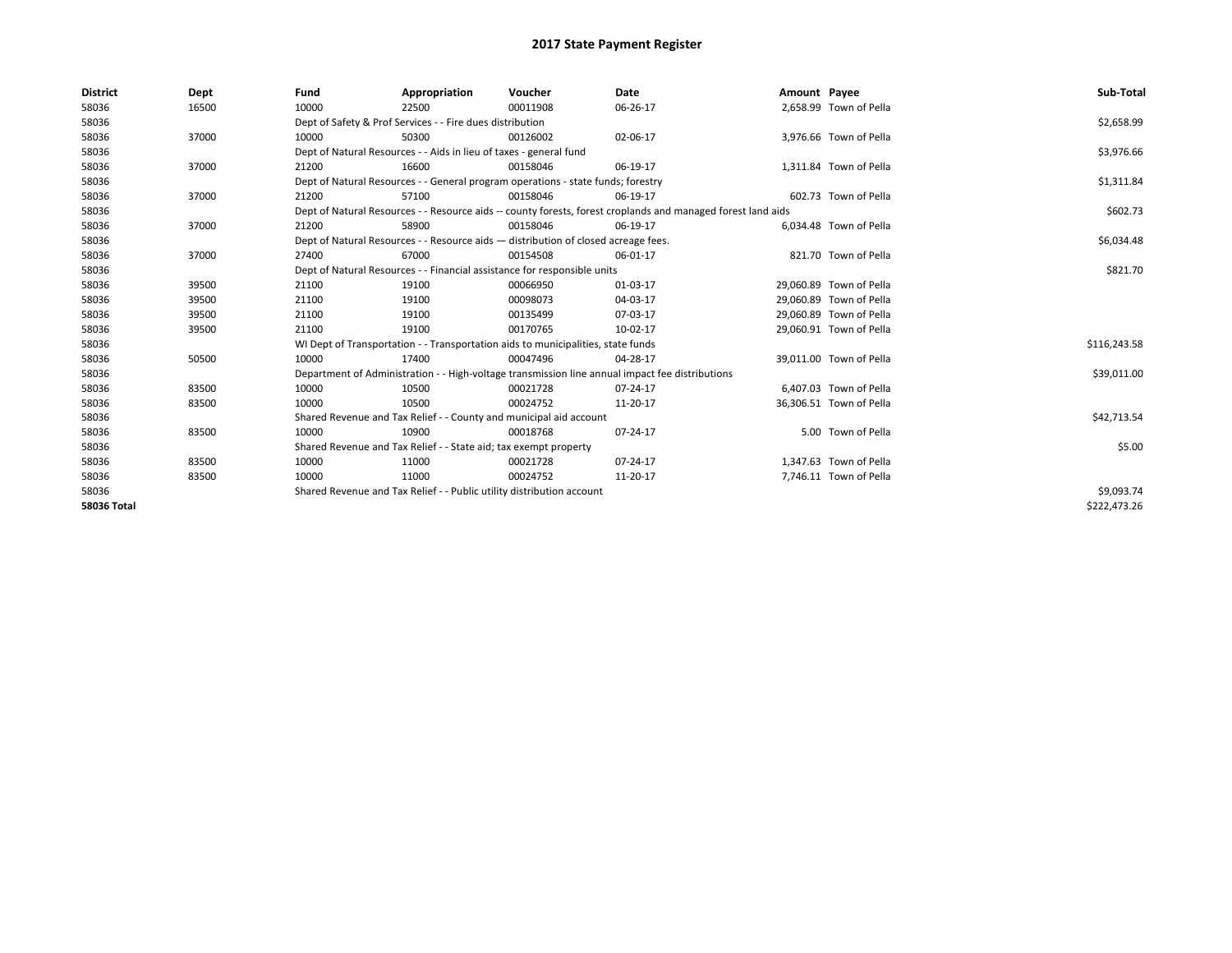| <b>District</b>    | Dept  | Fund                                                                                                         | Appropriation                                                                      | Voucher    | Date                                                                                            | Amount Payee |                         | Sub-Total    |
|--------------------|-------|--------------------------------------------------------------------------------------------------------------|------------------------------------------------------------------------------------|------------|-------------------------------------------------------------------------------------------------|--------------|-------------------------|--------------|
| 58036              | 16500 | 10000                                                                                                        | 22500                                                                              | 00011908   | 06-26-17                                                                                        |              | 2,658.99 Town of Pella  |              |
| 58036              |       |                                                                                                              | Dept of Safety & Prof Services - - Fire dues distribution                          |            |                                                                                                 |              |                         | \$2,658.99   |
| 58036              | 37000 | 10000                                                                                                        | 50300                                                                              | 00126002   | 02-06-17                                                                                        |              | 3,976.66 Town of Pella  |              |
| 58036              |       |                                                                                                              | Dept of Natural Resources - - Aids in lieu of taxes - general fund                 |            |                                                                                                 |              |                         | \$3,976.66   |
| 58036              | 37000 | 21200                                                                                                        | 16600                                                                              | 00158046   | 06-19-17                                                                                        |              | 1,311.84 Town of Pella  |              |
| 58036              |       | Dept of Natural Resources - - General program operations - state funds; forestry                             |                                                                                    | \$1,311.84 |                                                                                                 |              |                         |              |
| 58036              | 37000 | 21200                                                                                                        | 57100                                                                              | 00158046   | 06-19-17                                                                                        |              | 602.73 Town of Pella    |              |
| 58036              |       | Dept of Natural Resources - - Resource aids -- county forests, forest croplands and managed forest land aids |                                                                                    | \$602.73   |                                                                                                 |              |                         |              |
| 58036              | 37000 | 21200                                                                                                        | 58900                                                                              | 00158046   | 06-19-17                                                                                        |              | 6,034.48 Town of Pella  |              |
| 58036              |       |                                                                                                              | Dept of Natural Resources - - Resource aids - distribution of closed acreage fees. |            |                                                                                                 |              |                         | \$6,034.48   |
| 58036              | 37000 | 27400                                                                                                        | 67000                                                                              | 00154508   | 06-01-17                                                                                        |              | 821.70 Town of Pella    |              |
| 58036              |       |                                                                                                              | Dept of Natural Resources - - Financial assistance for responsible units           |            |                                                                                                 |              |                         | \$821.70     |
| 58036              | 39500 | 21100                                                                                                        | 19100                                                                              | 00066950   | 01-03-17                                                                                        |              | 29,060.89 Town of Pella |              |
| 58036              | 39500 | 21100                                                                                                        | 19100                                                                              | 00098073   | 04-03-17                                                                                        |              | 29,060.89 Town of Pella |              |
| 58036              | 39500 | 21100                                                                                                        | 19100                                                                              | 00135499   | 07-03-17                                                                                        |              | 29,060.89 Town of Pella |              |
| 58036              | 39500 | 21100                                                                                                        | 19100                                                                              | 00170765   | 10-02-17                                                                                        |              | 29,060.91 Town of Pella |              |
| 58036              |       |                                                                                                              | WI Dept of Transportation - - Transportation aids to municipalities, state funds   |            |                                                                                                 |              |                         | \$116,243.58 |
| 58036              | 50500 | 10000                                                                                                        | 17400                                                                              | 00047496   | 04-28-17                                                                                        |              | 39,011.00 Town of Pella |              |
| 58036              |       |                                                                                                              |                                                                                    |            | Department of Administration - - High-voltage transmission line annual impact fee distributions |              |                         | \$39,011.00  |
| 58036              | 83500 | 10000                                                                                                        | 10500                                                                              | 00021728   | 07-24-17                                                                                        |              | 6.407.03 Town of Pella  |              |
| 58036              | 83500 | 10000                                                                                                        | 10500                                                                              | 00024752   | 11-20-17                                                                                        |              | 36,306.51 Town of Pella |              |
| 58036              |       |                                                                                                              | Shared Revenue and Tax Relief - - County and municipal aid account                 |            |                                                                                                 |              |                         | \$42,713.54  |
| 58036              | 83500 | 10000                                                                                                        | 10900                                                                              | 00018768   | 07-24-17                                                                                        |              | 5.00 Town of Pella      |              |
| 58036              |       |                                                                                                              | Shared Revenue and Tax Relief - - State aid; tax exempt property                   |            |                                                                                                 |              |                         | \$5.00       |
| 58036              | 83500 | 10000                                                                                                        | 11000                                                                              | 00021728   | 07-24-17                                                                                        |              | 1,347.63 Town of Pella  |              |
| 58036              | 83500 | 10000                                                                                                        | 11000                                                                              | 00024752   | 11-20-17                                                                                        |              | 7,746.11 Town of Pella  |              |
| 58036              |       | Shared Revenue and Tax Relief - - Public utility distribution account                                        |                                                                                    | \$9,093.74 |                                                                                                 |              |                         |              |
| <b>58036 Total</b> |       |                                                                                                              |                                                                                    |            |                                                                                                 |              |                         | \$222.473.26 |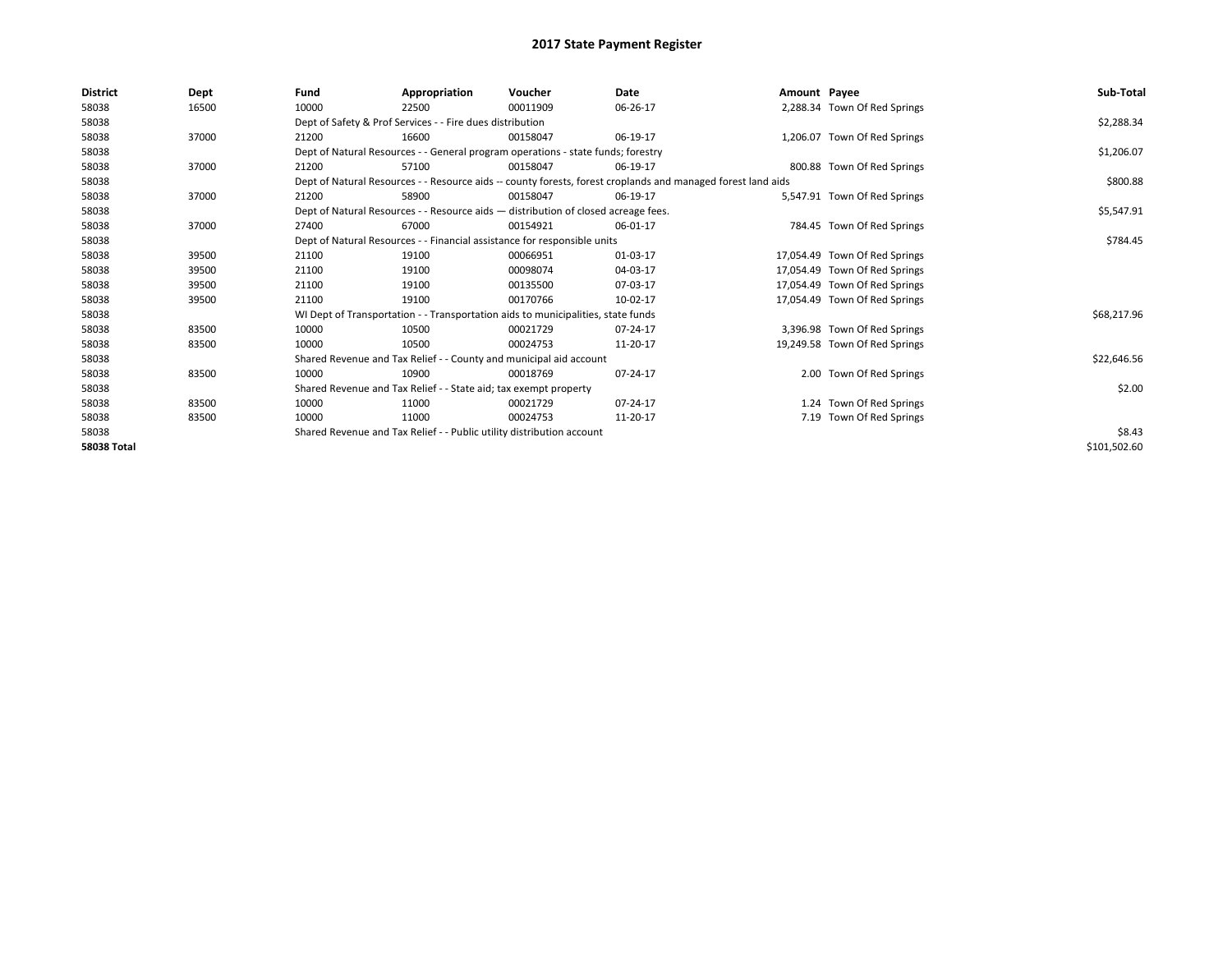| <b>District</b> | Dept  | Fund                                                                  | Appropriation                                                      | Voucher                                                                            | Date                                                                                                         | Amount Payee |                               | Sub-Total    |
|-----------------|-------|-----------------------------------------------------------------------|--------------------------------------------------------------------|------------------------------------------------------------------------------------|--------------------------------------------------------------------------------------------------------------|--------------|-------------------------------|--------------|
| 58038           | 16500 | 10000                                                                 | 22500                                                              | 00011909                                                                           | 06-26-17                                                                                                     |              | 2,288.34 Town Of Red Springs  |              |
| 58038           |       |                                                                       | Dept of Safety & Prof Services - - Fire dues distribution          |                                                                                    |                                                                                                              |              |                               | \$2,288.34   |
| 58038           | 37000 | 21200                                                                 | 16600                                                              | 00158047                                                                           | 06-19-17                                                                                                     |              | 1,206.07 Town Of Red Springs  |              |
| 58038           |       |                                                                       |                                                                    | Dept of Natural Resources - - General program operations - state funds; forestry   |                                                                                                              |              |                               | \$1,206.07   |
| 58038           | 37000 | 21200                                                                 | 57100                                                              | 00158047                                                                           | 06-19-17                                                                                                     |              | 800.88 Town Of Red Springs    |              |
| 58038           |       |                                                                       |                                                                    |                                                                                    | Dept of Natural Resources - - Resource aids -- county forests, forest croplands and managed forest land aids |              |                               | \$800.88     |
| 58038           | 37000 | 21200                                                                 | 58900                                                              | 00158047                                                                           | 06-19-17                                                                                                     |              | 5,547.91 Town Of Red Springs  |              |
| 58038           |       |                                                                       |                                                                    | Dept of Natural Resources - - Resource aids - distribution of closed acreage fees. |                                                                                                              |              |                               | \$5,547.91   |
| 58038           | 37000 | 27400                                                                 | 67000                                                              | 00154921                                                                           | 06-01-17                                                                                                     |              | 784.45 Town Of Red Springs    |              |
| 58038           |       |                                                                       |                                                                    | Dept of Natural Resources - - Financial assistance for responsible units           |                                                                                                              |              |                               | \$784.45     |
| 58038           | 39500 | 21100                                                                 | 19100                                                              | 00066951                                                                           | 01-03-17                                                                                                     |              | 17,054.49 Town Of Red Springs |              |
| 58038           | 39500 | 21100                                                                 | 19100                                                              | 00098074                                                                           | 04-03-17                                                                                                     |              | 17,054.49 Town Of Red Springs |              |
| 58038           | 39500 | 21100                                                                 | 19100                                                              | 00135500                                                                           | 07-03-17                                                                                                     |              | 17,054.49 Town Of Red Springs |              |
| 58038           | 39500 | 21100                                                                 | 19100                                                              | 00170766                                                                           | 10-02-17                                                                                                     |              | 17,054.49 Town Of Red Springs |              |
| 58038           |       |                                                                       |                                                                    | WI Dept of Transportation - - Transportation aids to municipalities, state funds   |                                                                                                              |              |                               | \$68,217.96  |
| 58038           | 83500 | 10000                                                                 | 10500                                                              | 00021729                                                                           | 07-24-17                                                                                                     |              | 3,396.98 Town Of Red Springs  |              |
| 58038           | 83500 | 10000                                                                 | 10500                                                              | 00024753                                                                           | 11-20-17                                                                                                     |              | 19,249.58 Town Of Red Springs |              |
| 58038           |       |                                                                       | Shared Revenue and Tax Relief - - County and municipal aid account |                                                                                    |                                                                                                              |              |                               | \$22,646.56  |
| 58038           | 83500 | 10000                                                                 | 10900                                                              | 00018769                                                                           | 07-24-17                                                                                                     |              | 2.00 Town Of Red Springs      |              |
| 58038           |       |                                                                       | Shared Revenue and Tax Relief - - State aid; tax exempt property   |                                                                                    |                                                                                                              |              |                               | \$2.00       |
| 58038           | 83500 | 10000                                                                 | 11000                                                              | 00021729                                                                           | 07-24-17                                                                                                     |              | 1.24 Town Of Red Springs      |              |
| 58038           | 83500 | 10000                                                                 | 11000                                                              | 00024753                                                                           | 11-20-17                                                                                                     |              | 7.19 Town Of Red Springs      |              |
| 58038           |       | Shared Revenue and Tax Relief - - Public utility distribution account |                                                                    | \$8.43                                                                             |                                                                                                              |              |                               |              |
| 58038 Total     |       |                                                                       |                                                                    |                                                                                    |                                                                                                              |              |                               | \$101,502.60 |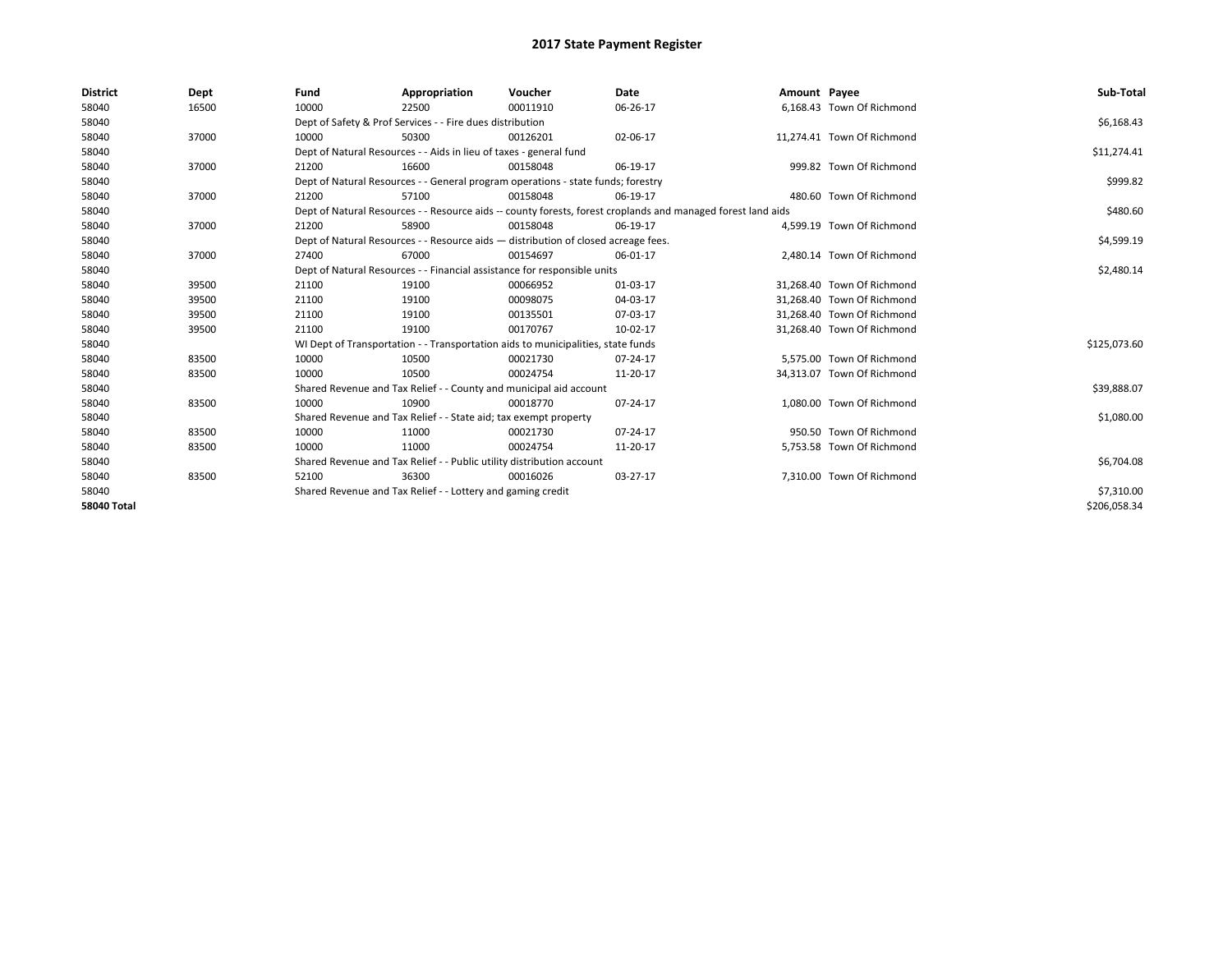| <b>District</b>    | Dept  | Fund  | Appropriation                                                                                                | Voucher  | Date     | Amount Payee |                            | Sub-Total    |
|--------------------|-------|-------|--------------------------------------------------------------------------------------------------------------|----------|----------|--------------|----------------------------|--------------|
| 58040              | 16500 | 10000 | 22500                                                                                                        | 00011910 | 06-26-17 |              | 6,168.43 Town Of Richmond  |              |
| 58040              |       |       | Dept of Safety & Prof Services - - Fire dues distribution                                                    |          |          |              |                            | \$6,168.43   |
| 58040              | 37000 | 10000 | 50300                                                                                                        | 00126201 | 02-06-17 |              | 11,274.41 Town Of Richmond |              |
| 58040              |       |       | Dept of Natural Resources - - Aids in lieu of taxes - general fund                                           |          |          |              |                            | \$11,274.41  |
| 58040              | 37000 | 21200 | 16600                                                                                                        | 00158048 | 06-19-17 |              | 999.82 Town Of Richmond    |              |
| 58040              |       |       | Dept of Natural Resources - - General program operations - state funds; forestry                             |          |          |              |                            | \$999.82     |
| 58040              | 37000 | 21200 | 57100                                                                                                        | 00158048 | 06-19-17 |              | 480.60 Town Of Richmond    |              |
| 58040              |       |       | Dept of Natural Resources - - Resource aids -- county forests, forest croplands and managed forest land aids |          |          |              |                            | \$480.60     |
| 58040              | 37000 | 21200 | 58900                                                                                                        | 00158048 | 06-19-17 |              | 4,599.19 Town Of Richmond  |              |
| 58040              |       |       | Dept of Natural Resources - - Resource aids - distribution of closed acreage fees.                           |          |          |              |                            | \$4,599.19   |
| 58040              | 37000 | 27400 | 67000                                                                                                        | 00154697 | 06-01-17 |              | 2.480.14 Town Of Richmond  |              |
| 58040              |       |       | Dept of Natural Resources - - Financial assistance for responsible units                                     |          |          |              |                            | \$2,480.14   |
| 58040              | 39500 | 21100 | 19100                                                                                                        | 00066952 | 01-03-17 |              | 31,268.40 Town Of Richmond |              |
| 58040              | 39500 | 21100 | 19100                                                                                                        | 00098075 | 04-03-17 |              | 31,268.40 Town Of Richmond |              |
| 58040              | 39500 | 21100 | 19100                                                                                                        | 00135501 | 07-03-17 |              | 31,268.40 Town Of Richmond |              |
| 58040              | 39500 | 21100 | 19100                                                                                                        | 00170767 | 10-02-17 |              | 31,268.40 Town Of Richmond |              |
| 58040              |       |       | WI Dept of Transportation - - Transportation aids to municipalities, state funds                             |          |          |              |                            | \$125,073.60 |
| 58040              | 83500 | 10000 | 10500                                                                                                        | 00021730 | 07-24-17 |              | 5,575.00 Town Of Richmond  |              |
| 58040              | 83500 | 10000 | 10500                                                                                                        | 00024754 | 11-20-17 |              | 34,313.07 Town Of Richmond |              |
| 58040              |       |       | Shared Revenue and Tax Relief - - County and municipal aid account                                           |          |          |              |                            | \$39,888.07  |
| 58040              | 83500 | 10000 | 10900                                                                                                        | 00018770 | 07-24-17 |              | 1.080.00 Town Of Richmond  |              |
| 58040              |       |       | Shared Revenue and Tax Relief - - State aid; tax exempt property                                             |          |          |              |                            | \$1,080.00   |
| 58040              | 83500 | 10000 | 11000                                                                                                        | 00021730 | 07-24-17 |              | 950.50 Town Of Richmond    |              |
| 58040              | 83500 | 10000 | 11000                                                                                                        | 00024754 | 11-20-17 |              | 5,753.58 Town Of Richmond  |              |
| 58040              |       |       | Shared Revenue and Tax Relief - - Public utility distribution account                                        |          |          |              |                            | \$6,704.08   |
| 58040              | 83500 | 52100 | 36300                                                                                                        | 00016026 | 03-27-17 |              | 7.310.00 Town Of Richmond  |              |
| 58040              |       |       | Shared Revenue and Tax Relief - - Lottery and gaming credit                                                  |          |          |              |                            | \$7,310.00   |
| <b>58040 Total</b> |       |       |                                                                                                              |          |          |              |                            | \$206.058.34 |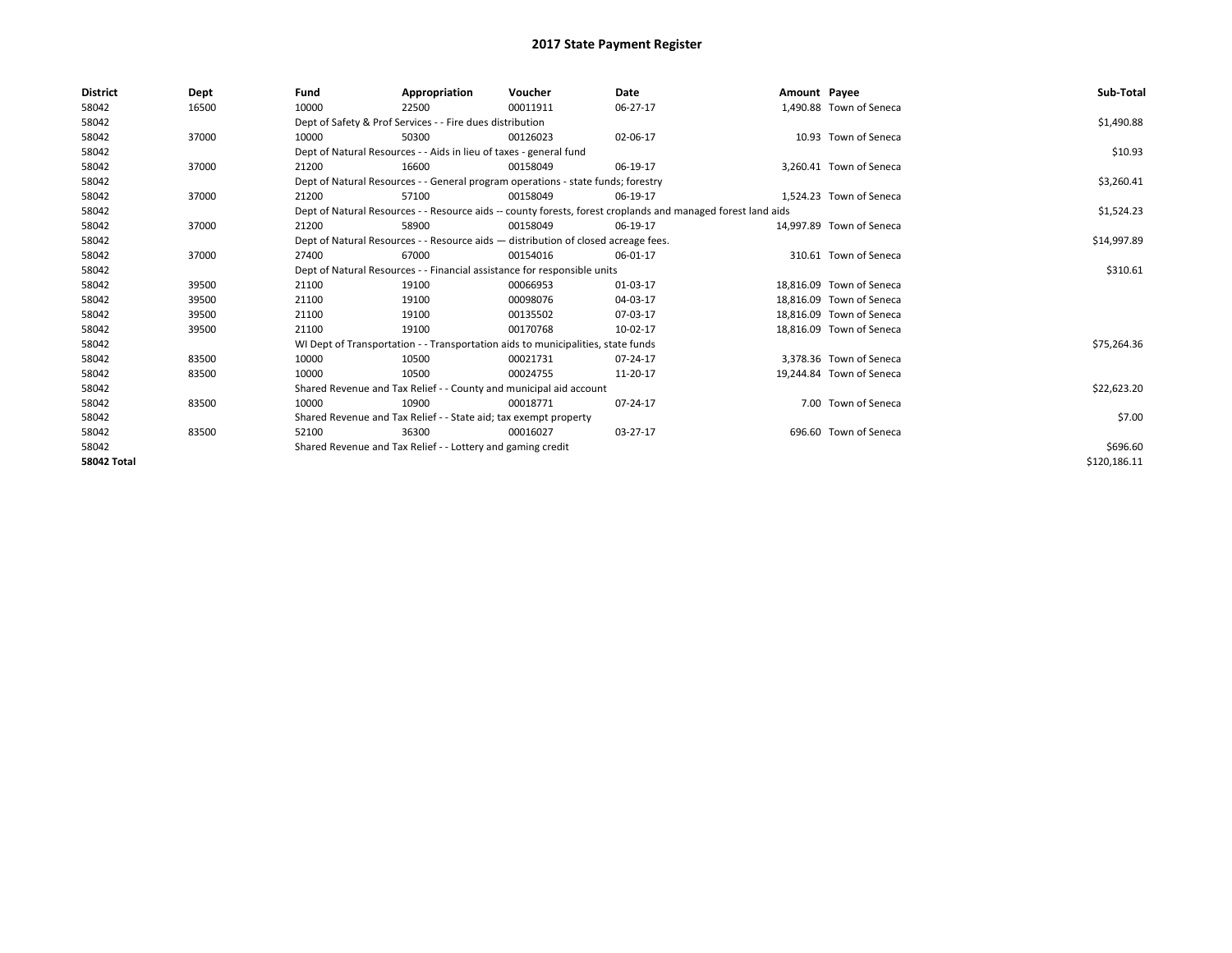| <b>District</b>    | Dept  | Fund                                                        | Appropriation                                                                                                | Voucher  | Date     | Amount Payee |                          | Sub-Total    |  |  |
|--------------------|-------|-------------------------------------------------------------|--------------------------------------------------------------------------------------------------------------|----------|----------|--------------|--------------------------|--------------|--|--|
| 58042              | 16500 | 10000                                                       | 22500                                                                                                        | 00011911 | 06-27-17 |              | 1,490.88 Town of Seneca  |              |  |  |
| 58042              |       |                                                             | Dept of Safety & Prof Services - - Fire dues distribution                                                    |          |          |              |                          | \$1,490.88   |  |  |
| 58042              | 37000 | 10000                                                       | 50300                                                                                                        | 00126023 | 02-06-17 |              | 10.93 Town of Seneca     |              |  |  |
| 58042              |       |                                                             | Dept of Natural Resources - - Aids in lieu of taxes - general fund                                           |          |          |              |                          | \$10.93      |  |  |
| 58042              | 37000 | 21200                                                       | 16600                                                                                                        | 00158049 | 06-19-17 |              | 3,260.41 Town of Seneca  |              |  |  |
| 58042              |       |                                                             | Dept of Natural Resources - - General program operations - state funds; forestry                             |          |          |              |                          | \$3,260.41   |  |  |
| 58042              | 37000 | 21200                                                       | 57100                                                                                                        | 00158049 | 06-19-17 |              | 1.524.23 Town of Seneca  |              |  |  |
| 58042              |       |                                                             | Dept of Natural Resources - - Resource aids -- county forests, forest croplands and managed forest land aids |          |          |              |                          |              |  |  |
| 58042              | 37000 | 21200                                                       | 58900                                                                                                        | 00158049 | 06-19-17 |              | 14,997.89 Town of Seneca |              |  |  |
| 58042              |       |                                                             | Dept of Natural Resources - - Resource aids - distribution of closed acreage fees.                           |          |          |              |                          | \$14,997.89  |  |  |
| 58042              | 37000 | 27400                                                       | 67000                                                                                                        | 00154016 | 06-01-17 |              | 310.61 Town of Seneca    |              |  |  |
| 58042              |       |                                                             | Dept of Natural Resources - - Financial assistance for responsible units                                     |          |          |              |                          | \$310.61     |  |  |
| 58042              | 39500 | 21100                                                       | 19100                                                                                                        | 00066953 | 01-03-17 |              | 18,816.09 Town of Seneca |              |  |  |
| 58042              | 39500 | 21100                                                       | 19100                                                                                                        | 00098076 | 04-03-17 |              | 18,816.09 Town of Seneca |              |  |  |
| 58042              | 39500 | 21100                                                       | 19100                                                                                                        | 00135502 | 07-03-17 |              | 18,816.09 Town of Seneca |              |  |  |
| 58042              | 39500 | 21100                                                       | 19100                                                                                                        | 00170768 | 10-02-17 |              | 18,816.09 Town of Seneca |              |  |  |
| 58042              |       |                                                             | WI Dept of Transportation - - Transportation aids to municipalities, state funds                             |          |          |              |                          | \$75,264.36  |  |  |
| 58042              | 83500 | 10000                                                       | 10500                                                                                                        | 00021731 | 07-24-17 |              | 3,378.36 Town of Seneca  |              |  |  |
| 58042              | 83500 | 10000                                                       | 10500                                                                                                        | 00024755 | 11-20-17 |              | 19,244.84 Town of Seneca |              |  |  |
| 58042              |       |                                                             | Shared Revenue and Tax Relief - - County and municipal aid account                                           |          |          |              |                          | \$22,623.20  |  |  |
| 58042              | 83500 | 10000                                                       | 10900                                                                                                        | 00018771 | 07-24-17 |              | 7.00 Town of Seneca      |              |  |  |
| 58042              |       |                                                             | Shared Revenue and Tax Relief - - State aid; tax exempt property                                             |          |          |              |                          | \$7.00       |  |  |
| 58042              | 83500 | 52100                                                       | 36300                                                                                                        | 00016027 | 03-27-17 |              | 696.60 Town of Seneca    |              |  |  |
| 58042              |       | Shared Revenue and Tax Relief - - Lottery and gaming credit |                                                                                                              | \$696.60 |          |              |                          |              |  |  |
| <b>58042 Total</b> |       |                                                             |                                                                                                              |          |          |              |                          | \$120,186.11 |  |  |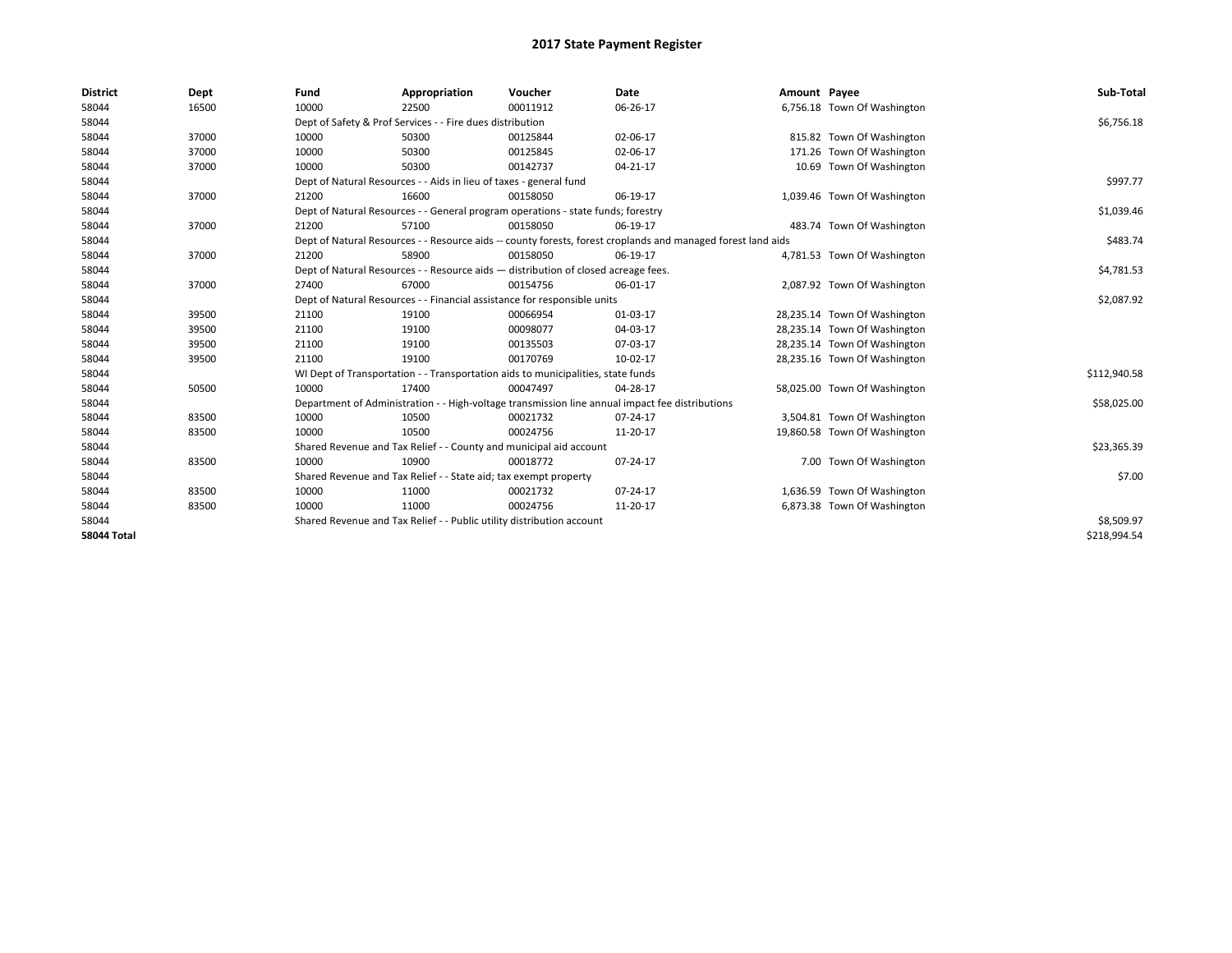| <b>District</b>    | Dept  | Fund                                                                     | Appropriation                                                         | Voucher                                                                            | Date                                                                                                         | Amount Payee |                              | Sub-Total    |
|--------------------|-------|--------------------------------------------------------------------------|-----------------------------------------------------------------------|------------------------------------------------------------------------------------|--------------------------------------------------------------------------------------------------------------|--------------|------------------------------|--------------|
| 58044              | 16500 | 10000                                                                    | 22500                                                                 | 00011912                                                                           | 06-26-17                                                                                                     |              | 6,756.18 Town Of Washington  |              |
| 58044              |       |                                                                          | Dept of Safety & Prof Services - - Fire dues distribution             |                                                                                    |                                                                                                              |              |                              | \$6,756.18   |
| 58044              | 37000 | 10000                                                                    | 50300                                                                 | 00125844                                                                           | 02-06-17                                                                                                     |              | 815.82 Town Of Washington    |              |
| 58044              | 37000 | 10000                                                                    | 50300                                                                 | 00125845                                                                           | 02-06-17                                                                                                     |              | 171.26 Town Of Washington    |              |
| 58044              | 37000 | 10000                                                                    | 50300                                                                 | 00142737                                                                           | 04-21-17                                                                                                     |              | 10.69 Town Of Washington     |              |
| 58044              |       |                                                                          | Dept of Natural Resources - - Aids in lieu of taxes - general fund    |                                                                                    |                                                                                                              |              |                              | \$997.77     |
| 58044              | 37000 | 21200                                                                    | 16600                                                                 | 00158050                                                                           | 06-19-17                                                                                                     |              | 1,039.46 Town Of Washington  |              |
| 58044              |       |                                                                          |                                                                       | Dept of Natural Resources - - General program operations - state funds; forestry   |                                                                                                              |              |                              | \$1,039.46   |
| 58044              | 37000 | 21200                                                                    | 57100                                                                 | 00158050                                                                           | 06-19-17                                                                                                     |              | 483.74 Town Of Washington    |              |
| 58044              |       |                                                                          |                                                                       |                                                                                    | Dept of Natural Resources - - Resource aids -- county forests, forest croplands and managed forest land aids |              |                              | \$483.74     |
| 58044              | 37000 | 21200                                                                    | 58900                                                                 | 00158050                                                                           | 06-19-17                                                                                                     |              | 4,781.53 Town Of Washington  |              |
| 58044              |       |                                                                          |                                                                       | Dept of Natural Resources - - Resource aids - distribution of closed acreage fees. |                                                                                                              |              |                              | \$4,781.53   |
| 58044              | 37000 | 27400                                                                    | 67000                                                                 | 00154756                                                                           | 06-01-17                                                                                                     |              | 2,087.92 Town Of Washington  |              |
| 58044              |       | Dept of Natural Resources - - Financial assistance for responsible units |                                                                       | \$2,087.92                                                                         |                                                                                                              |              |                              |              |
| 58044              | 39500 | 21100                                                                    | 19100                                                                 | 00066954                                                                           | 01-03-17                                                                                                     |              | 28,235.14 Town Of Washington |              |
| 58044              | 39500 | 21100                                                                    | 19100                                                                 | 00098077                                                                           | 04-03-17                                                                                                     |              | 28,235.14 Town Of Washington |              |
| 58044              | 39500 | 21100                                                                    | 19100                                                                 | 00135503                                                                           | 07-03-17                                                                                                     |              | 28,235.14 Town Of Washington |              |
| 58044              | 39500 | 21100                                                                    | 19100                                                                 | 00170769                                                                           | 10-02-17                                                                                                     |              | 28,235.16 Town Of Washington |              |
| 58044              |       |                                                                          |                                                                       | WI Dept of Transportation - - Transportation aids to municipalities, state funds   |                                                                                                              |              |                              | \$112,940.58 |
| 58044              | 50500 | 10000                                                                    | 17400                                                                 | 00047497                                                                           | 04-28-17                                                                                                     |              | 58,025.00 Town Of Washington |              |
| 58044              |       |                                                                          |                                                                       |                                                                                    | Department of Administration - - High-voltage transmission line annual impact fee distributions              |              |                              | \$58,025.00  |
| 58044              | 83500 | 10000                                                                    | 10500                                                                 | 00021732                                                                           | 07-24-17                                                                                                     |              | 3,504.81 Town Of Washington  |              |
| 58044              | 83500 | 10000                                                                    | 10500                                                                 | 00024756                                                                           | 11-20-17                                                                                                     |              | 19,860.58 Town Of Washington |              |
| 58044              |       |                                                                          | Shared Revenue and Tax Relief - - County and municipal aid account    |                                                                                    |                                                                                                              |              |                              | \$23,365.39  |
| 58044              | 83500 | 10000                                                                    | 10900                                                                 | 00018772                                                                           | 07-24-17                                                                                                     |              | 7.00 Town Of Washington      |              |
| 58044              |       |                                                                          | Shared Revenue and Tax Relief - - State aid; tax exempt property      |                                                                                    |                                                                                                              |              |                              | \$7.00       |
| 58044              | 83500 | 10000                                                                    | 11000                                                                 | 00021732                                                                           | 07-24-17                                                                                                     |              | 1,636.59 Town Of Washington  |              |
| 58044              | 83500 | 10000                                                                    | 11000                                                                 | 00024756                                                                           | 11-20-17                                                                                                     |              | 6,873.38 Town Of Washington  |              |
| 58044              |       |                                                                          | Shared Revenue and Tax Relief - - Public utility distribution account |                                                                                    |                                                                                                              |              |                              | \$8,509.97   |
| <b>58044 Total</b> |       |                                                                          |                                                                       |                                                                                    |                                                                                                              |              |                              | \$218,994.54 |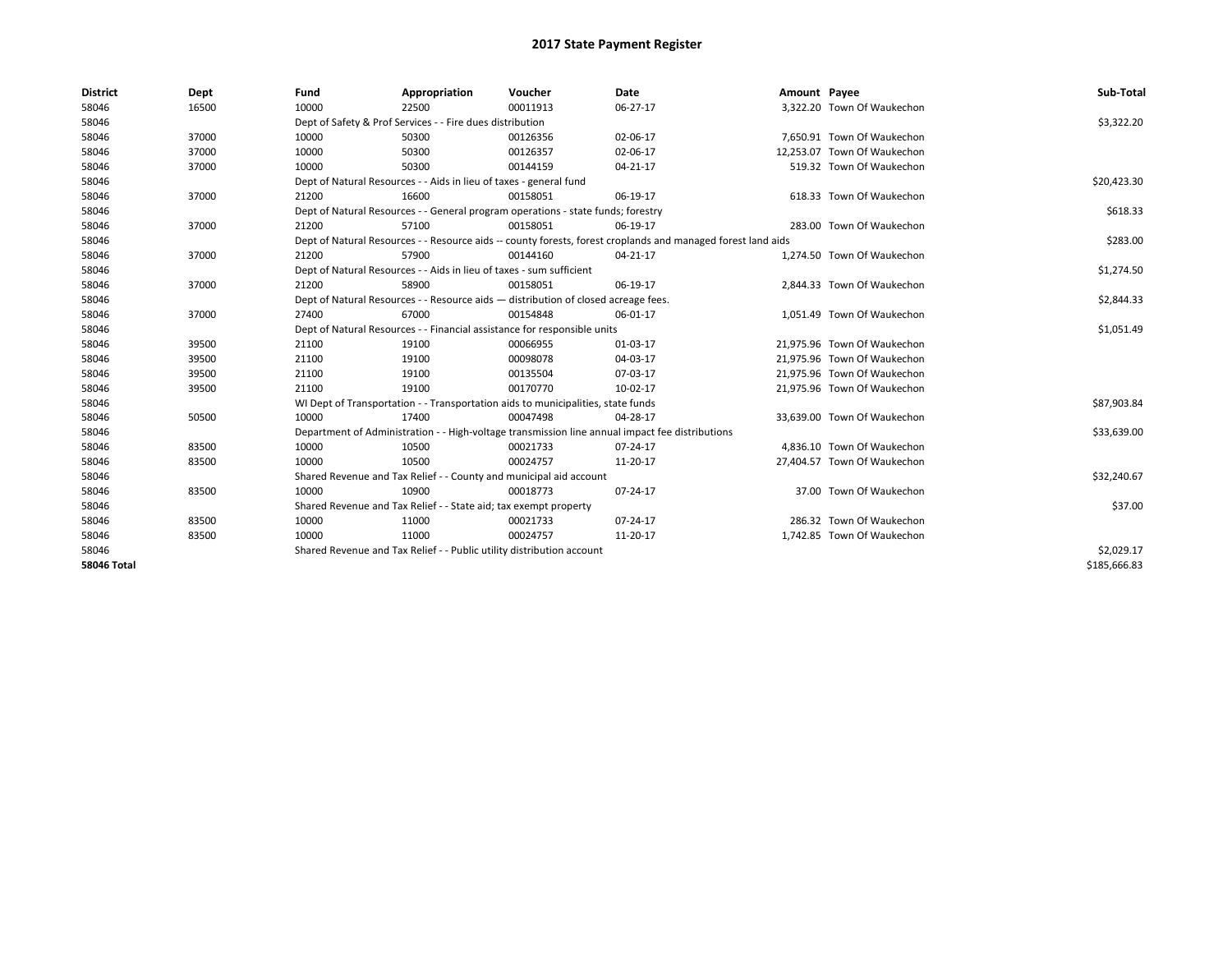| <b>District</b>    | Dept  | Fund  | Appropriation                                                                      | Voucher  | Date                                                                                                         | Amount Payee |                             | Sub-Total    |
|--------------------|-------|-------|------------------------------------------------------------------------------------|----------|--------------------------------------------------------------------------------------------------------------|--------------|-----------------------------|--------------|
| 58046              | 16500 | 10000 | 22500                                                                              | 00011913 | 06-27-17                                                                                                     |              | 3,322.20 Town Of Waukechon  |              |
| 58046              |       |       | Dept of Safety & Prof Services - - Fire dues distribution                          |          |                                                                                                              |              |                             | \$3,322.20   |
| 58046              | 37000 | 10000 | 50300                                                                              | 00126356 | 02-06-17                                                                                                     |              | 7.650.91 Town Of Waukechon  |              |
| 58046              | 37000 | 10000 | 50300                                                                              | 00126357 | 02-06-17                                                                                                     |              | 12,253.07 Town Of Waukechon |              |
| 58046              | 37000 | 10000 | 50300                                                                              | 00144159 | 04-21-17                                                                                                     |              | 519.32 Town Of Waukechon    |              |
| 58046              |       |       | Dept of Natural Resources - - Aids in lieu of taxes - general fund                 |          |                                                                                                              |              |                             | \$20,423.30  |
| 58046              | 37000 | 21200 | 16600                                                                              | 00158051 | 06-19-17                                                                                                     |              | 618.33 Town Of Waukechon    |              |
| 58046              |       |       | Dept of Natural Resources - - General program operations - state funds; forestry   |          |                                                                                                              |              |                             | \$618.33     |
| 58046              | 37000 | 21200 | 57100                                                                              | 00158051 | 06-19-17                                                                                                     |              | 283.00 Town Of Waukechon    |              |
| 58046              |       |       |                                                                                    |          | Dept of Natural Resources - - Resource aids -- county forests, forest croplands and managed forest land aids |              |                             | \$283.00     |
| 58046              | 37000 | 21200 | 57900                                                                              | 00144160 | 04-21-17                                                                                                     |              | 1,274.50 Town Of Waukechon  |              |
| 58046              |       |       | Dept of Natural Resources - - Aids in lieu of taxes - sum sufficient               |          |                                                                                                              |              |                             | \$1,274.50   |
| 58046              | 37000 | 21200 | 58900                                                                              | 00158051 | 06-19-17                                                                                                     |              | 2,844.33 Town Of Waukechon  |              |
| 58046              |       |       | Dept of Natural Resources - - Resource aids - distribution of closed acreage fees. |          |                                                                                                              |              |                             | \$2,844.33   |
| 58046              | 37000 | 27400 | 67000                                                                              | 00154848 | 06-01-17                                                                                                     |              | 1,051.49 Town Of Waukechon  |              |
| 58046              |       |       | Dept of Natural Resources - - Financial assistance for responsible units           |          |                                                                                                              |              |                             | \$1,051.49   |
| 58046              | 39500 | 21100 | 19100                                                                              | 00066955 | 01-03-17                                                                                                     |              | 21,975.96 Town Of Waukechon |              |
| 58046              | 39500 | 21100 | 19100                                                                              | 00098078 | 04-03-17                                                                                                     |              | 21,975.96 Town Of Waukechon |              |
| 58046              | 39500 | 21100 | 19100                                                                              | 00135504 | 07-03-17                                                                                                     |              | 21,975.96 Town Of Waukechon |              |
| 58046              | 39500 | 21100 | 19100                                                                              | 00170770 | 10-02-17                                                                                                     |              | 21,975.96 Town Of Waukechon |              |
| 58046              |       |       | WI Dept of Transportation - - Transportation aids to municipalities, state funds   |          |                                                                                                              |              |                             | \$87,903.84  |
| 58046              | 50500 | 10000 | 17400                                                                              | 00047498 | 04-28-17                                                                                                     |              | 33,639.00 Town Of Waukechon |              |
| 58046              |       |       |                                                                                    |          | Department of Administration - - High-voltage transmission line annual impact fee distributions              |              |                             | \$33,639.00  |
| 58046              | 83500 | 10000 | 10500                                                                              | 00021733 | 07-24-17                                                                                                     |              | 4.836.10 Town Of Waukechon  |              |
| 58046              | 83500 | 10000 | 10500                                                                              | 00024757 | 11-20-17                                                                                                     |              | 27,404.57 Town Of Waukechon |              |
| 58046              |       |       | Shared Revenue and Tax Relief - - County and municipal aid account                 |          |                                                                                                              |              |                             | \$32,240.67  |
| 58046              | 83500 | 10000 | 10900                                                                              | 00018773 | 07-24-17                                                                                                     |              | 37.00 Town Of Waukechon     |              |
| 58046              |       |       | Shared Revenue and Tax Relief - - State aid; tax exempt property                   |          |                                                                                                              |              |                             | \$37.00      |
| 58046              | 83500 | 10000 | 11000                                                                              | 00021733 | $07 - 24 - 17$                                                                                               |              | 286.32 Town Of Waukechon    |              |
| 58046              | 83500 | 10000 | 11000                                                                              | 00024757 | 11-20-17                                                                                                     |              | 1,742.85 Town Of Waukechon  |              |
| 58046              |       |       | Shared Revenue and Tax Relief - - Public utility distribution account              |          |                                                                                                              |              |                             | \$2,029.17   |
| <b>58046 Total</b> |       |       |                                                                                    |          |                                                                                                              |              |                             | \$185,666.83 |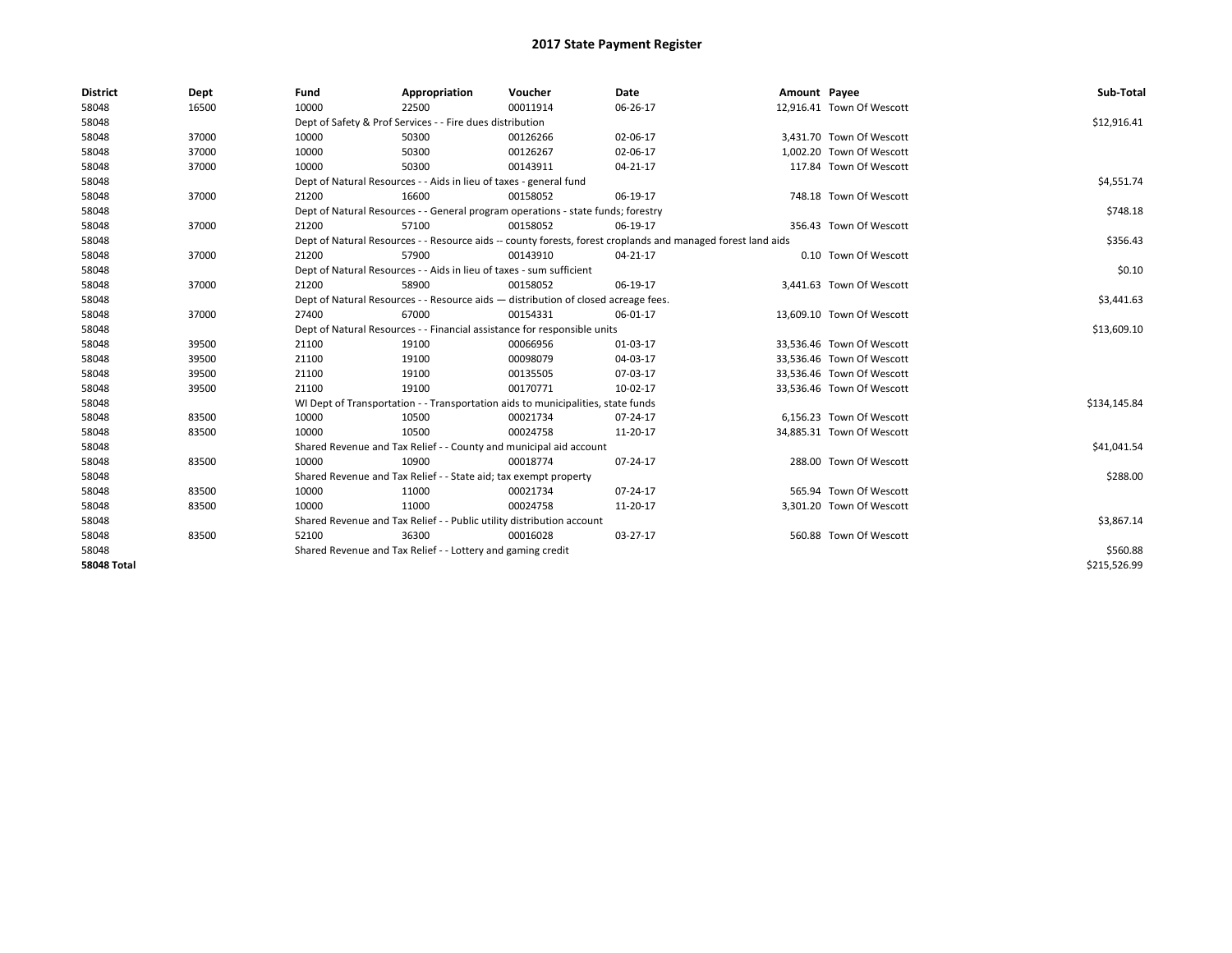| <b>District</b>    | Dept  | Fund  | Appropriation                                                         | Voucher                                                                            | <b>Date</b>                                                                                                  | Amount Payee |                           | Sub-Total    |
|--------------------|-------|-------|-----------------------------------------------------------------------|------------------------------------------------------------------------------------|--------------------------------------------------------------------------------------------------------------|--------------|---------------------------|--------------|
| 58048              | 16500 | 10000 | 22500                                                                 | 00011914                                                                           | 06-26-17                                                                                                     |              | 12,916.41 Town Of Wescott |              |
| 58048              |       |       | Dept of Safety & Prof Services - - Fire dues distribution             |                                                                                    |                                                                                                              |              |                           | \$12,916.41  |
| 58048              | 37000 | 10000 | 50300                                                                 | 00126266                                                                           | 02-06-17                                                                                                     |              | 3,431.70 Town Of Wescott  |              |
| 58048              | 37000 | 10000 | 50300                                                                 | 00126267                                                                           | 02-06-17                                                                                                     |              | 1,002.20 Town Of Wescott  |              |
| 58048              | 37000 | 10000 | 50300                                                                 | 00143911                                                                           | 04-21-17                                                                                                     |              | 117.84 Town Of Wescott    |              |
| 58048              |       |       | Dept of Natural Resources - - Aids in lieu of taxes - general fund    |                                                                                    |                                                                                                              |              |                           | \$4,551.74   |
| 58048              | 37000 | 21200 | 16600                                                                 | 00158052                                                                           | 06-19-17                                                                                                     |              | 748.18 Town Of Wescott    |              |
| 58048              |       |       |                                                                       | Dept of Natural Resources - - General program operations - state funds; forestry   |                                                                                                              |              |                           | \$748.18     |
| 58048              | 37000 | 21200 | 57100                                                                 | 00158052                                                                           | 06-19-17                                                                                                     |              | 356.43 Town Of Wescott    |              |
| 58048              |       |       |                                                                       |                                                                                    | Dept of Natural Resources - - Resource aids -- county forests, forest croplands and managed forest land aids |              |                           | \$356.43     |
| 58048              | 37000 | 21200 | 57900                                                                 | 00143910                                                                           | 04-21-17                                                                                                     |              | 0.10 Town Of Wescott      |              |
| 58048              |       |       | Dept of Natural Resources - - Aids in lieu of taxes - sum sufficient  |                                                                                    |                                                                                                              |              |                           | \$0.10       |
| 58048              | 37000 | 21200 | 58900                                                                 | 00158052                                                                           | 06-19-17                                                                                                     |              | 3,441.63 Town Of Wescott  |              |
| 58048              |       |       |                                                                       | Dept of Natural Resources - - Resource aids - distribution of closed acreage fees. |                                                                                                              |              |                           | \$3,441.63   |
| 58048              | 37000 | 27400 | 67000                                                                 | 00154331                                                                           | 06-01-17                                                                                                     |              | 13,609.10 Town Of Wescott |              |
| 58048              |       |       |                                                                       | Dept of Natural Resources - - Financial assistance for responsible units           |                                                                                                              |              |                           | \$13,609.10  |
| 58048              | 39500 | 21100 | 19100                                                                 | 00066956                                                                           | 01-03-17                                                                                                     |              | 33,536.46 Town Of Wescott |              |
| 58048              | 39500 | 21100 | 19100                                                                 | 00098079                                                                           | 04-03-17                                                                                                     |              | 33,536.46 Town Of Wescott |              |
| 58048              | 39500 | 21100 | 19100                                                                 | 00135505                                                                           | 07-03-17                                                                                                     |              | 33,536.46 Town Of Wescott |              |
| 58048              | 39500 | 21100 | 19100                                                                 | 00170771                                                                           | 10-02-17                                                                                                     |              | 33,536.46 Town Of Wescott |              |
| 58048              |       |       |                                                                       | WI Dept of Transportation - - Transportation aids to municipalities, state funds   |                                                                                                              |              |                           | \$134,145.84 |
| 58048              | 83500 | 10000 | 10500                                                                 | 00021734                                                                           | 07-24-17                                                                                                     |              | 6,156.23 Town Of Wescott  |              |
| 58048              | 83500 | 10000 | 10500                                                                 | 00024758                                                                           | 11-20-17                                                                                                     |              | 34,885.31 Town Of Wescott |              |
| 58048              |       |       |                                                                       | Shared Revenue and Tax Relief - - County and municipal aid account                 |                                                                                                              |              |                           | \$41,041.54  |
| 58048              | 83500 | 10000 | 10900                                                                 | 00018774                                                                           | 07-24-17                                                                                                     |              | 288.00 Town Of Wescott    |              |
| 58048              |       |       | Shared Revenue and Tax Relief - - State aid; tax exempt property      |                                                                                    |                                                                                                              |              |                           | \$288.00     |
| 58048              | 83500 | 10000 | 11000                                                                 | 00021734                                                                           | 07-24-17                                                                                                     |              | 565.94 Town Of Wescott    |              |
| 58048              | 83500 | 10000 | 11000                                                                 | 00024758                                                                           | 11-20-17                                                                                                     |              | 3,301.20 Town Of Wescott  |              |
| 58048              |       |       | Shared Revenue and Tax Relief - - Public utility distribution account |                                                                                    |                                                                                                              |              |                           | \$3,867.14   |
| 58048              | 83500 | 52100 | 36300                                                                 | 00016028                                                                           | 03-27-17                                                                                                     |              | 560.88 Town Of Wescott    |              |
| 58048              |       |       | Shared Revenue and Tax Relief - - Lottery and gaming credit           |                                                                                    |                                                                                                              |              |                           | \$560.88     |
| <b>58048 Total</b> |       |       |                                                                       |                                                                                    |                                                                                                              |              |                           | \$215,526.99 |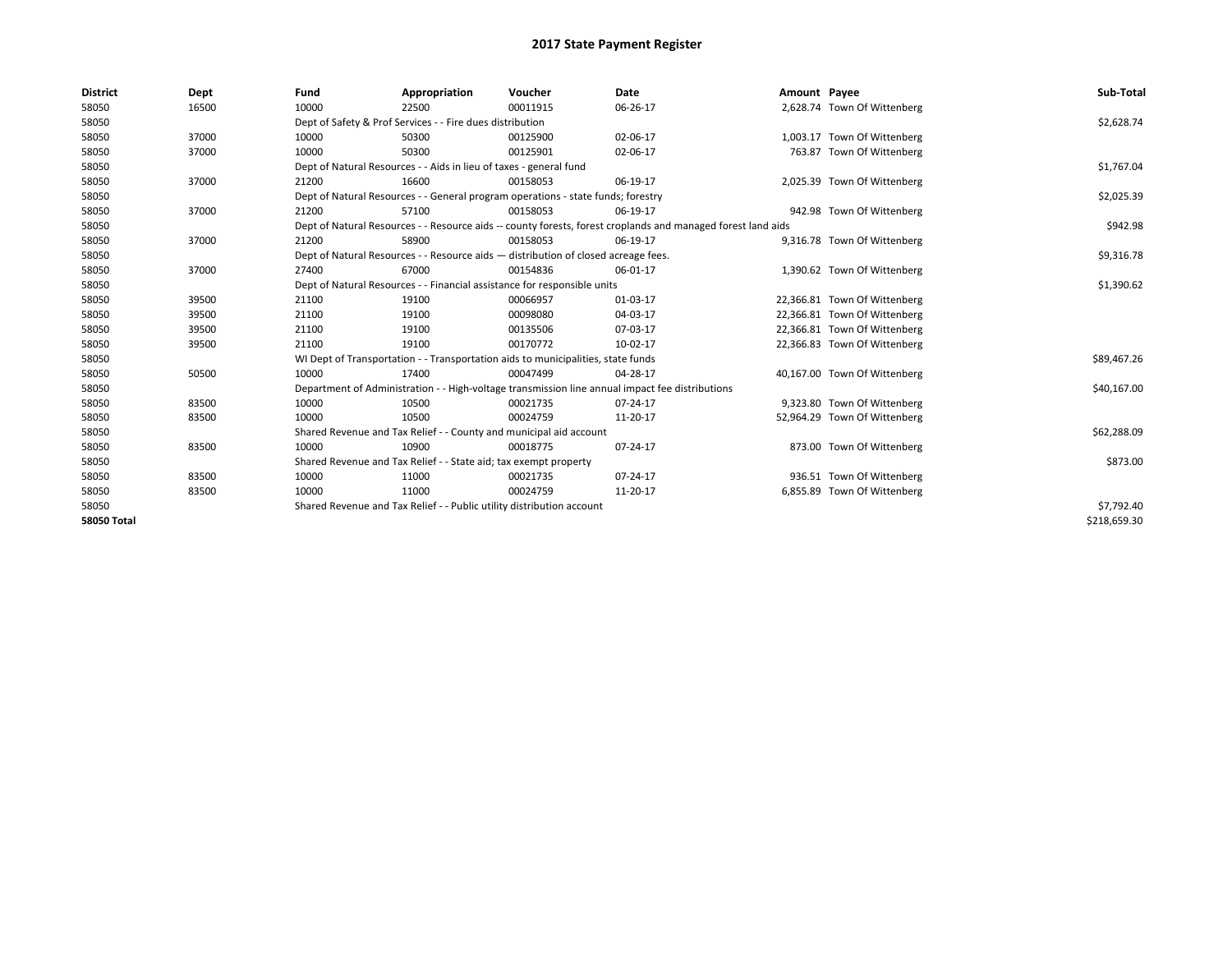| <b>District</b>    | Dept  | Fund  | Appropriation                                                                                                | Voucher  | <b>Date</b> | Amount Payee |                              | Sub-Total    |  |  |
|--------------------|-------|-------|--------------------------------------------------------------------------------------------------------------|----------|-------------|--------------|------------------------------|--------------|--|--|
| 58050              | 16500 | 10000 | 22500                                                                                                        | 00011915 | 06-26-17    |              | 2,628.74 Town Of Wittenberg  |              |  |  |
| 58050              |       |       | Dept of Safety & Prof Services - - Fire dues distribution                                                    |          |             |              |                              | \$2,628.74   |  |  |
| 58050              | 37000 | 10000 | 50300                                                                                                        | 00125900 | 02-06-17    |              | 1,003.17 Town Of Wittenberg  |              |  |  |
| 58050              | 37000 | 10000 | 50300                                                                                                        | 00125901 | 02-06-17    |              | 763.87 Town Of Wittenberg    |              |  |  |
| 58050              |       |       | Dept of Natural Resources - - Aids in lieu of taxes - general fund                                           |          |             |              |                              | \$1,767.04   |  |  |
| 58050              | 37000 | 21200 | 16600                                                                                                        | 00158053 | 06-19-17    |              | 2,025.39 Town Of Wittenberg  |              |  |  |
| 58050              |       |       | Dept of Natural Resources - - General program operations - state funds; forestry                             |          |             |              |                              | \$2,025.39   |  |  |
| 58050              | 37000 | 21200 | 57100                                                                                                        | 00158053 | 06-19-17    |              | 942.98 Town Of Wittenberg    |              |  |  |
| 58050              |       |       | Dept of Natural Resources - - Resource aids -- county forests, forest croplands and managed forest land aids |          |             |              |                              | \$942.98     |  |  |
| 58050              | 37000 | 21200 | 58900                                                                                                        | 00158053 | 06-19-17    |              | 9,316.78 Town Of Wittenberg  |              |  |  |
| 58050              |       |       | Dept of Natural Resources - - Resource aids - distribution of closed acreage fees.                           |          |             |              |                              | \$9,316.78   |  |  |
| 58050              | 37000 | 27400 | 67000                                                                                                        | 00154836 | 06-01-17    |              | 1,390.62 Town Of Wittenberg  |              |  |  |
| 58050              |       |       | Dept of Natural Resources - - Financial assistance for responsible units                                     |          |             |              |                              |              |  |  |
| 58050              | 39500 | 21100 | 19100                                                                                                        | 00066957 | 01-03-17    |              | 22,366.81 Town Of Wittenberg |              |  |  |
| 58050              | 39500 | 21100 | 19100                                                                                                        | 00098080 | 04-03-17    |              | 22,366.81 Town Of Wittenberg |              |  |  |
| 58050              | 39500 | 21100 | 19100                                                                                                        | 00135506 | 07-03-17    |              | 22,366.81 Town Of Wittenberg |              |  |  |
| 58050              | 39500 | 21100 | 19100                                                                                                        | 00170772 | 10-02-17    |              | 22,366.83 Town Of Wittenberg |              |  |  |
| 58050              |       |       | WI Dept of Transportation - - Transportation aids to municipalities, state funds                             |          |             |              |                              | \$89,467.26  |  |  |
| 58050              | 50500 | 10000 | 17400                                                                                                        | 00047499 | 04-28-17    |              | 40,167.00 Town Of Wittenberg |              |  |  |
| 58050              |       |       | Department of Administration - - High-voltage transmission line annual impact fee distributions              |          |             |              |                              | \$40,167.00  |  |  |
| 58050              | 83500 | 10000 | 10500                                                                                                        | 00021735 | 07-24-17    |              | 9,323.80 Town Of Wittenberg  |              |  |  |
| 58050              | 83500 | 10000 | 10500                                                                                                        | 00024759 | 11-20-17    |              | 52,964.29 Town Of Wittenberg |              |  |  |
| 58050              |       |       | Shared Revenue and Tax Relief - - County and municipal aid account                                           |          |             |              |                              | \$62,288.09  |  |  |
| 58050              | 83500 | 10000 | 10900                                                                                                        | 00018775 | 07-24-17    |              | 873.00 Town Of Wittenberg    |              |  |  |
| 58050              |       |       | Shared Revenue and Tax Relief - - State aid; tax exempt property                                             |          |             |              |                              | \$873.00     |  |  |
| 58050              | 83500 | 10000 | 11000                                                                                                        | 00021735 | 07-24-17    |              | 936.51 Town Of Wittenberg    |              |  |  |
| 58050              | 83500 | 10000 | 11000                                                                                                        | 00024759 | 11-20-17    |              | 6,855.89 Town Of Wittenberg  |              |  |  |
| 58050              |       |       | Shared Revenue and Tax Relief - - Public utility distribution account                                        |          |             |              |                              | \$7,792.40   |  |  |
| <b>58050 Total</b> |       |       |                                                                                                              |          |             |              |                              | \$218,659.30 |  |  |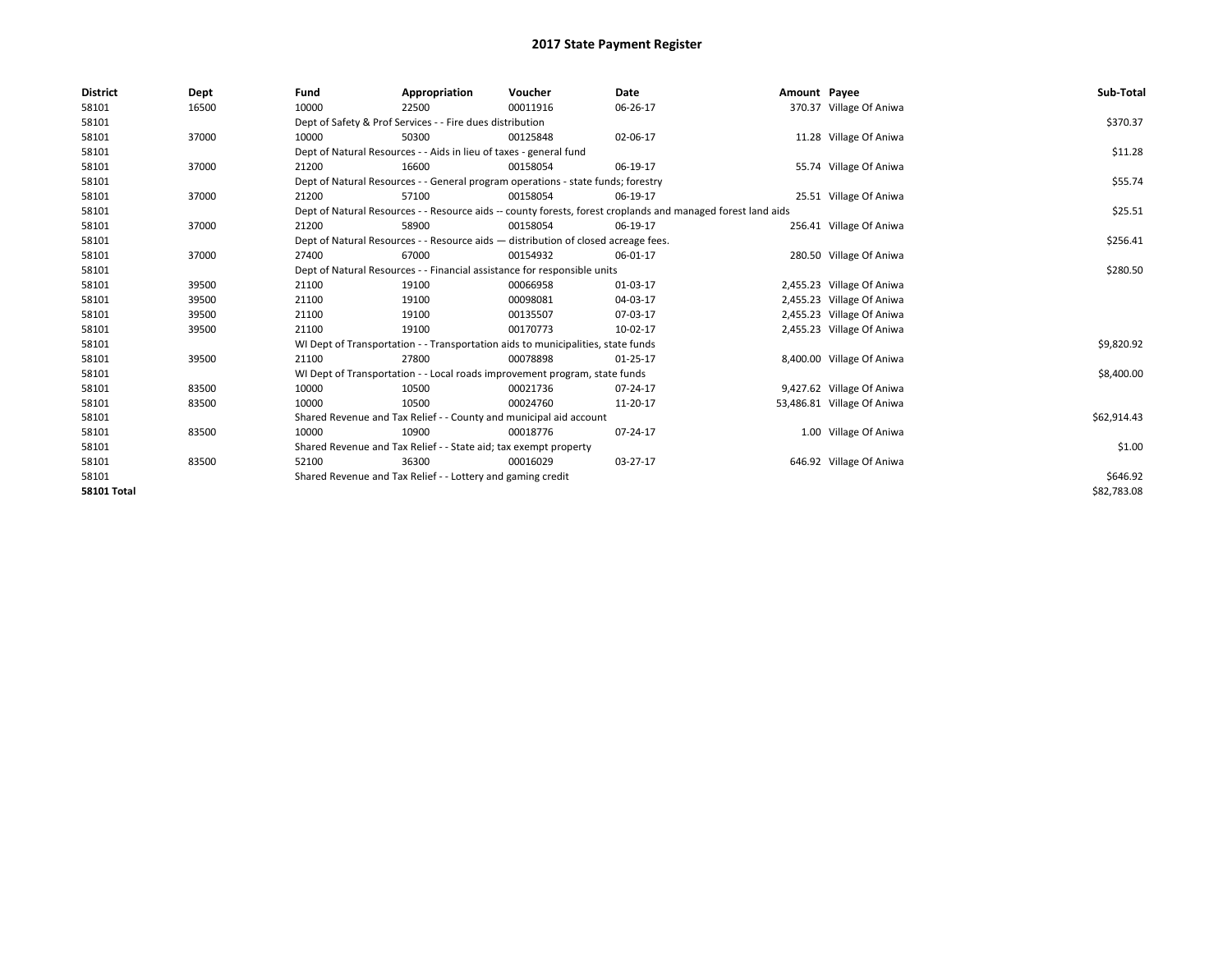| <b>District</b>    | Dept  | Fund                                                        | Appropriation                                                                      | Voucher  | Date                                                                                                         | Amount Payee |                            | Sub-Total   |
|--------------------|-------|-------------------------------------------------------------|------------------------------------------------------------------------------------|----------|--------------------------------------------------------------------------------------------------------------|--------------|----------------------------|-------------|
| 58101              | 16500 | 10000                                                       | 22500                                                                              | 00011916 | 06-26-17                                                                                                     |              | 370.37 Village Of Aniwa    |             |
| 58101              |       |                                                             | Dept of Safety & Prof Services - - Fire dues distribution                          |          |                                                                                                              |              |                            | \$370.37    |
| 58101              | 37000 | 10000                                                       | 50300                                                                              | 00125848 | 02-06-17                                                                                                     |              | 11.28 Village Of Aniwa     |             |
| 58101              |       |                                                             | Dept of Natural Resources - - Aids in lieu of taxes - general fund                 |          |                                                                                                              |              |                            | \$11.28     |
| 58101              | 37000 | 21200                                                       | 16600                                                                              | 00158054 | 06-19-17                                                                                                     |              | 55.74 Village Of Aniwa     |             |
| 58101              |       |                                                             | Dept of Natural Resources - - General program operations - state funds; forestry   |          |                                                                                                              |              |                            | \$55.74     |
| 58101              | 37000 | 21200                                                       | 57100                                                                              | 00158054 | 06-19-17                                                                                                     |              | 25.51 Village Of Aniwa     |             |
| 58101              |       |                                                             |                                                                                    |          | Dept of Natural Resources - - Resource aids -- county forests, forest croplands and managed forest land aids |              |                            | \$25.51     |
| 58101              | 37000 | 21200                                                       | 58900                                                                              | 00158054 | 06-19-17                                                                                                     |              | 256.41 Village Of Aniwa    |             |
| 58101              |       |                                                             | Dept of Natural Resources - - Resource aids - distribution of closed acreage fees. |          |                                                                                                              |              |                            | \$256.41    |
| 58101              | 37000 | 27400                                                       | 67000                                                                              | 00154932 | 06-01-17                                                                                                     |              | 280.50 Village Of Aniwa    |             |
| 58101              |       |                                                             | Dept of Natural Resources - - Financial assistance for responsible units           |          |                                                                                                              |              |                            | \$280.50    |
| 58101              | 39500 | 21100                                                       | 19100                                                                              | 00066958 | 01-03-17                                                                                                     |              | 2,455.23 Village Of Aniwa  |             |
| 58101              | 39500 | 21100                                                       | 19100                                                                              | 00098081 | 04-03-17                                                                                                     |              | 2,455.23 Village Of Aniwa  |             |
| 58101              | 39500 | 21100                                                       | 19100                                                                              | 00135507 | 07-03-17                                                                                                     |              | 2,455.23 Village Of Aniwa  |             |
| 58101              | 39500 | 21100                                                       | 19100                                                                              | 00170773 | 10-02-17                                                                                                     |              | 2,455.23 Village Of Aniwa  |             |
| 58101              |       |                                                             | WI Dept of Transportation - - Transportation aids to municipalities, state funds   |          |                                                                                                              |              |                            | \$9,820.92  |
| 58101              | 39500 | 21100                                                       | 27800                                                                              | 00078898 | 01-25-17                                                                                                     |              | 8,400.00 Village Of Aniwa  |             |
| 58101              |       |                                                             | WI Dept of Transportation - - Local roads improvement program, state funds         |          |                                                                                                              |              |                            | \$8,400.00  |
| 58101              | 83500 | 10000                                                       | 10500                                                                              | 00021736 | 07-24-17                                                                                                     |              | 9,427.62 Village Of Aniwa  |             |
| 58101              | 83500 | 10000                                                       | 10500                                                                              | 00024760 | 11-20-17                                                                                                     |              | 53,486.81 Village Of Aniwa |             |
| 58101              |       |                                                             | Shared Revenue and Tax Relief - - County and municipal aid account                 |          |                                                                                                              |              |                            | \$62,914.43 |
| 58101              | 83500 | 10000                                                       | 10900                                                                              | 00018776 | 07-24-17                                                                                                     |              | 1.00 Village Of Aniwa      |             |
| 58101              |       |                                                             | Shared Revenue and Tax Relief - - State aid; tax exempt property                   |          |                                                                                                              |              |                            | \$1.00      |
| 58101              | 83500 | 52100                                                       | 36300                                                                              | 00016029 | 03-27-17                                                                                                     |              | 646.92 Village Of Aniwa    |             |
| 58101              |       | Shared Revenue and Tax Relief - - Lottery and gaming credit |                                                                                    | \$646.92 |                                                                                                              |              |                            |             |
| <b>58101 Total</b> |       |                                                             |                                                                                    |          |                                                                                                              |              |                            | \$82,783.08 |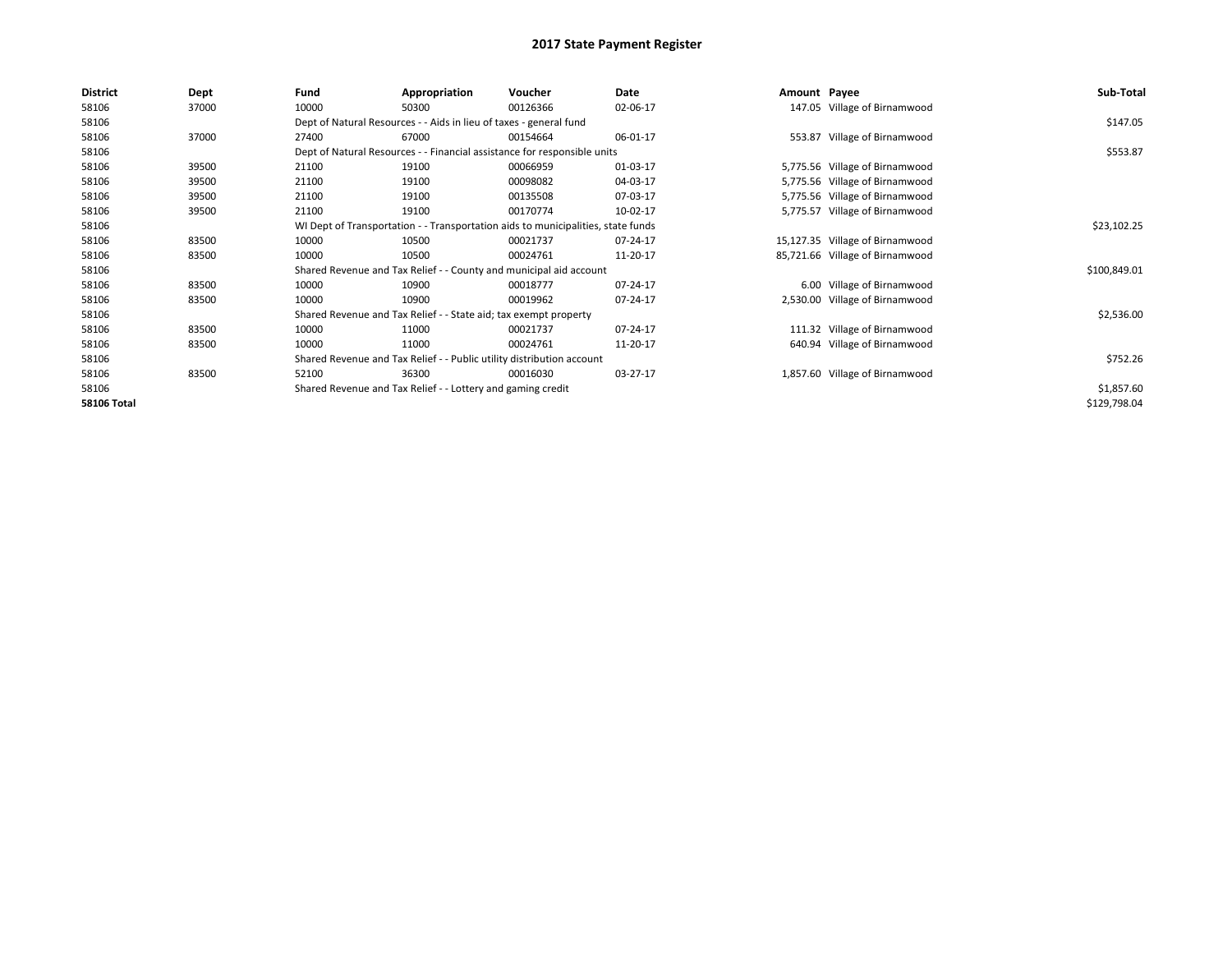| <b>District</b>    | Dept  | Fund  | Appropriation                                                                    | Voucher  | Date     | Amount Payee |                                 | Sub-Total    |
|--------------------|-------|-------|----------------------------------------------------------------------------------|----------|----------|--------------|---------------------------------|--------------|
| 58106              | 37000 | 10000 | 50300                                                                            | 00126366 | 02-06-17 |              | 147.05 Village of Birnamwood    |              |
| 58106              |       |       | Dept of Natural Resources - - Aids in lieu of taxes - general fund               |          |          |              |                                 | \$147.05     |
| 58106              | 37000 | 27400 | 67000                                                                            | 00154664 | 06-01-17 |              | 553.87 Village of Birnamwood    |              |
| 58106              |       |       | Dept of Natural Resources - - Financial assistance for responsible units         |          |          |              |                                 | \$553.87     |
| 58106              | 39500 | 21100 | 19100                                                                            | 00066959 | 01-03-17 |              | 5,775.56 Village of Birnamwood  |              |
| 58106              | 39500 | 21100 | 19100                                                                            | 00098082 | 04-03-17 |              | 5,775.56 Village of Birnamwood  |              |
| 58106              | 39500 | 21100 | 19100                                                                            | 00135508 | 07-03-17 |              | 5,775.56 Village of Birnamwood  |              |
| 58106              | 39500 | 21100 | 19100                                                                            | 00170774 | 10-02-17 | 5,775.57     | Village of Birnamwood           |              |
| 58106              |       |       | WI Dept of Transportation - - Transportation aids to municipalities, state funds |          |          |              |                                 | \$23,102.25  |
| 58106              | 83500 | 10000 | 10500                                                                            | 00021737 | 07-24-17 |              | 15,127.35 Village of Birnamwood |              |
| 58106              | 83500 | 10000 | 10500                                                                            | 00024761 | 11-20-17 |              | 85,721.66 Village of Birnamwood |              |
| 58106              |       |       | Shared Revenue and Tax Relief - - County and municipal aid account               |          |          |              |                                 | \$100,849.01 |
| 58106              | 83500 | 10000 | 10900                                                                            | 00018777 | 07-24-17 |              | 6.00 Village of Birnamwood      |              |
| 58106              | 83500 | 10000 | 10900                                                                            | 00019962 | 07-24-17 |              | 2,530.00 Village of Birnamwood  |              |
| 58106              |       |       | Shared Revenue and Tax Relief - - State aid; tax exempt property                 |          |          |              |                                 | \$2,536.00   |
| 58106              | 83500 | 10000 | 11000                                                                            | 00021737 | 07-24-17 |              | 111.32 Village of Birnamwood    |              |
| 58106              | 83500 | 10000 | 11000                                                                            | 00024761 | 11-20-17 |              | 640.94 Village of Birnamwood    |              |
| 58106              |       |       | Shared Revenue and Tax Relief - - Public utility distribution account            |          |          |              |                                 | \$752.26     |
| 58106              | 83500 | 52100 | 36300                                                                            | 00016030 | 03-27-17 |              | 1,857.60 Village of Birnamwood  |              |
| 58106              |       |       | Shared Revenue and Tax Relief - - Lottery and gaming credit                      |          |          |              |                                 | \$1,857.60   |
| <b>58106 Total</b> |       |       |                                                                                  |          |          |              |                                 | \$129,798.04 |
|                    |       |       |                                                                                  |          |          |              |                                 |              |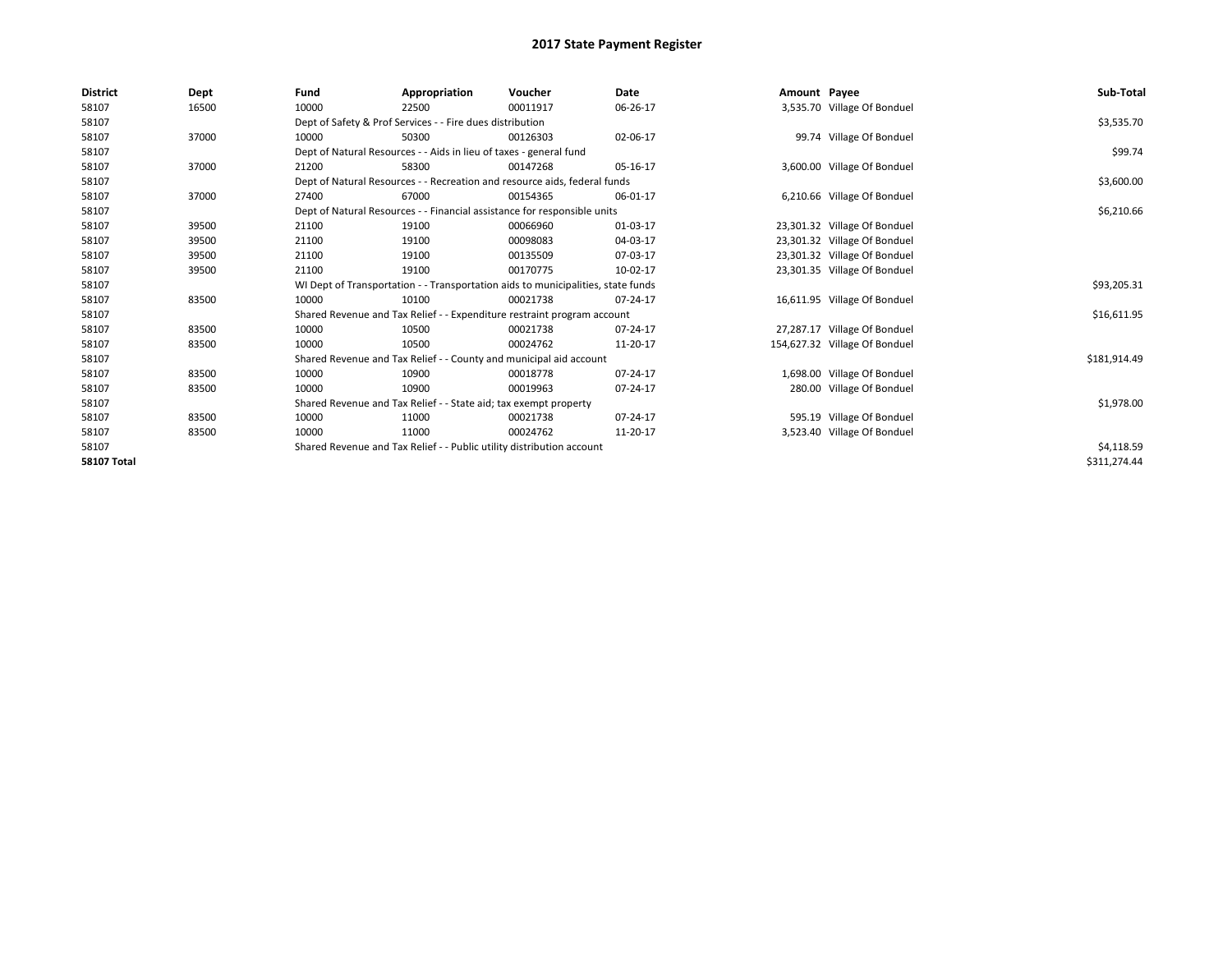| <b>District</b>    | Dept  | Fund  | Appropriation                                                                    | Voucher  | <b>Date</b> | Amount Payee |                               | Sub-Total    |  |  |
|--------------------|-------|-------|----------------------------------------------------------------------------------|----------|-------------|--------------|-------------------------------|--------------|--|--|
| 58107              | 16500 | 10000 | 22500                                                                            | 00011917 | 06-26-17    |              | 3,535.70 Village Of Bonduel   |              |  |  |
| 58107              |       |       | Dept of Safety & Prof Services - - Fire dues distribution                        |          |             |              |                               | \$3,535.70   |  |  |
| 58107              | 37000 | 10000 | 50300                                                                            | 00126303 | 02-06-17    |              | 99.74 Village Of Bonduel      |              |  |  |
| 58107              |       |       | Dept of Natural Resources - - Aids in lieu of taxes - general fund               |          |             |              |                               | \$99.74      |  |  |
| 58107              | 37000 | 21200 | 58300                                                                            | 00147268 | 05-16-17    |              | 3,600.00 Village Of Bonduel   |              |  |  |
| 58107              |       |       | Dept of Natural Resources - - Recreation and resource aids, federal funds        |          |             |              |                               | \$3,600.00   |  |  |
| 58107              | 37000 | 27400 | 67000                                                                            | 00154365 | 06-01-17    |              | 6,210.66 Village Of Bonduel   |              |  |  |
| 58107              |       |       | Dept of Natural Resources - - Financial assistance for responsible units         |          |             |              |                               | \$6,210.66   |  |  |
| 58107              | 39500 | 21100 | 19100                                                                            | 00066960 | 01-03-17    |              | 23,301.32 Village Of Bonduel  |              |  |  |
| 58107              | 39500 | 21100 | 19100                                                                            | 00098083 | 04-03-17    |              | 23,301.32 Village Of Bonduel  |              |  |  |
| 58107              | 39500 | 21100 | 19100                                                                            | 00135509 | 07-03-17    |              | 23,301.32 Village Of Bonduel  |              |  |  |
| 58107              | 39500 | 21100 | 19100                                                                            | 00170775 | 10-02-17    |              | 23,301.35 Village Of Bonduel  |              |  |  |
| 58107              |       |       | WI Dept of Transportation - - Transportation aids to municipalities, state funds |          |             |              |                               | \$93,205.31  |  |  |
| 58107              | 83500 | 10000 | 10100                                                                            | 00021738 | 07-24-17    |              | 16,611.95 Village Of Bonduel  |              |  |  |
| 58107              |       |       | Shared Revenue and Tax Relief - - Expenditure restraint program account          |          |             |              |                               | \$16,611.95  |  |  |
| 58107              | 83500 | 10000 | 10500                                                                            | 00021738 | 07-24-17    |              | 27,287.17 Village Of Bonduel  |              |  |  |
| 58107              | 83500 | 10000 | 10500                                                                            | 00024762 | 11-20-17    |              | 154,627.32 Village Of Bonduel |              |  |  |
| 58107              |       |       | Shared Revenue and Tax Relief - - County and municipal aid account               |          |             |              |                               | \$181,914.49 |  |  |
| 58107              | 83500 | 10000 | 10900                                                                            | 00018778 | 07-24-17    |              | 1,698.00 Village Of Bonduel   |              |  |  |
| 58107              | 83500 | 10000 | 10900                                                                            | 00019963 | 07-24-17    |              | 280.00 Village Of Bonduel     |              |  |  |
| 58107              |       |       | Shared Revenue and Tax Relief - - State aid; tax exempt property                 |          |             |              |                               | \$1,978.00   |  |  |
| 58107              | 83500 | 10000 | 11000                                                                            | 00021738 | 07-24-17    |              | 595.19 Village Of Bonduel     |              |  |  |
| 58107              | 83500 | 10000 | 11000                                                                            | 00024762 | 11-20-17    |              | 3,523.40 Village Of Bonduel   |              |  |  |
| 58107              |       |       | Shared Revenue and Tax Relief - - Public utility distribution account            |          |             |              |                               |              |  |  |
| <b>58107 Total</b> |       |       |                                                                                  |          |             |              |                               | \$311,274.44 |  |  |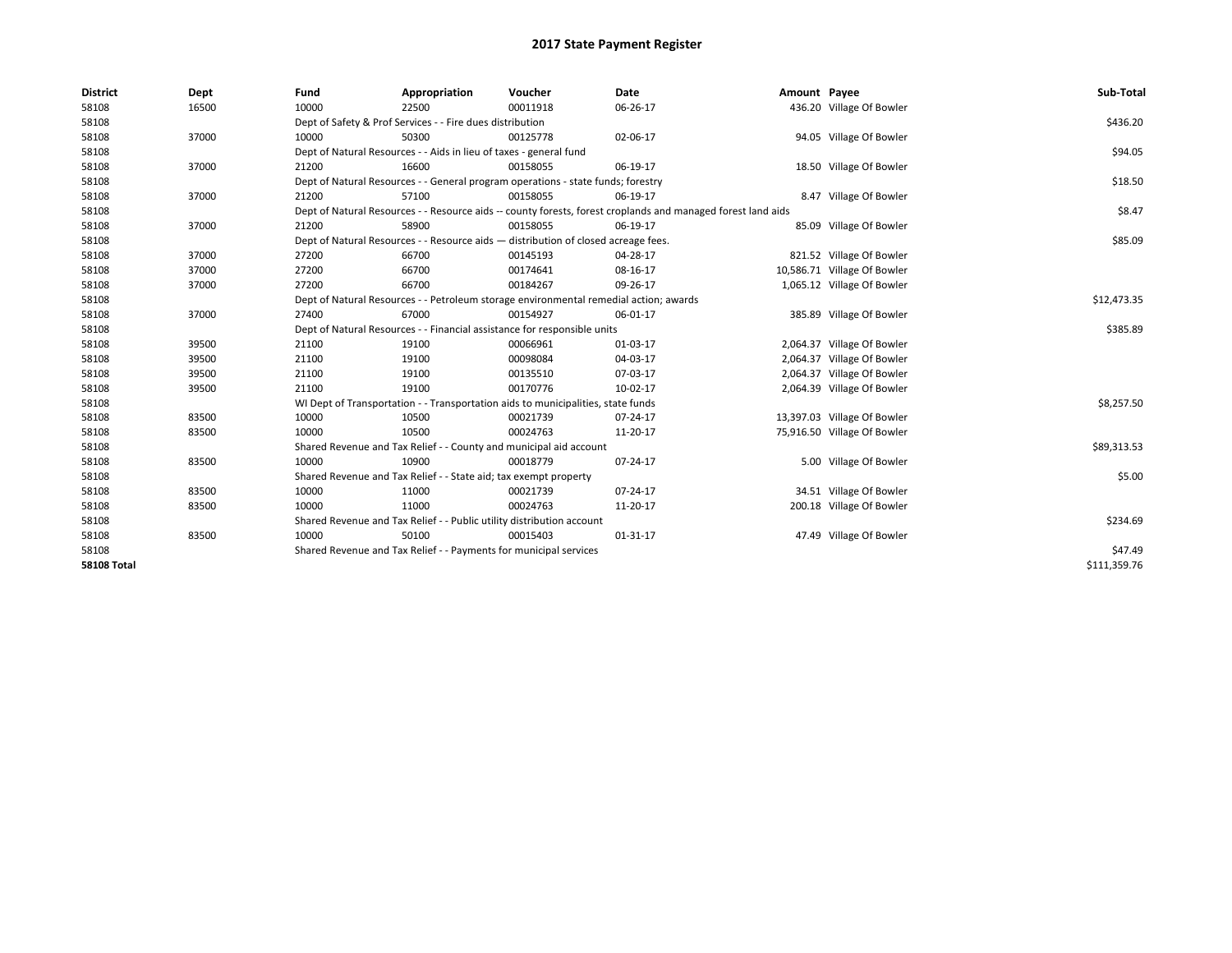| <b>District</b>    | Dept  | Fund  | Appropriation                                                         | Voucher                                                                               | Date                                                                                                         | Amount Payee |                             | Sub-Total    |
|--------------------|-------|-------|-----------------------------------------------------------------------|---------------------------------------------------------------------------------------|--------------------------------------------------------------------------------------------------------------|--------------|-----------------------------|--------------|
| 58108              | 16500 | 10000 | 22500                                                                 | 00011918                                                                              | 06-26-17                                                                                                     |              | 436.20 Village Of Bowler    |              |
| 58108              |       |       | Dept of Safety & Prof Services - - Fire dues distribution             |                                                                                       |                                                                                                              |              |                             | \$436.20     |
| 58108              | 37000 | 10000 | 50300                                                                 | 00125778                                                                              | 02-06-17                                                                                                     |              | 94.05 Village Of Bowler     |              |
| 58108              |       |       | Dept of Natural Resources - - Aids in lieu of taxes - general fund    |                                                                                       |                                                                                                              |              |                             | \$94.05      |
| 58108              | 37000 | 21200 | 16600                                                                 | 00158055                                                                              | 06-19-17                                                                                                     |              | 18.50 Village Of Bowler     |              |
| 58108              |       |       |                                                                       | Dept of Natural Resources - - General program operations - state funds; forestry      |                                                                                                              |              |                             | \$18.50      |
| 58108              | 37000 | 21200 | 57100                                                                 | 00158055                                                                              | 06-19-17                                                                                                     |              | 8.47 Village Of Bowler      |              |
| 58108              |       |       |                                                                       |                                                                                       | Dept of Natural Resources - - Resource aids -- county forests, forest croplands and managed forest land aids |              |                             | \$8.47       |
| 58108              | 37000 | 21200 | 58900                                                                 | 00158055                                                                              | 06-19-17                                                                                                     |              | 85.09 Village Of Bowler     |              |
| 58108              |       |       |                                                                       | Dept of Natural Resources - - Resource aids - distribution of closed acreage fees.    |                                                                                                              |              |                             | \$85.09      |
| 58108              | 37000 | 27200 | 66700                                                                 | 00145193                                                                              | 04-28-17                                                                                                     |              | 821.52 Village Of Bowler    |              |
| 58108              | 37000 | 27200 | 66700                                                                 | 00174641                                                                              | 08-16-17                                                                                                     |              | 10,586.71 Village Of Bowler |              |
| 58108              | 37000 | 27200 | 66700                                                                 | 00184267                                                                              | 09-26-17                                                                                                     |              | 1,065.12 Village Of Bowler  |              |
| 58108              |       |       |                                                                       | Dept of Natural Resources - - Petroleum storage environmental remedial action; awards |                                                                                                              |              |                             | \$12,473.35  |
| 58108              | 37000 | 27400 | 67000                                                                 | 00154927                                                                              | 06-01-17                                                                                                     |              | 385.89 Village Of Bowler    |              |
| 58108              |       |       |                                                                       | Dept of Natural Resources - - Financial assistance for responsible units              |                                                                                                              |              |                             | \$385.89     |
| 58108              | 39500 | 21100 | 19100                                                                 | 00066961                                                                              | 01-03-17                                                                                                     |              | 2,064.37 Village Of Bowler  |              |
| 58108              | 39500 | 21100 | 19100                                                                 | 00098084                                                                              | 04-03-17                                                                                                     |              | 2,064.37 Village Of Bowler  |              |
| 58108              | 39500 | 21100 | 19100                                                                 | 00135510                                                                              | 07-03-17                                                                                                     |              | 2,064.37 Village Of Bowler  |              |
| 58108              | 39500 | 21100 | 19100                                                                 | 00170776                                                                              | 10-02-17                                                                                                     |              | 2,064.39 Village Of Bowler  |              |
| 58108              |       |       |                                                                       | WI Dept of Transportation - - Transportation aids to municipalities, state funds      |                                                                                                              |              |                             | \$8,257.50   |
| 58108              | 83500 | 10000 | 10500                                                                 | 00021739                                                                              | 07-24-17                                                                                                     |              | 13,397.03 Village Of Bowler |              |
| 58108              | 83500 | 10000 | 10500                                                                 | 00024763                                                                              | 11-20-17                                                                                                     |              | 75,916.50 Village Of Bowler |              |
| 58108              |       |       | Shared Revenue and Tax Relief - - County and municipal aid account    |                                                                                       |                                                                                                              |              |                             | \$89,313.53  |
| 58108              | 83500 | 10000 | 10900                                                                 | 00018779                                                                              | 07-24-17                                                                                                     |              | 5.00 Village Of Bowler      |              |
| 58108              |       |       | Shared Revenue and Tax Relief - - State aid; tax exempt property      |                                                                                       |                                                                                                              |              |                             | \$5.00       |
| 58108              | 83500 | 10000 | 11000                                                                 | 00021739                                                                              | 07-24-17                                                                                                     |              | 34.51 Village Of Bowler     |              |
| 58108              | 83500 | 10000 | 11000                                                                 | 00024763                                                                              | 11-20-17                                                                                                     |              | 200.18 Village Of Bowler    |              |
| 58108              |       |       | Shared Revenue and Tax Relief - - Public utility distribution account |                                                                                       |                                                                                                              |              |                             | \$234.69     |
| 58108              | 83500 | 10000 | 50100                                                                 | 00015403                                                                              | 01-31-17                                                                                                     |              | 47.49 Village Of Bowler     |              |
| 58108              |       |       | Shared Revenue and Tax Relief - - Payments for municipal services     |                                                                                       |                                                                                                              |              |                             | \$47.49      |
| <b>58108 Total</b> |       |       |                                                                       |                                                                                       |                                                                                                              |              |                             | \$111,359.76 |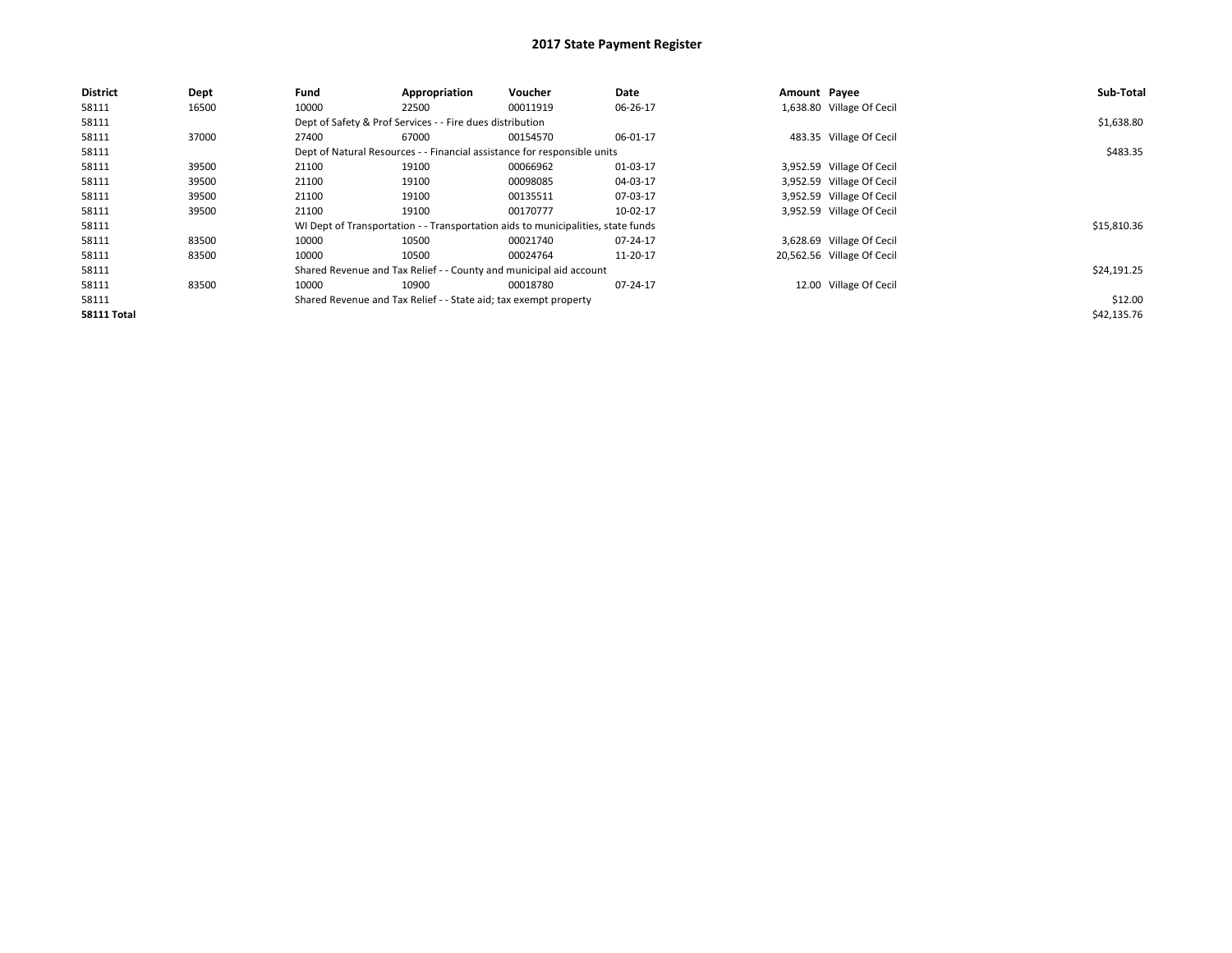| <b>District</b>    | Dept  | Fund  | Appropriation                                                                    | Voucher  | Date     | Amount Payee |                            | Sub-Total   |
|--------------------|-------|-------|----------------------------------------------------------------------------------|----------|----------|--------------|----------------------------|-------------|
| 58111              | 16500 | 10000 | 22500                                                                            | 00011919 | 06-26-17 |              | 1,638.80 Village Of Cecil  |             |
| 58111              |       |       | Dept of Safety & Prof Services - - Fire dues distribution                        |          |          |              |                            | \$1,638.80  |
| 58111              | 37000 | 27400 | 67000                                                                            | 00154570 | 06-01-17 |              | 483.35 Village Of Cecil    |             |
| 58111              |       |       | Dept of Natural Resources - - Financial assistance for responsible units         |          |          |              |                            | \$483.35    |
| 58111              | 39500 | 21100 | 19100                                                                            | 00066962 | 01-03-17 |              | 3,952.59 Village Of Cecil  |             |
| 58111              | 39500 | 21100 | 19100                                                                            | 00098085 | 04-03-17 |              | 3,952.59 Village Of Cecil  |             |
| 58111              | 39500 | 21100 | 19100                                                                            | 00135511 | 07-03-17 |              | 3,952.59 Village Of Cecil  |             |
| 58111              | 39500 | 21100 | 19100                                                                            | 00170777 | 10-02-17 |              | 3,952.59 Village Of Cecil  |             |
| 58111              |       |       | WI Dept of Transportation - - Transportation aids to municipalities, state funds |          |          |              |                            | \$15,810.36 |
| 58111              | 83500 | 10000 | 10500                                                                            | 00021740 | 07-24-17 |              | 3,628.69 Village Of Cecil  |             |
| 58111              | 83500 | 10000 | 10500                                                                            | 00024764 | 11-20-17 |              | 20,562.56 Village Of Cecil |             |
| 58111              |       |       | Shared Revenue and Tax Relief - - County and municipal aid account               |          |          |              |                            | \$24,191.25 |
| 58111              | 83500 | 10000 | 10900                                                                            | 00018780 | 07-24-17 |              | 12.00 Village Of Cecil     |             |
| 58111              |       |       | Shared Revenue and Tax Relief - - State aid; tax exempt property                 |          |          |              |                            | \$12.00     |
| <b>58111 Total</b> |       |       |                                                                                  |          |          |              |                            | \$42,135.76 |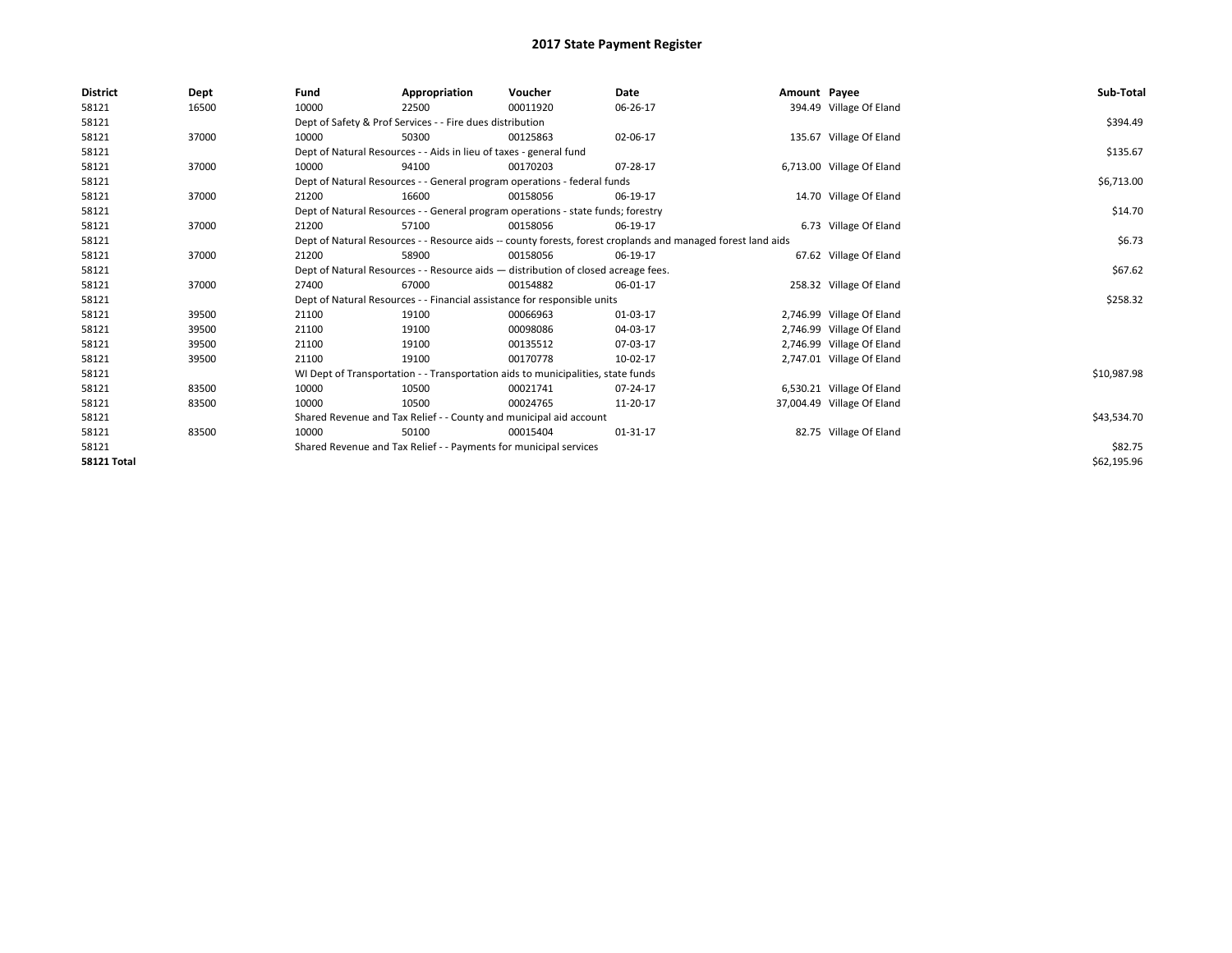| <b>District</b>    | Dept  | Fund  | Appropriation                                                                      | Voucher  | Date                                                                                                         | Amount Payee |                            | Sub-Total   |
|--------------------|-------|-------|------------------------------------------------------------------------------------|----------|--------------------------------------------------------------------------------------------------------------|--------------|----------------------------|-------------|
| 58121              | 16500 | 10000 | 22500                                                                              | 00011920 | 06-26-17                                                                                                     |              | 394.49 Village Of Eland    |             |
| 58121              |       |       | Dept of Safety & Prof Services - - Fire dues distribution                          |          |                                                                                                              |              |                            | \$394.49    |
| 58121              | 37000 | 10000 | 50300                                                                              | 00125863 | 02-06-17                                                                                                     |              | 135.67 Village Of Eland    |             |
| 58121              |       |       | Dept of Natural Resources - - Aids in lieu of taxes - general fund                 |          |                                                                                                              |              |                            | \$135.67    |
| 58121              | 37000 | 10000 | 94100                                                                              | 00170203 | 07-28-17                                                                                                     |              | 6,713.00 Village Of Eland  |             |
| 58121              |       |       | Dept of Natural Resources - - General program operations - federal funds           |          |                                                                                                              |              |                            | \$6,713.00  |
| 58121              | 37000 | 21200 | 16600                                                                              | 00158056 | 06-19-17                                                                                                     |              | 14.70 Village Of Eland     |             |
| 58121              |       |       | Dept of Natural Resources - - General program operations - state funds; forestry   |          |                                                                                                              |              |                            | \$14.70     |
| 58121              | 37000 | 21200 | 57100                                                                              | 00158056 | 06-19-17                                                                                                     |              | 6.73 Village Of Eland      |             |
| 58121              |       |       |                                                                                    |          | Dept of Natural Resources - - Resource aids -- county forests, forest croplands and managed forest land aids |              |                            | \$6.73      |
| 58121              | 37000 | 21200 | 58900                                                                              | 00158056 | 06-19-17                                                                                                     |              | 67.62 Village Of Eland     |             |
| 58121              |       |       | Dept of Natural Resources - - Resource aids - distribution of closed acreage fees. |          |                                                                                                              |              |                            | \$67.62     |
| 58121              | 37000 | 27400 | 67000                                                                              | 00154882 | 06-01-17                                                                                                     |              | 258.32 Village Of Eland    |             |
| 58121              |       |       | Dept of Natural Resources - - Financial assistance for responsible units           |          |                                                                                                              |              |                            | \$258.32    |
| 58121              | 39500 | 21100 | 19100                                                                              | 00066963 | 01-03-17                                                                                                     |              | 2,746.99 Village Of Eland  |             |
| 58121              | 39500 | 21100 | 19100                                                                              | 00098086 | 04-03-17                                                                                                     |              | 2,746.99 Village Of Eland  |             |
| 58121              | 39500 | 21100 | 19100                                                                              | 00135512 | 07-03-17                                                                                                     |              | 2,746.99 Village Of Eland  |             |
| 58121              | 39500 | 21100 | 19100                                                                              | 00170778 | 10-02-17                                                                                                     |              | 2,747.01 Village Of Eland  |             |
| 58121              |       |       | WI Dept of Transportation - - Transportation aids to municipalities, state funds   |          |                                                                                                              |              |                            | \$10,987.98 |
| 58121              | 83500 | 10000 | 10500                                                                              | 00021741 | 07-24-17                                                                                                     |              | 6,530.21 Village Of Eland  |             |
| 58121              | 83500 | 10000 | 10500                                                                              | 00024765 | 11-20-17                                                                                                     |              | 37,004.49 Village Of Eland |             |
| 58121              |       |       | Shared Revenue and Tax Relief - - County and municipal aid account                 |          |                                                                                                              |              |                            | \$43,534.70 |
| 58121              | 83500 | 10000 | 50100                                                                              | 00015404 | $01 - 31 - 17$                                                                                               |              | 82.75 Village Of Eland     |             |
| 58121              |       |       | Shared Revenue and Tax Relief - - Payments for municipal services                  |          |                                                                                                              |              |                            | \$82.75     |
| <b>58121 Total</b> |       |       |                                                                                    |          |                                                                                                              |              |                            | \$62,195.96 |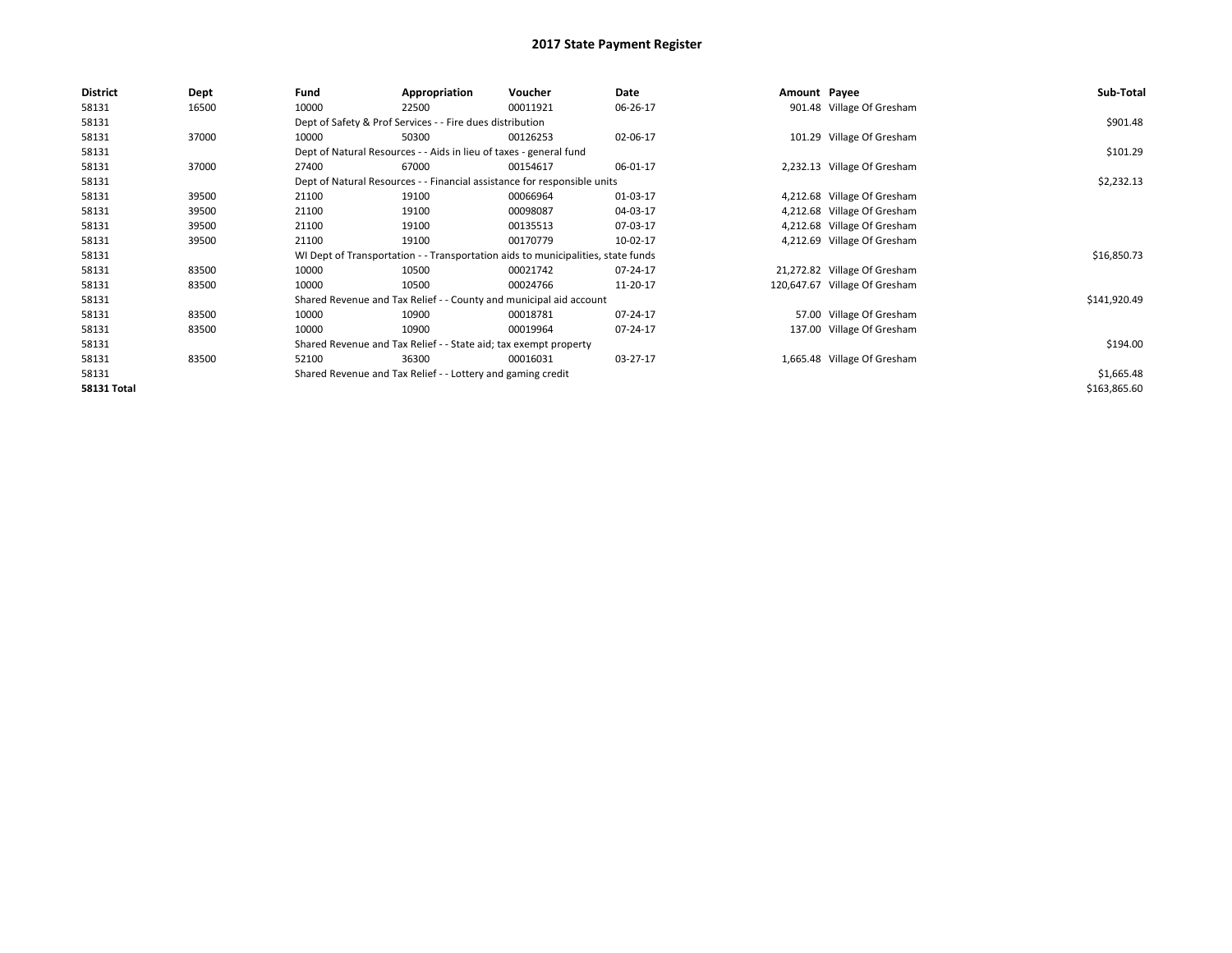| <b>District</b>    | Dept  | Fund  | Appropriation                                                                    | Voucher  | Date     | Amount Payee |                               | Sub-Total    |
|--------------------|-------|-------|----------------------------------------------------------------------------------|----------|----------|--------------|-------------------------------|--------------|
| 58131              | 16500 | 10000 | 22500                                                                            | 00011921 | 06-26-17 |              | 901.48 Village Of Gresham     |              |
| 58131              |       |       | Dept of Safety & Prof Services - - Fire dues distribution                        |          |          |              |                               | \$901.48     |
| 58131              | 37000 | 10000 | 50300                                                                            | 00126253 | 02-06-17 |              | 101.29 Village Of Gresham     |              |
| 58131              |       |       | Dept of Natural Resources - - Aids in lieu of taxes - general fund               |          |          |              |                               | \$101.29     |
| 58131              | 37000 | 27400 | 67000                                                                            | 00154617 | 06-01-17 |              | 2,232.13 Village Of Gresham   |              |
| 58131              |       |       | Dept of Natural Resources - - Financial assistance for responsible units         |          |          |              |                               | \$2,232.13   |
| 58131              | 39500 | 21100 | 19100                                                                            | 00066964 | 01-03-17 |              | 4,212.68 Village Of Gresham   |              |
| 58131              | 39500 | 21100 | 19100                                                                            | 00098087 | 04-03-17 |              | 4,212.68 Village Of Gresham   |              |
| 58131              | 39500 | 21100 | 19100                                                                            | 00135513 | 07-03-17 |              | 4,212.68 Village Of Gresham   |              |
| 58131              | 39500 | 21100 | 19100                                                                            | 00170779 | 10-02-17 |              | 4,212.69 Village Of Gresham   |              |
| 58131              |       |       | WI Dept of Transportation - - Transportation aids to municipalities, state funds |          |          |              |                               | \$16,850.73  |
| 58131              | 83500 | 10000 | 10500                                                                            | 00021742 | 07-24-17 |              | 21,272.82 Village Of Gresham  |              |
| 58131              | 83500 | 10000 | 10500                                                                            | 00024766 | 11-20-17 |              | 120,647.67 Village Of Gresham |              |
| 58131              |       |       | Shared Revenue and Tax Relief - - County and municipal aid account               |          |          |              |                               | \$141,920.49 |
| 58131              | 83500 | 10000 | 10900                                                                            | 00018781 | 07-24-17 |              | 57.00 Village Of Gresham      |              |
| 58131              | 83500 | 10000 | 10900                                                                            | 00019964 | 07-24-17 |              | 137.00 Village Of Gresham     |              |
| 58131              |       |       | Shared Revenue and Tax Relief - - State aid; tax exempt property                 |          |          |              |                               | \$194.00     |
| 58131              | 83500 | 52100 | 36300                                                                            | 00016031 | 03-27-17 |              | 1,665.48 Village Of Gresham   |              |
| 58131              |       |       | Shared Revenue and Tax Relief - - Lottery and gaming credit                      |          |          |              |                               | \$1,665.48   |
| <b>58131 Total</b> |       |       |                                                                                  |          |          |              |                               | \$163,865.60 |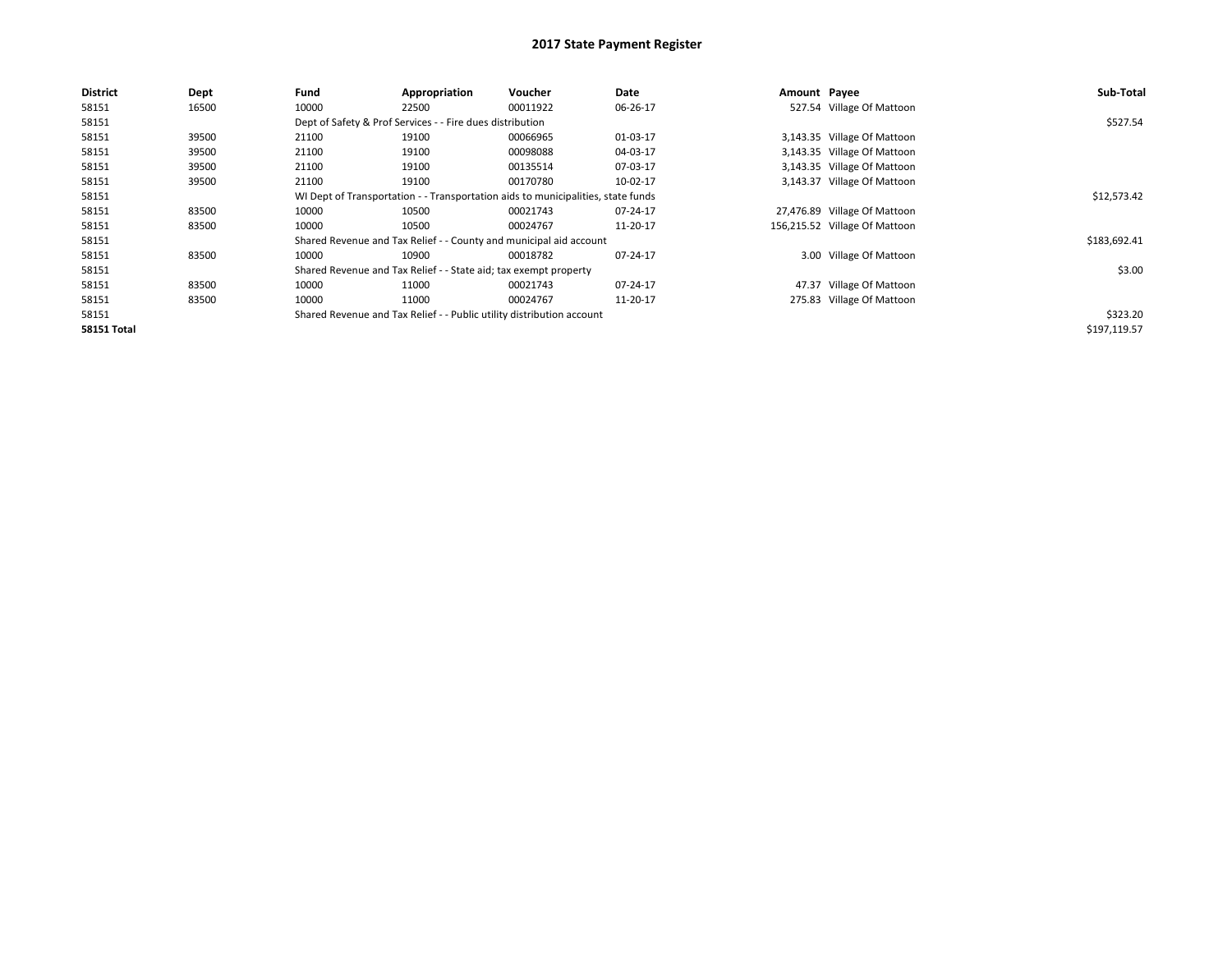| <b>District</b>    | Dept  | Fund  | Appropriation                                                         | Voucher                                                                          | Date     | Amount Payee |                               | Sub-Total    |
|--------------------|-------|-------|-----------------------------------------------------------------------|----------------------------------------------------------------------------------|----------|--------------|-------------------------------|--------------|
| 58151              | 16500 | 10000 | 22500                                                                 | 00011922                                                                         | 06-26-17 |              | 527.54 Village Of Mattoon     |              |
| 58151              |       |       | Dept of Safety & Prof Services - - Fire dues distribution             |                                                                                  |          |              |                               | \$527.54     |
| 58151              | 39500 | 21100 | 19100                                                                 | 00066965                                                                         | 01-03-17 |              | 3,143.35 Village Of Mattoon   |              |
| 58151              | 39500 | 21100 | 19100                                                                 | 00098088                                                                         | 04-03-17 |              | 3,143.35 Village Of Mattoon   |              |
| 58151              | 39500 | 21100 | 19100                                                                 | 00135514                                                                         | 07-03-17 |              | 3,143.35 Village Of Mattoon   |              |
| 58151              | 39500 | 21100 | 19100                                                                 | 00170780                                                                         | 10-02-17 |              | 3,143.37 Village Of Mattoon   |              |
| 58151              |       |       |                                                                       | WI Dept of Transportation - - Transportation aids to municipalities, state funds |          |              |                               | \$12,573.42  |
| 58151              | 83500 | 10000 | 10500                                                                 | 00021743                                                                         | 07-24-17 |              | 27,476.89 Village Of Mattoon  |              |
| 58151              | 83500 | 10000 | 10500                                                                 | 00024767                                                                         | 11-20-17 |              | 156,215.52 Village Of Mattoon |              |
| 58151              |       |       |                                                                       | Shared Revenue and Tax Relief - - County and municipal aid account               |          |              |                               | \$183,692.41 |
| 58151              | 83500 | 10000 | 10900                                                                 | 00018782                                                                         | 07-24-17 |              | 3.00 Village Of Mattoon       |              |
| 58151              |       |       | Shared Revenue and Tax Relief - - State aid; tax exempt property      |                                                                                  |          |              |                               | \$3.00       |
| 58151              | 83500 | 10000 | 11000                                                                 | 00021743                                                                         | 07-24-17 | 47.37        | Village Of Mattoon            |              |
| 58151              | 83500 | 10000 | 11000                                                                 | 00024767                                                                         | 11-20-17 |              | 275.83 Village Of Mattoon     |              |
| 58151              |       |       | Shared Revenue and Tax Relief - - Public utility distribution account |                                                                                  |          |              |                               | \$323.20     |
| <b>58151 Total</b> |       |       |                                                                       |                                                                                  |          |              |                               | \$197,119.57 |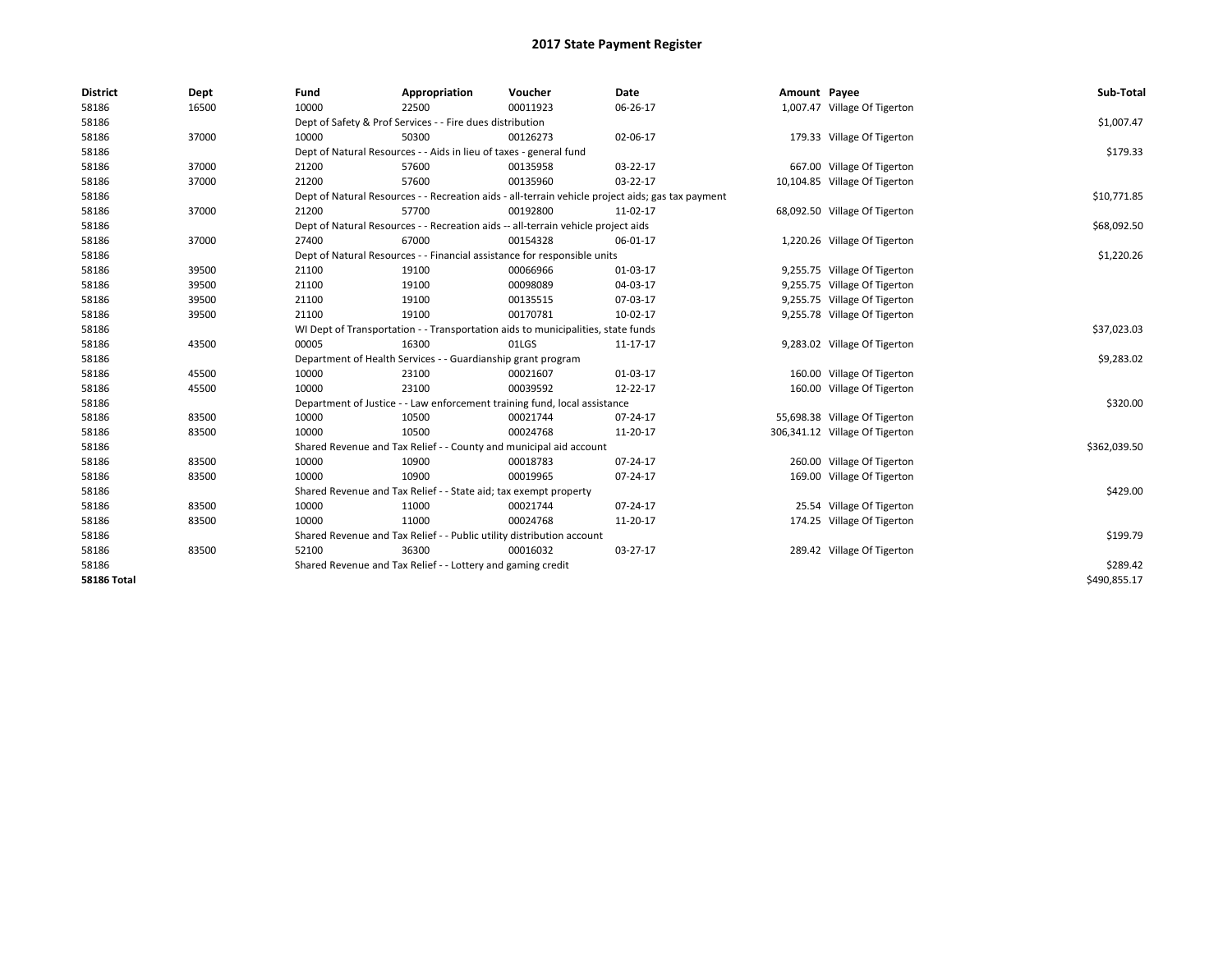| <b>District</b>    | Dept  | Fund  | Appropriation                                                                     | Voucher  | Date                                                                                              | Amount Payee |                                | Sub-Total    |
|--------------------|-------|-------|-----------------------------------------------------------------------------------|----------|---------------------------------------------------------------------------------------------------|--------------|--------------------------------|--------------|
| 58186              | 16500 | 10000 | 22500                                                                             | 00011923 | 06-26-17                                                                                          |              | 1,007.47 Village Of Tigerton   |              |
| 58186              |       |       | Dept of Safety & Prof Services - - Fire dues distribution                         |          |                                                                                                   |              |                                | \$1,007.47   |
| 58186              | 37000 | 10000 | 50300                                                                             | 00126273 | 02-06-17                                                                                          |              | 179.33 Village Of Tigerton     |              |
| 58186              |       |       | Dept of Natural Resources - - Aids in lieu of taxes - general fund                |          |                                                                                                   |              |                                | \$179.33     |
| 58186              | 37000 | 21200 | 57600                                                                             | 00135958 | 03-22-17                                                                                          |              | 667.00 Village Of Tigerton     |              |
| 58186              | 37000 | 21200 | 57600                                                                             | 00135960 | 03-22-17                                                                                          |              | 10,104.85 Village Of Tigerton  |              |
| 58186              |       |       |                                                                                   |          | Dept of Natural Resources - - Recreation aids - all-terrain vehicle project aids; gas tax payment |              |                                | \$10,771.85  |
| 58186              | 37000 | 21200 | 57700                                                                             | 00192800 | 11-02-17                                                                                          |              | 68,092.50 Village Of Tigerton  |              |
| 58186              |       |       | Dept of Natural Resources - - Recreation aids -- all-terrain vehicle project aids |          |                                                                                                   |              |                                | \$68,092.50  |
| 58186              | 37000 | 27400 | 67000                                                                             | 00154328 | 06-01-17                                                                                          |              | 1,220.26 Village Of Tigerton   |              |
| 58186              |       |       | Dept of Natural Resources - - Financial assistance for responsible units          |          |                                                                                                   |              |                                | \$1,220.26   |
| 58186              | 39500 | 21100 | 19100                                                                             | 00066966 | 01-03-17                                                                                          |              | 9,255.75 Village Of Tigerton   |              |
| 58186              | 39500 | 21100 | 19100                                                                             | 00098089 | 04-03-17                                                                                          |              | 9,255.75 Village Of Tigerton   |              |
| 58186              | 39500 | 21100 | 19100                                                                             | 00135515 | 07-03-17                                                                                          |              | 9,255.75 Village Of Tigerton   |              |
| 58186              | 39500 | 21100 | 19100                                                                             | 00170781 | 10-02-17                                                                                          |              | 9,255.78 Village Of Tigerton   |              |
| 58186              |       |       | WI Dept of Transportation - - Transportation aids to municipalities, state funds  |          |                                                                                                   |              |                                | \$37,023.03  |
| 58186              | 43500 | 00005 | 16300                                                                             | 01LGS    | 11-17-17                                                                                          |              | 9,283.02 Village Of Tigerton   |              |
| 58186              |       |       | Department of Health Services - - Guardianship grant program                      |          |                                                                                                   |              |                                | \$9,283.02   |
| 58186              | 45500 | 10000 | 23100                                                                             | 00021607 | 01-03-17                                                                                          |              | 160.00 Village Of Tigerton     |              |
| 58186              | 45500 | 10000 | 23100                                                                             | 00039592 | 12-22-17                                                                                          |              | 160.00 Village Of Tigerton     |              |
| 58186              |       |       | Department of Justice - - Law enforcement training fund, local assistance         |          |                                                                                                   |              |                                | \$320.00     |
| 58186              | 83500 | 10000 | 10500                                                                             | 00021744 | 07-24-17                                                                                          |              | 55,698.38 Village Of Tigerton  |              |
| 58186              | 83500 | 10000 | 10500                                                                             | 00024768 | 11-20-17                                                                                          |              | 306,341.12 Village Of Tigerton |              |
| 58186              |       |       | Shared Revenue and Tax Relief - - County and municipal aid account                |          |                                                                                                   |              |                                | \$362,039.50 |
| 58186              | 83500 | 10000 | 10900                                                                             | 00018783 | 07-24-17                                                                                          |              | 260.00 Village Of Tigerton     |              |
| 58186              | 83500 | 10000 | 10900                                                                             | 00019965 | 07-24-17                                                                                          |              | 169.00 Village Of Tigerton     |              |
| 58186              |       |       | Shared Revenue and Tax Relief - - State aid; tax exempt property                  |          |                                                                                                   |              |                                | \$429.00     |
| 58186              | 83500 | 10000 | 11000                                                                             | 00021744 | 07-24-17                                                                                          |              | 25.54 Village Of Tigerton      |              |
| 58186              | 83500 | 10000 | 11000                                                                             | 00024768 | 11-20-17                                                                                          |              | 174.25 Village Of Tigerton     |              |
| 58186              |       |       | Shared Revenue and Tax Relief - - Public utility distribution account             |          |                                                                                                   |              |                                | \$199.79     |
| 58186              | 83500 | 52100 | 36300                                                                             | 00016032 | 03-27-17                                                                                          |              | 289.42 Village Of Tigerton     |              |
| 58186              |       |       | Shared Revenue and Tax Relief - - Lottery and gaming credit                       |          |                                                                                                   |              |                                | \$289.42     |
| <b>58186 Total</b> |       |       |                                                                                   |          |                                                                                                   |              |                                | \$490,855.17 |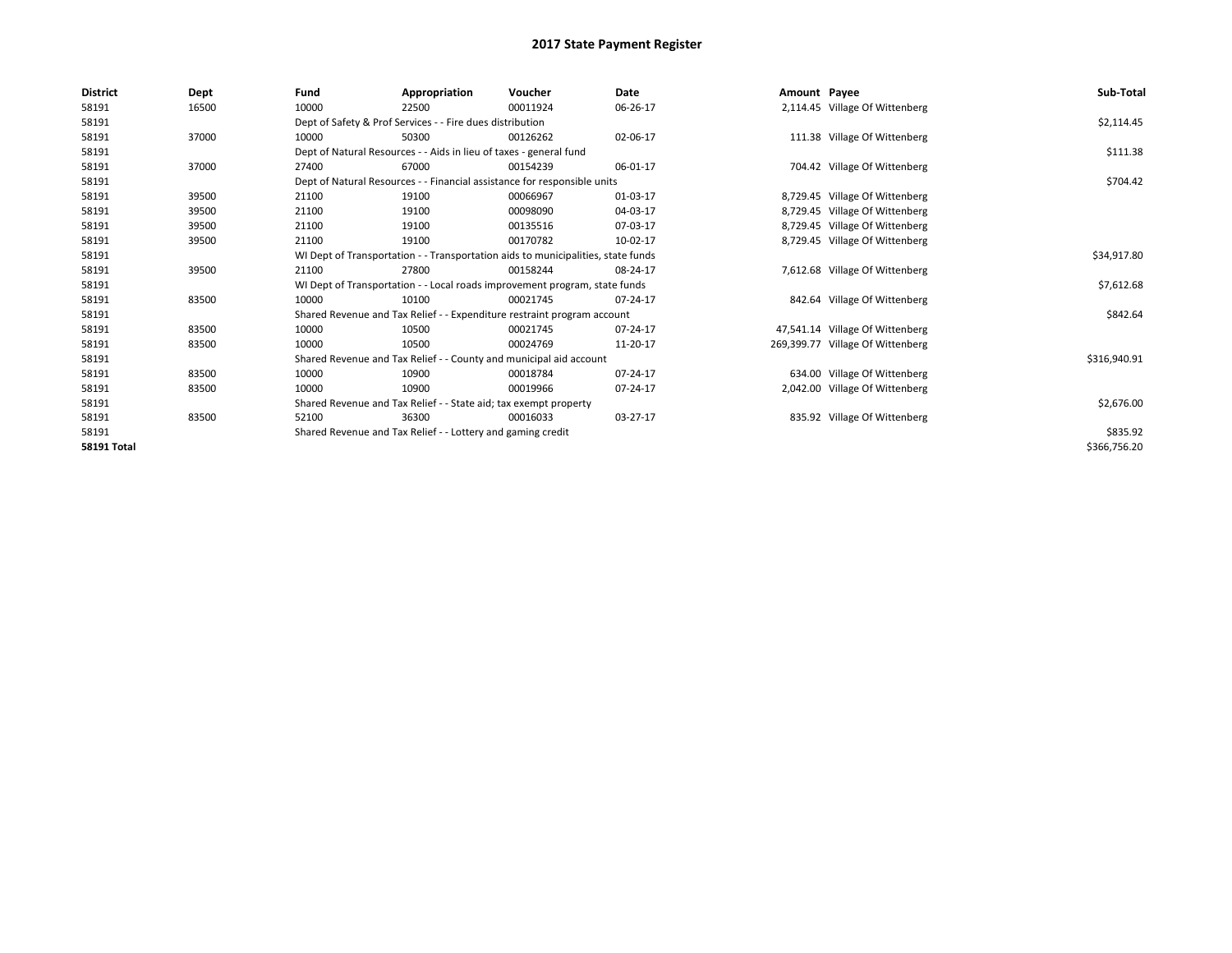| <b>District</b>    | Dept  | Fund  | Appropriation                                                      | Voucher                                                                          | Date     | Amount Payee |                                  | Sub-Total    |
|--------------------|-------|-------|--------------------------------------------------------------------|----------------------------------------------------------------------------------|----------|--------------|----------------------------------|--------------|
| 58191              | 16500 | 10000 | 22500                                                              | 00011924                                                                         | 06-26-17 |              | 2,114.45 Village Of Wittenberg   |              |
| 58191              |       |       | Dept of Safety & Prof Services - - Fire dues distribution          |                                                                                  |          |              |                                  | \$2,114.45   |
| 58191              | 37000 | 10000 | 50300                                                              | 00126262                                                                         | 02-06-17 |              | 111.38 Village Of Wittenberg     |              |
| 58191              |       |       | Dept of Natural Resources - - Aids in lieu of taxes - general fund |                                                                                  |          |              |                                  | \$111.38     |
| 58191              | 37000 | 27400 | 67000                                                              | 00154239                                                                         | 06-01-17 |              | 704.42 Village Of Wittenberg     |              |
| 58191              |       |       |                                                                    | Dept of Natural Resources - - Financial assistance for responsible units         |          |              |                                  | \$704.42     |
| 58191              | 39500 | 21100 | 19100                                                              | 00066967                                                                         | 01-03-17 |              | 8,729.45 Village Of Wittenberg   |              |
| 58191              | 39500 | 21100 | 19100                                                              | 00098090                                                                         | 04-03-17 |              | 8,729.45 Village Of Wittenberg   |              |
| 58191              | 39500 | 21100 | 19100                                                              | 00135516                                                                         | 07-03-17 |              | 8,729.45 Village Of Wittenberg   |              |
| 58191              | 39500 | 21100 | 19100                                                              | 00170782                                                                         | 10-02-17 |              | 8,729.45 Village Of Wittenberg   |              |
| 58191              |       |       |                                                                    | WI Dept of Transportation - - Transportation aids to municipalities, state funds |          |              |                                  | \$34,917.80  |
| 58191              | 39500 | 21100 | 27800                                                              | 00158244                                                                         | 08-24-17 |              | 7,612.68 Village Of Wittenberg   |              |
| 58191              |       |       |                                                                    | WI Dept of Transportation - - Local roads improvement program, state funds       |          |              |                                  | \$7,612.68   |
| 58191              | 83500 | 10000 | 10100                                                              | 00021745                                                                         | 07-24-17 |              | 842.64 Village Of Wittenberg     |              |
| 58191              |       |       |                                                                    | Shared Revenue and Tax Relief - - Expenditure restraint program account          |          |              |                                  | \$842.64     |
| 58191              | 83500 | 10000 | 10500                                                              | 00021745                                                                         | 07-24-17 |              | 47,541.14 Village Of Wittenberg  |              |
| 58191              | 83500 | 10000 | 10500                                                              | 00024769                                                                         | 11-20-17 |              | 269,399.77 Village Of Wittenberg |              |
| 58191              |       |       |                                                                    | Shared Revenue and Tax Relief - - County and municipal aid account               |          |              |                                  | \$316,940.91 |
| 58191              | 83500 | 10000 | 10900                                                              | 00018784                                                                         | 07-24-17 |              | 634.00 Village Of Wittenberg     |              |
| 58191              | 83500 | 10000 | 10900                                                              | 00019966                                                                         | 07-24-17 |              | 2,042.00 Village Of Wittenberg   |              |
| 58191              |       |       | Shared Revenue and Tax Relief - - State aid; tax exempt property   |                                                                                  |          |              |                                  | \$2,676.00   |
| 58191              | 83500 | 52100 | 36300                                                              | 00016033                                                                         | 03-27-17 |              | 835.92 Village Of Wittenberg     |              |
| 58191              |       |       | Shared Revenue and Tax Relief - - Lottery and gaming credit        |                                                                                  |          |              |                                  | \$835.92     |
| <b>58191 Total</b> |       |       |                                                                    |                                                                                  |          |              |                                  | \$366,756.20 |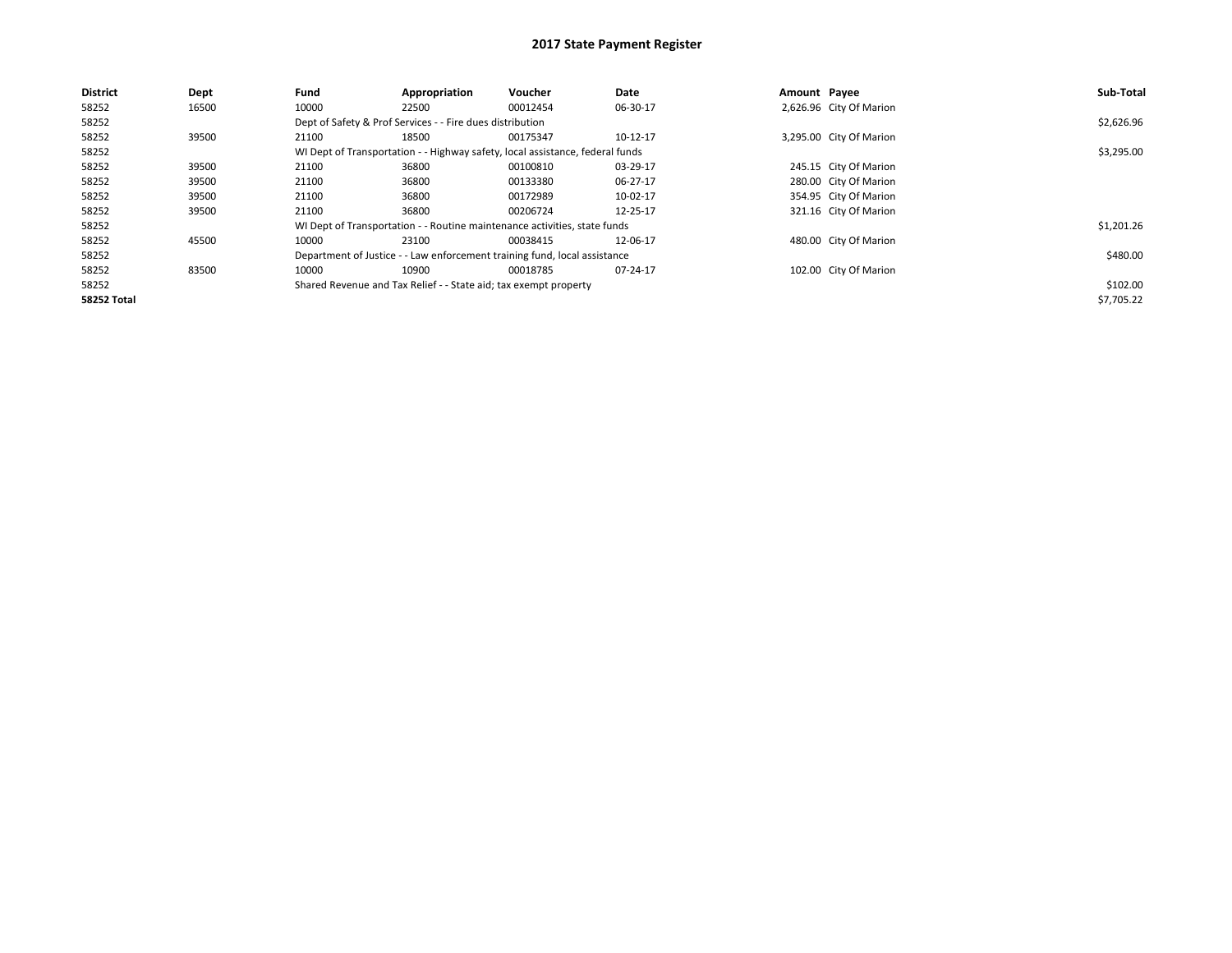| <b>District</b>    | Dept  | Fund  | Appropriation                                                    | Voucher                                                                       | Date     | Amount Payee |                         | Sub-Total  |
|--------------------|-------|-------|------------------------------------------------------------------|-------------------------------------------------------------------------------|----------|--------------|-------------------------|------------|
| 58252              | 16500 | 10000 | 22500                                                            | 00012454                                                                      | 06-30-17 |              | 2,626.96 City Of Marion |            |
| 58252              |       |       | Dept of Safety & Prof Services - - Fire dues distribution        |                                                                               |          |              |                         | \$2,626.96 |
| 58252              | 39500 | 21100 | 18500                                                            | 00175347                                                                      | 10-12-17 |              | 3,295.00 City Of Marion |            |
| 58252              |       |       |                                                                  | WI Dept of Transportation - - Highway safety, local assistance, federal funds |          |              |                         | \$3,295.00 |
| 58252              | 39500 | 21100 | 36800                                                            | 00100810                                                                      | 03-29-17 |              | 245.15 City Of Marion   |            |
| 58252              | 39500 | 21100 | 36800                                                            | 00133380                                                                      | 06-27-17 |              | 280.00 City Of Marion   |            |
| 58252              | 39500 | 21100 | 36800                                                            | 00172989                                                                      | 10-02-17 |              | 354.95 City Of Marion   |            |
| 58252              | 39500 | 21100 | 36800                                                            | 00206724                                                                      | 12-25-17 |              | 321.16 City Of Marion   |            |
| 58252              |       |       |                                                                  | WI Dept of Transportation - - Routine maintenance activities, state funds     |          |              |                         | \$1,201.26 |
| 58252              | 45500 | 10000 | 23100                                                            | 00038415                                                                      | 12-06-17 |              | 480.00 City Of Marion   |            |
| 58252              |       |       |                                                                  | Department of Justice - - Law enforcement training fund, local assistance     |          |              |                         | \$480.00   |
| 58252              | 83500 | 10000 | 10900                                                            | 00018785                                                                      | 07-24-17 |              | 102.00 City Of Marion   |            |
| 58252              |       |       | Shared Revenue and Tax Relief - - State aid; tax exempt property |                                                                               |          |              |                         | \$102.00   |
| <b>58252 Total</b> |       |       |                                                                  |                                                                               |          |              |                         | \$7,705.22 |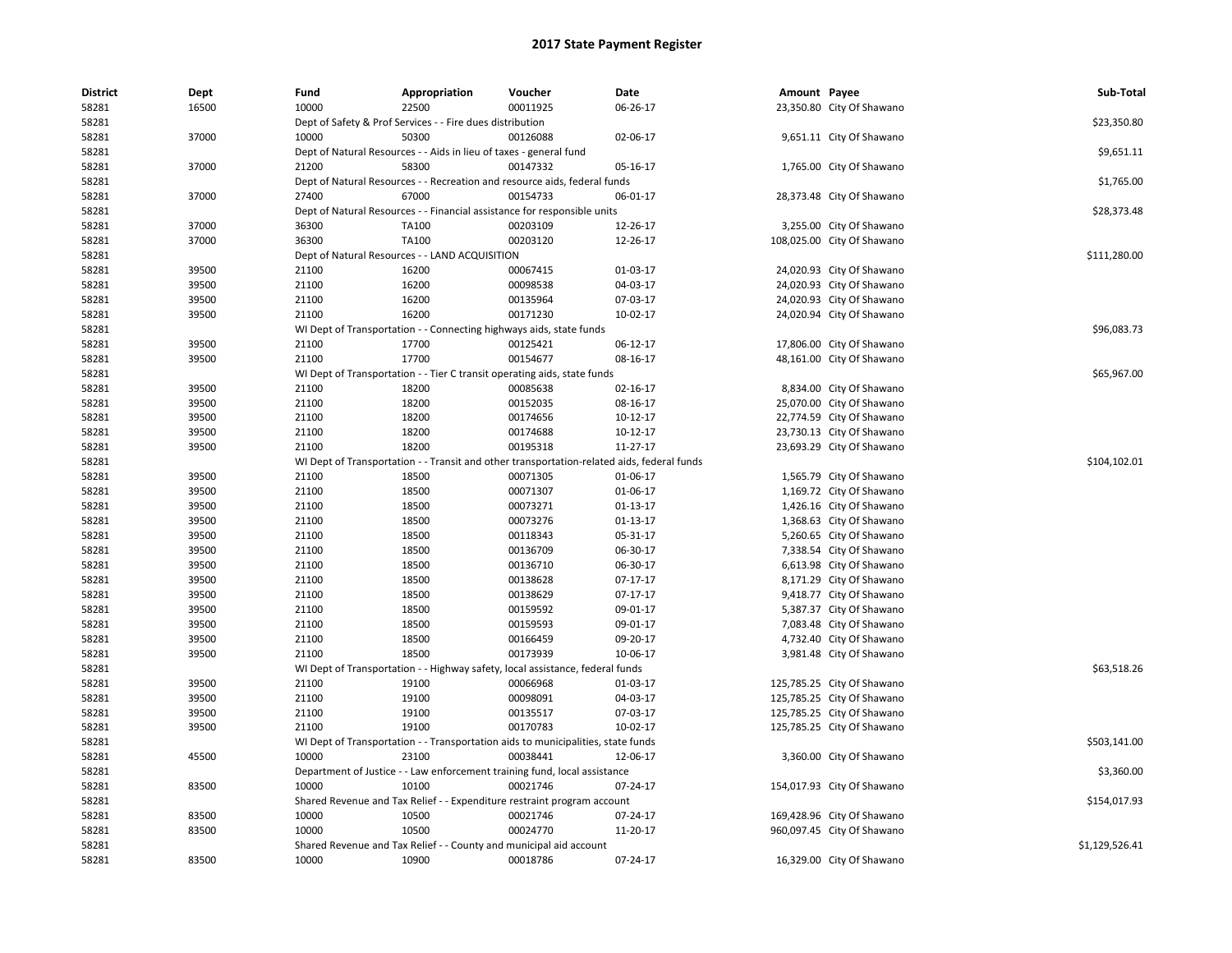| <b>District</b> | Dept           | Fund           | Appropriation                                                                    | Voucher              | Date                                                                                       | Amount Payee |                            | Sub-Total      |
|-----------------|----------------|----------------|----------------------------------------------------------------------------------|----------------------|--------------------------------------------------------------------------------------------|--------------|----------------------------|----------------|
| 58281           | 16500          | 10000          | 22500                                                                            | 00011925             | 06-26-17                                                                                   |              | 23,350.80 City Of Shawano  |                |
| 58281           |                |                | Dept of Safety & Prof Services - - Fire dues distribution                        |                      |                                                                                            |              |                            | \$23,350.80    |
| 58281           | 37000          | 10000          | 50300                                                                            | 00126088             | 02-06-17                                                                                   |              | 9,651.11 City Of Shawano   |                |
| 58281           |                |                | Dept of Natural Resources - - Aids in lieu of taxes - general fund               |                      |                                                                                            |              |                            | \$9,651.11     |
| 58281           | 37000          | 21200          | 58300                                                                            | 00147332             | 05-16-17                                                                                   |              | 1,765.00 City Of Shawano   |                |
| 58281           |                |                | Dept of Natural Resources - - Recreation and resource aids, federal funds        |                      |                                                                                            |              |                            | \$1,765.00     |
| 58281           | 37000          | 27400          | 67000                                                                            | 00154733             | 06-01-17                                                                                   |              | 28,373.48 City Of Shawano  |                |
| 58281           |                |                | Dept of Natural Resources - - Financial assistance for responsible units         |                      |                                                                                            |              |                            | \$28,373.48    |
| 58281           | 37000          | 36300          | TA100                                                                            | 00203109             | 12-26-17                                                                                   |              | 3,255.00 City Of Shawano   |                |
| 58281           | 37000          | 36300          | TA100                                                                            | 00203120             | 12-26-17                                                                                   |              | 108,025.00 City Of Shawano |                |
| 58281           |                |                | Dept of Natural Resources - - LAND ACQUISITION                                   |                      |                                                                                            |              |                            | \$111,280.00   |
| 58281           | 39500          | 21100          | 16200                                                                            | 00067415             | 01-03-17                                                                                   |              | 24,020.93 City Of Shawano  |                |
| 58281           | 39500          | 21100          | 16200                                                                            | 00098538             | 04-03-17                                                                                   |              | 24,020.93 City Of Shawano  |                |
| 58281           | 39500          | 21100          | 16200                                                                            | 00135964             | 07-03-17                                                                                   |              | 24,020.93 City Of Shawano  |                |
| 58281           | 39500          | 21100          | 16200                                                                            | 00171230             | 10-02-17                                                                                   |              | 24,020.94 City Of Shawano  |                |
| 58281           |                |                | WI Dept of Transportation - - Connecting highways aids, state funds              |                      |                                                                                            |              |                            | \$96,083.73    |
| 58281           | 39500          | 21100          | 17700                                                                            | 00125421             | 06-12-17                                                                                   |              | 17,806.00 City Of Shawano  |                |
| 58281           | 39500          | 21100          | 17700                                                                            | 00154677             | 08-16-17                                                                                   |              | 48,161.00 City Of Shawano  |                |
| 58281           |                |                | WI Dept of Transportation - - Tier C transit operating aids, state funds         |                      |                                                                                            |              |                            | \$65,967.00    |
| 58281           | 39500          | 21100          | 18200                                                                            | 00085638             | 02-16-17                                                                                   |              | 8,834.00 City Of Shawano   |                |
| 58281           | 39500          | 21100          | 18200                                                                            | 00152035             | 08-16-17                                                                                   |              | 25,070.00 City Of Shawano  |                |
| 58281           | 39500          | 21100          | 18200                                                                            | 00174656             | 10-12-17                                                                                   |              | 22,774.59 City Of Shawano  |                |
| 58281           | 39500          | 21100          | 18200                                                                            | 00174688             | 10-12-17                                                                                   |              | 23,730.13 City Of Shawano  |                |
| 58281           | 39500          | 21100          | 18200                                                                            | 00195318             | 11-27-17                                                                                   |              | 23,693.29 City Of Shawano  |                |
| 58281           |                |                |                                                                                  |                      | WI Dept of Transportation - - Transit and other transportation-related aids, federal funds |              |                            | \$104,102.01   |
| 58281           | 39500          | 21100          | 18500                                                                            | 00071305             | 01-06-17                                                                                   |              | 1,565.79 City Of Shawano   |                |
| 58281           | 39500          | 21100          | 18500                                                                            | 00071307             | 01-06-17                                                                                   |              | 1,169.72 City Of Shawano   |                |
| 58281           | 39500          | 21100          | 18500                                                                            | 00073271             | 01-13-17                                                                                   |              | 1,426.16 City Of Shawano   |                |
| 58281           | 39500          | 21100          | 18500                                                                            | 00073276             | $01-13-17$                                                                                 |              | 1,368.63 City Of Shawano   |                |
| 58281           | 39500          | 21100          | 18500                                                                            | 00118343             | 05-31-17                                                                                   |              | 5,260.65 City Of Shawano   |                |
| 58281           | 39500          | 21100          | 18500                                                                            | 00136709             | 06-30-17                                                                                   |              | 7,338.54 City Of Shawano   |                |
| 58281           | 39500          | 21100          | 18500                                                                            | 00136710             | 06-30-17                                                                                   |              | 6,613.98 City Of Shawano   |                |
|                 | 39500          | 21100          | 18500                                                                            | 00138628             | 07-17-17                                                                                   |              |                            |                |
| 58281<br>58281  | 39500          | 21100          | 18500                                                                            | 00138629             | 07-17-17                                                                                   |              | 8,171.29 City Of Shawano   |                |
|                 |                |                |                                                                                  | 00159592             |                                                                                            |              | 9,418.77 City Of Shawano   |                |
| 58281           | 39500<br>39500 | 21100<br>21100 | 18500<br>18500                                                                   |                      | 09-01-17                                                                                   |              | 5,387.37 City Of Shawano   |                |
| 58281           | 39500          | 21100          | 18500                                                                            | 00159593<br>00166459 | 09-01-17<br>09-20-17                                                                       |              | 7,083.48 City Of Shawano   |                |
| 58281           |                |                |                                                                                  | 00173939             |                                                                                            |              | 4,732.40 City Of Shawano   |                |
| 58281           | 39500          | 21100          | 18500                                                                            |                      | 10-06-17                                                                                   |              | 3,981.48 City Of Shawano   |                |
| 58281           |                |                | WI Dept of Transportation - - Highway safety, local assistance, federal funds    |                      |                                                                                            |              |                            | \$63,518.26    |
| 58281           | 39500          | 21100          | 19100                                                                            | 00066968             | 01-03-17                                                                                   |              | 125,785.25 City Of Shawano |                |
| 58281           | 39500          | 21100          | 19100                                                                            | 00098091             | 04-03-17                                                                                   |              | 125,785.25 City Of Shawano |                |
| 58281           | 39500          | 21100          | 19100                                                                            | 00135517             | 07-03-17                                                                                   |              | 125,785.25 City Of Shawano |                |
| 58281           | 39500          | 21100          | 19100                                                                            | 00170783             | 10-02-17                                                                                   |              | 125,785.25 City Of Shawano |                |
| 58281           |                |                | WI Dept of Transportation - - Transportation aids to municipalities, state funds |                      |                                                                                            |              |                            | \$503,141.00   |
| 58281           | 45500          | 10000          | 23100                                                                            | 00038441             | 12-06-17                                                                                   |              | 3,360.00 City Of Shawano   |                |
| 58281           |                |                | Department of Justice - - Law enforcement training fund, local assistance        |                      |                                                                                            |              |                            | \$3,360.00     |
| 58281           | 83500          | 10000          | 10100                                                                            | 00021746             | 07-24-17                                                                                   |              | 154,017.93 City Of Shawano |                |
| 58281           |                |                | Shared Revenue and Tax Relief - - Expenditure restraint program account          |                      |                                                                                            |              |                            | \$154,017.93   |
| 58281           | 83500          | 10000          | 10500                                                                            | 00021746             | 07-24-17                                                                                   |              | 169,428.96 City Of Shawano |                |
| 58281           | 83500          | 10000          | 10500                                                                            | 00024770             | 11-20-17                                                                                   |              | 960,097.45 City Of Shawano |                |
| 58281           |                |                | Shared Revenue and Tax Relief - - County and municipal aid account               |                      |                                                                                            |              |                            | \$1,129,526.41 |
| 58281           | 83500          | 10000          | 10900                                                                            | 00018786             | 07-24-17                                                                                   |              | 16,329.00 City Of Shawano  |                |